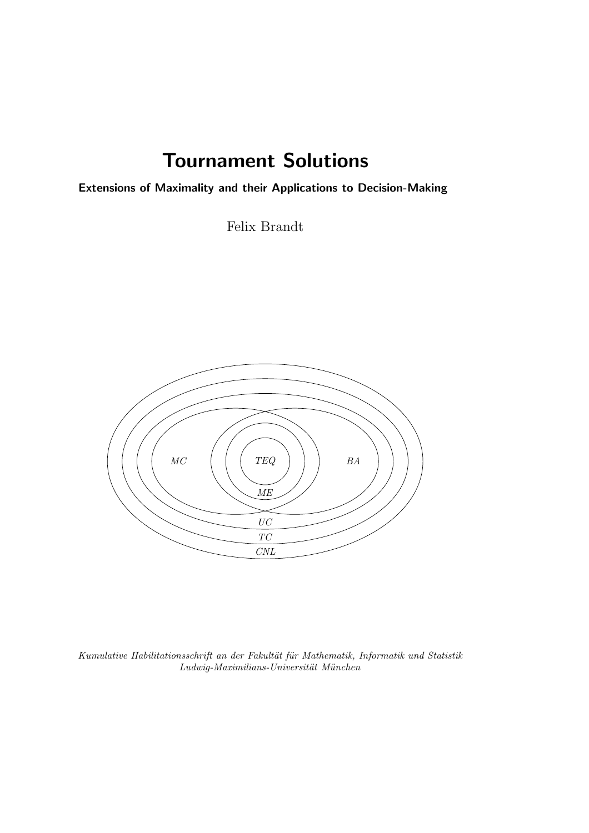## Tournament Solutions

Extensions of Maximality and their Applications to Decision-Making

Felix Brandt



*Kumulative Habilitationsschrift an der Fakult¨at f¨ur Mathematik, Informatik und Statistik Ludwig-Maximilians-Universit¨at M¨unchen*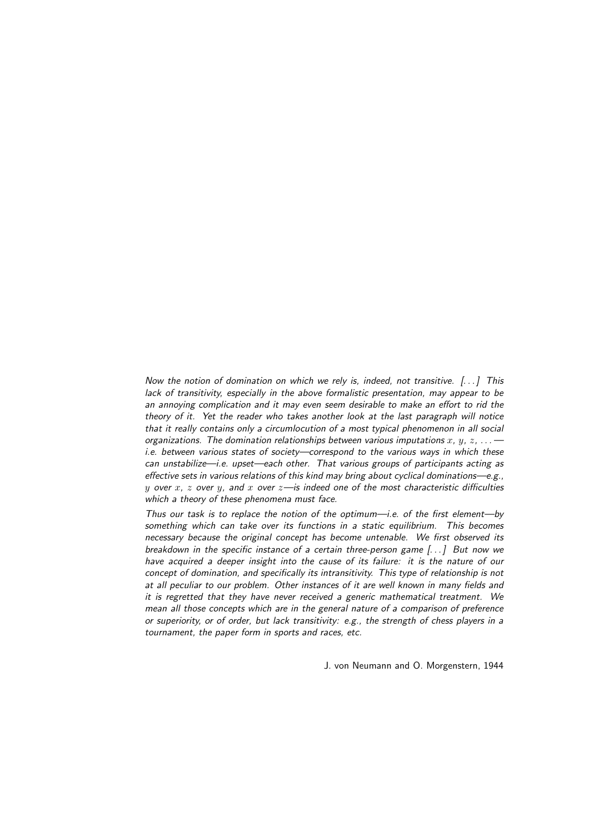*Now the notion of domination on which we rely is, indeed, not transitive. [. . . ] This lack of transitivity, especially in the above formalistic presentation, may appear to be an annoying complication and it may even seem desirable to make an effort to rid the theory of it. Yet the reader who takes another look at the last paragraph will notice that it really contains only a circumlocution of a most typical phenomenon in all social organizations. The domination relationships between various imputations*  $x$ ,  $y$ ,  $z$ ,  $\ldots$  *i.e. between various states of society—correspond to the various ways in which these can unstabilize—i.e. upset—each other. That various groups of participants acting as effective sets in various relations of this kind may bring about cyclical dominations—e.g.,* y *over* x*,* z *over* y*, and* x *over* z*—is indeed one of the most characteristic difficulties which a theory of these phenomena must face.*

*Thus our task is to replace the notion of the optimum—i.e. of the first element—by something which can take over its functions in a static equilibrium. This becomes necessary because the original concept has become untenable. We first observed its breakdown in the specific instance of a certain three-person game [. . . ] But now we have acquired a deeper insight into the cause of its failure: it is the nature of our concept of domination, and specifically its intransitivity. This type of relationship is not at all peculiar to our problem. Other instances of it are well known in many fields and it is regretted that they have never received a generic mathematical treatment. We mean all those concepts which are in the general nature of a comparison of preference or superiority, or of order, but lack transitivity: e.g., the strength of chess players in a tournament, the paper form in sports and races, etc.*

J. von Neumann and O. Morgenstern, 1944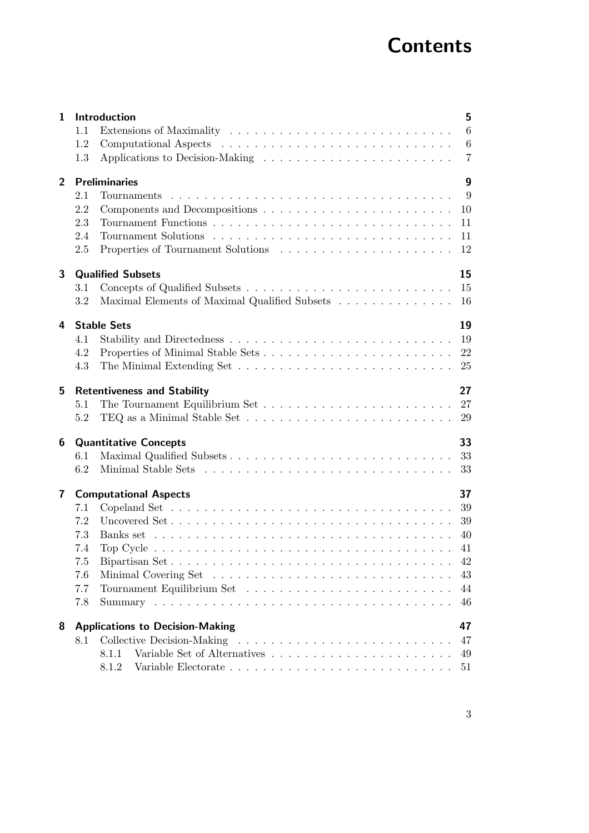# **Contents**

| 1              |     | 5<br>Introduction                                                                                        |
|----------------|-----|----------------------------------------------------------------------------------------------------------|
|                | 1.1 | 6                                                                                                        |
|                | 1.2 | 6                                                                                                        |
|                | 1.3 | $\overline{7}$                                                                                           |
| $\overline{2}$ |     | $\boldsymbol{9}$<br><b>Preliminaries</b>                                                                 |
|                | 2.1 | -9                                                                                                       |
|                | 2.2 | 10                                                                                                       |
|                | 2.3 | 11                                                                                                       |
|                | 2.4 | 11                                                                                                       |
|                | 2.5 | 12                                                                                                       |
| 3              |     | 15<br><b>Qualified Subsets</b>                                                                           |
|                | 3.1 | 15                                                                                                       |
|                | 3.2 | Maximal Elements of Maximal Qualified Subsets<br>16                                                      |
| 4              |     | 19<br><b>Stable Sets</b>                                                                                 |
|                | 4.1 |                                                                                                          |
|                | 4.2 | 22                                                                                                       |
|                | 4.3 | 25                                                                                                       |
| 5              |     | 27<br><b>Retentiveness and Stability</b>                                                                 |
|                | 5.1 | 27                                                                                                       |
|                | 5.2 | TEQ as a Minimal Stable Set $\dots \dots \dots \dots \dots \dots \dots \dots \dots \dots$<br>29          |
| 6              |     | 33<br><b>Quantitative Concepts</b>                                                                       |
|                | 6.1 | Maximal Qualified Subsets<br>33                                                                          |
|                | 6.2 | 33                                                                                                       |
| $\mathbf{7}$   |     | 37<br><b>Computational Aspects</b>                                                                       |
|                | 7.1 | Copeland Set $\dots \dots \dots \dots \dots \dots \dots \dots \dots \dots \dots \dots \dots \dots \dots$ |
|                | 7.2 | 39<br>Uncovered Set                                                                                      |
|                | 7.3 | 40                                                                                                       |
|                | 7.4 | 41                                                                                                       |
|                | 7.5 | 42                                                                                                       |
|                | 7.6 | 43                                                                                                       |
|                | 7.7 | 44                                                                                                       |
|                | 7.8 | 46                                                                                                       |
| 8              |     | <b>Applications to Decision-Making</b><br>47                                                             |
|                | 8.1 | 47                                                                                                       |
|                |     | 8.1.1<br>49                                                                                              |
|                |     | 8.1.2<br>51                                                                                              |
|                |     |                                                                                                          |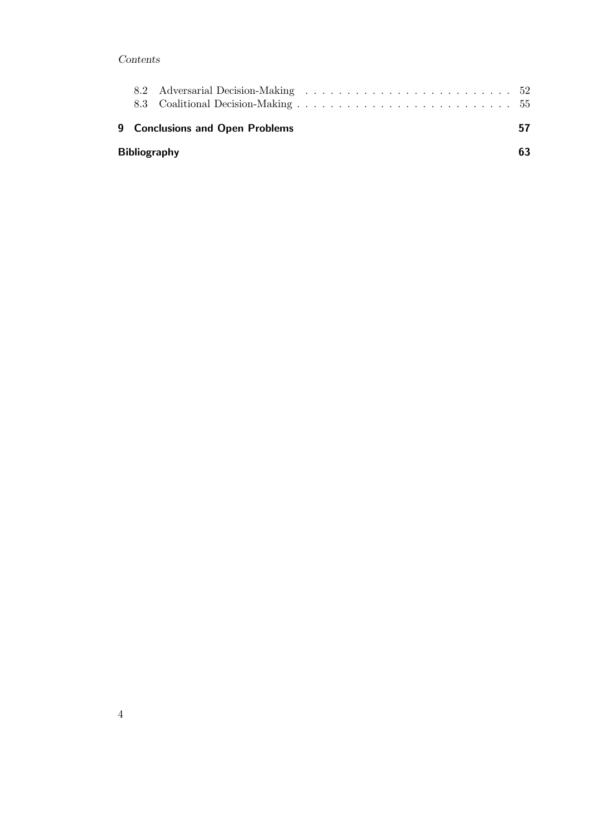## Contents

|                     | <b>9 Conclusions and Open Problems</b> |  |  |  |  |  |  |  |  |  |    |  |  |  |  |  | 57 |
|---------------------|----------------------------------------|--|--|--|--|--|--|--|--|--|----|--|--|--|--|--|----|
| <b>Bibliography</b> |                                        |  |  |  |  |  |  |  |  |  | 63 |  |  |  |  |  |    |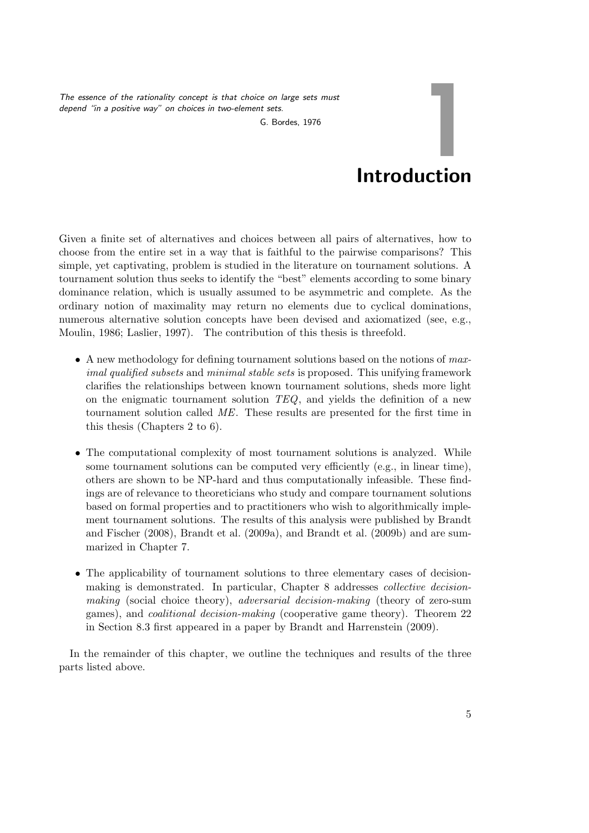*The essence of the rationality concept is that choice on large sets must depend "in a positive way" on choices in two-element sets.*

G. Bordes, 1976

# Introduction

1

Given a finite set of alternatives and choices between all pairs of alternatives, how to choose from the entire set in a way that is faithful to the pairwise comparisons? This simple, yet captivating, problem is studied in the literature on tournament solutions. A tournament solution thus seeks to identify the "best" elements according to some binary dominance relation, which is usually assumed to be asymmetric and complete. As the ordinary notion of maximality may return no elements due to cyclical dominations, numerous alternative solution concepts have been devised and axiomatized (see, e.g., Moulin, 1986; Laslier, 1997). The contribution of this thesis is threefold.

- A new methodology for defining tournament solutions based on the notions of *maximal qualified subsets* and *minimal stable sets* is proposed. This unifying framework clarifies the relationships between known tournament solutions, sheds more light on the enigmatic tournament solution *TEQ*, and yields the definition of a new tournament solution called *ME*. These results are presented for the first time in this thesis (Chapters 2 to 6).
- The computational complexity of most tournament solutions is analyzed. While some tournament solutions can be computed very efficiently (e.g., in linear time), others are shown to be NP-hard and thus computationally infeasible. These findings are of relevance to theoreticians who study and compare tournament solutions based on formal properties and to practitioners who wish to algorithmically implement tournament solutions. The results of this analysis were published by Brandt and Fischer (2008), Brandt et al. (2009a), and Brandt et al. (2009b) and are summarized in Chapter 7.
- The applicability of tournament solutions to three elementary cases of decisionmaking is demonstrated. In particular, Chapter 8 addresses *collective decisionmaking* (social choice theory), *adversarial decision-making* (theory of zero-sum games), and *coalitional decision-making* (cooperative game theory). Theorem 22 in Section 8.3 first appeared in a paper by Brandt and Harrenstein (2009).

In the remainder of this chapter, we outline the techniques and results of the three parts listed above.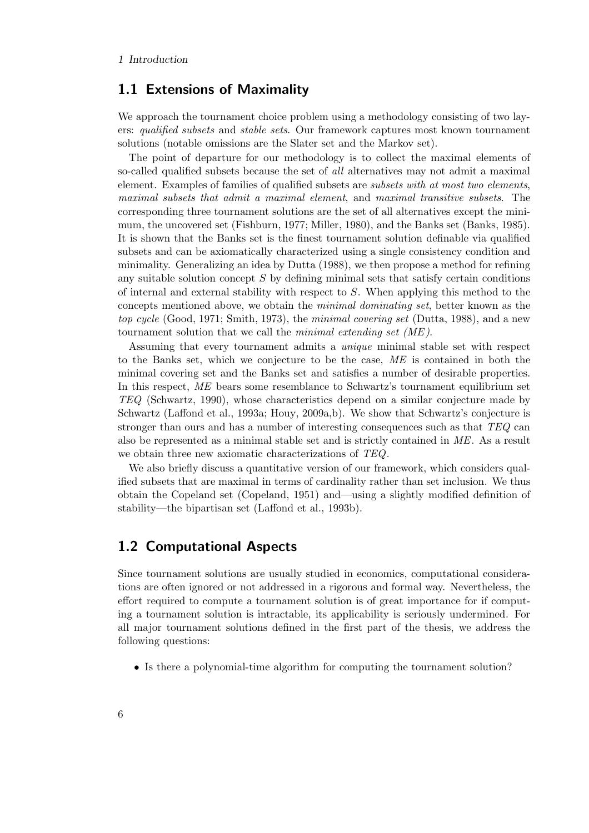## 1.1 Extensions of Maximality

We approach the tournament choice problem using a methodology consisting of two layers: *qualified subsets* and *stable sets*. Our framework captures most known tournament solutions (notable omissions are the Slater set and the Markov set).

The point of departure for our methodology is to collect the maximal elements of so-called qualified subsets because the set of *all* alternatives may not admit a maximal element. Examples of families of qualified subsets are *subsets with at most two elements*, *maximal subsets that admit a maximal element*, and *maximal transitive subsets*. The corresponding three tournament solutions are the set of all alternatives except the minimum, the uncovered set (Fishburn, 1977; Miller, 1980), and the Banks set (Banks, 1985). It is shown that the Banks set is the finest tournament solution definable via qualified subsets and can be axiomatically characterized using a single consistency condition and minimality. Generalizing an idea by Dutta (1988), we then propose a method for refining any suitable solution concept  $S$  by defining minimal sets that satisfy certain conditions of internal and external stability with respect to S. When applying this method to the concepts mentioned above, we obtain the *minimal dominating set*, better known as the *top cycle* (Good, 1971; Smith, 1973), the *minimal covering set* (Dutta, 1988), and a new tournament solution that we call the *minimal extending set (ME )*.

Assuming that every tournament admits a *unique* minimal stable set with respect to the Banks set, which we conjecture to be the case, *ME* is contained in both the minimal covering set and the Banks set and satisfies a number of desirable properties. In this respect, *ME* bears some resemblance to Schwartz's tournament equilibrium set *TEQ* (Schwartz, 1990), whose characteristics depend on a similar conjecture made by Schwartz (Laffond et al., 1993a; Houy, 2009a,b). We show that Schwartz's conjecture is stronger than ours and has a number of interesting consequences such as that *TEQ* can also be represented as a minimal stable set and is strictly contained in *ME*. As a result we obtain three new axiomatic characterizations of *TEQ*.

We also briefly discuss a quantitative version of our framework, which considers qualified subsets that are maximal in terms of cardinality rather than set inclusion. We thus obtain the Copeland set (Copeland, 1951) and—using a slightly modified definition of stability—the bipartisan set (Laffond et al., 1993b).

## 1.2 Computational Aspects

Since tournament solutions are usually studied in economics, computational considerations are often ignored or not addressed in a rigorous and formal way. Nevertheless, the effort required to compute a tournament solution is of great importance for if computing a tournament solution is intractable, its applicability is seriously undermined. For all major tournament solutions defined in the first part of the thesis, we address the following questions:

• Is there a polynomial-time algorithm for computing the tournament solution?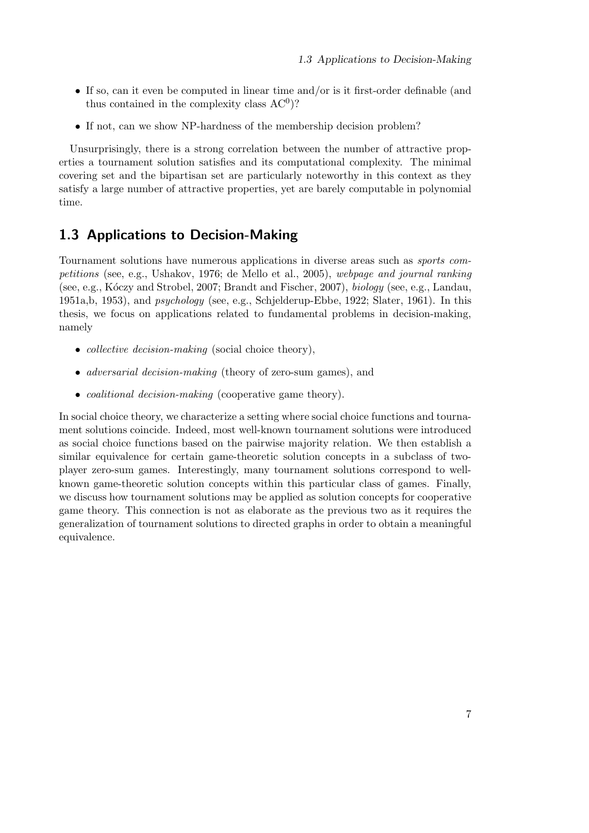- If so, can it even be computed in linear time and/or is it first-order definable (and thus contained in the complexity class  $AC<sup>0</sup>$ ?
- If not, can we show NP-hardness of the membership decision problem?

Unsurprisingly, there is a strong correlation between the number of attractive properties a tournament solution satisfies and its computational complexity. The minimal covering set and the bipartisan set are particularly noteworthy in this context as they satisfy a large number of attractive properties, yet are barely computable in polynomial time.

## 1.3 Applications to Decision-Making

Tournament solutions have numerous applications in diverse areas such as *sports competitions* (see, e.g., Ushakov, 1976; de Mello et al., 2005), *webpage and journal ranking* (see, e.g., K´oczy and Strobel, 2007; Brandt and Fischer, 2007), *biology* (see, e.g., Landau, 1951a,b, 1953), and *psychology* (see, e.g., Schjelderup-Ebbe, 1922; Slater, 1961). In this thesis, we focus on applications related to fundamental problems in decision-making, namely

- *collective decision-making* (social choice theory),
- *adversarial decision-making* (theory of zero-sum games), and
- *coalitional decision-making* (cooperative game theory).

In social choice theory, we characterize a setting where social choice functions and tournament solutions coincide. Indeed, most well-known tournament solutions were introduced as social choice functions based on the pairwise majority relation. We then establish a similar equivalence for certain game-theoretic solution concepts in a subclass of twoplayer zero-sum games. Interestingly, many tournament solutions correspond to wellknown game-theoretic solution concepts within this particular class of games. Finally, we discuss how tournament solutions may be applied as solution concepts for cooperative game theory. This connection is not as elaborate as the previous two as it requires the generalization of tournament solutions to directed graphs in order to obtain a meaningful equivalence.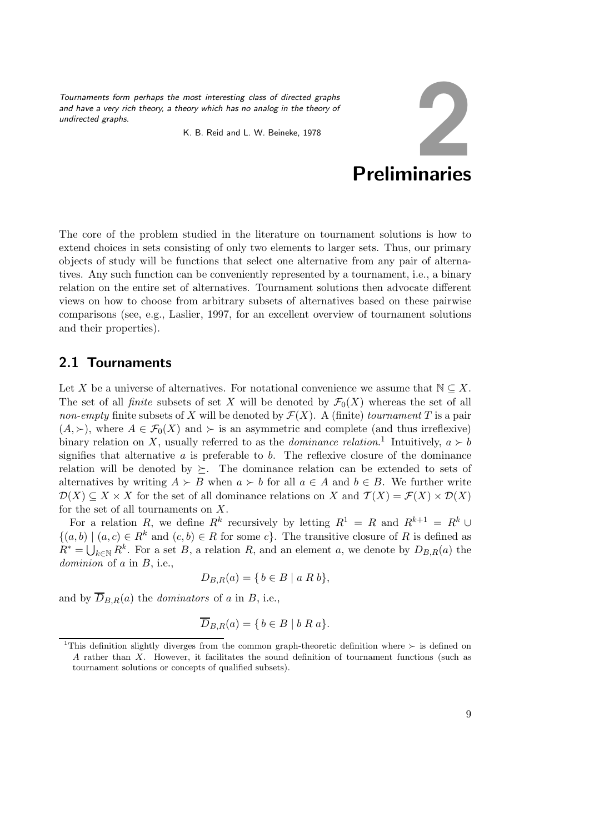*Tournaments form perhaps the most interesting class of directed graphs and have a very rich theory, a theory which has no analog in the theory of undirected graphs.*

K. B. Reid and L. W. Beineke, 1978



The core of the problem studied in the literature on tournament solutions is how to extend choices in sets consisting of only two elements to larger sets. Thus, our primary objects of study will be functions that select one alternative from any pair of alternatives. Any such function can be conveniently represented by a tournament, i.e., a binary relation on the entire set of alternatives. Tournament solutions then advocate different views on how to choose from arbitrary subsets of alternatives based on these pairwise comparisons (see, e.g., Laslier, 1997, for an excellent overview of tournament solutions and their properties).

## 2.1 Tournaments

Let X be a universe of alternatives. For notational convenience we assume that  $\mathbb{N} \subseteq X$ . The set of all *finite* subsets of set X will be denoted by  $\mathcal{F}_0(X)$  whereas the set of all *non-empty* finite subsets of X will be denoted by  $\mathcal{F}(X)$ . A (finite) *tournament* T is a pair  $(A, \succ)$ , where  $A \in \mathcal{F}_0(X)$  and  $\succ$  is an asymmetric and complete (and thus irreflexive) binary relation on X, usually referred to as the *dominance relation*.<sup>1</sup> Intuitively,  $a \succ b$ signifies that alternative  $a$  is preferable to  $b$ . The reflexive closure of the dominance relation will be denoted by  $\succeq$ . The dominance relation can be extended to sets of alternatives by writing  $A \succ B$  when  $a \succ b$  for all  $a \in A$  and  $b \in B$ . We further write  $\mathcal{D}(X) \subseteq X \times X$  for the set of all dominance relations on X and  $\mathcal{T}(X) = \mathcal{F}(X) \times \mathcal{D}(X)$ for the set of all tournaments on  $X$ .

For a relation R, we define  $R^k$  recursively by letting  $R^1 = R$  and  $R^{k+1} = R^k \cup$  $\{(a, b) | (a, c) \in R^k \text{ and } (c, b) \in R \text{ for some } c\}.$  The transitive closure of R is defined as  $R^* = \bigcup_{k \in \mathbb{N}} R^k$ . For a set B, a relation R, and an element a, we denote by  $D_{B,R}(a)$  the *dominion* of a in B, i.e.,

$$
D_{B,R}(a) = \{ b \in B \mid a \ R \ b \},\
$$

and by  $\overline{D}_{B,R}(a)$  the *dominators* of a in B, i.e.,

$$
\overline{D}_{B,R}(a) = \{ b \in B \mid b R a \}.
$$

<sup>&</sup>lt;sup>1</sup>This definition slightly diverges from the common graph-theoretic definition where ≻ is defined on A rather than X. However, it facilitates the sound definition of tournament functions (such as tournament solutions or concepts of qualified subsets).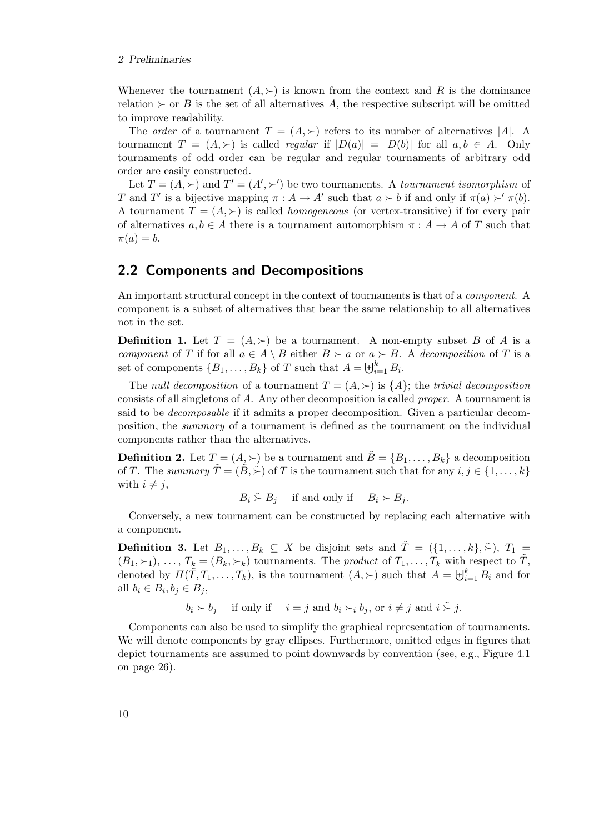#### 2 Preliminaries

Whenever the tournament  $(A, \succ)$  is known from the context and R is the dominance relation  $\succ$  or B is the set of all alternatives A, the respective subscript will be omitted to improve readability.

The *order* of a tournament  $T = (A, \succ)$  refers to its number of alternatives |A|. A tournament  $T = (A, \succ)$  is called *regular* if  $|D(a)| = |D(b)|$  for all  $a, b \in A$ . Only tournaments of odd order can be regular and regular tournaments of arbitrary odd order are easily constructed.

Let  $T = (A, \succ)$  and  $T' = (A', \succ')$  be two tournaments. A *tournament isomorphism* of T and T' is a bijective mapping  $\pi : A \to A'$  such that  $a \succ b$  if and only if  $\pi(a) \succ' \pi(b)$ . A tournament  $T = (A, \succ)$  is called *homogeneous* (or vertex-transitive) if for every pair of alternatives  $a, b \in A$  there is a tournament automorphism  $\pi : A \to A$  of T such that  $\pi(a) = b.$ 

### 2.2 Components and Decompositions

An important structural concept in the context of tournaments is that of a *component*. A component is a subset of alternatives that bear the same relationship to all alternatives not in the set.

**Definition 1.** Let  $T = (A, \succ)$  be a tournament. A non-empty subset B of A is a *component* of T if for all  $a \in A \setminus B$  either  $B \succ a$  or  $a \succ B$ . A *decomposition* of T is a set of components  $\{B_1, \ldots, B_k\}$  of T such that  $A = \biguplus_{i=1}^k B_i$ .

The *null decomposition* of a tournament  $T = (A, \succ)$  is  $\{A\}$ ; the *trivial decomposition* consists of all singletons of A. Any other decomposition is called *proper*. A tournament is said to be *decomposable* if it admits a proper decomposition. Given a particular decomposition, the *summary* of a tournament is defined as the tournament on the individual components rather than the alternatives.

**Definition 2.** Let  $T = (A_2 \succ)$  be a tournament and  $\tilde{B} = \{B_1, \ldots, B_k\}$  a decomposition of T. The *summary*  $\tilde{T} = (\tilde{B}, \tilde{\succ})$  of T is the tournament such that for any  $i, j \in \{1, \ldots, k\}$ with  $i \neq j$ ,

 $B_i \stackrel{\sim}{\sim} B_j$  if and only if  $B_i \succ B_j$ .

Conversely, a new tournament can be constructed by replacing each alternative with a component.

**Definition 3.** Let  $B_1, \ldots, B_k \subseteq X$  be disjoint sets and  $\tilde{T} = (\{1, \ldots, k\}, \tilde{\succ}), T_1 =$  $(B_1,\succ_1),\ldots,T_k=(B_k,\succ_k)$  tournaments. The *product* of  $T_1,\ldots,T_k$  with respect to  $\tilde{T}$ , denoted by  $\Pi(\tilde{T}, T_1, \ldots, T_k)$ , is the tournament  $(A, \succ)$  such that  $A = \biguplus_{i=1}^k B_i$  and for all  $b_i \in B_i, b_j \in B_j$ ,

 $b_i \succ b_j$  if only if  $i = j$  and  $b_i \succ_i b_j$ , or  $i \neq j$  and  $i \stackrel{\sim}{\succ} j$ .

Components can also be used to simplify the graphical representation of tournaments. We will denote components by gray ellipses. Furthermore, omitted edges in figures that depict tournaments are assumed to point downwards by convention (see, e.g., Figure 4.1 on page 26).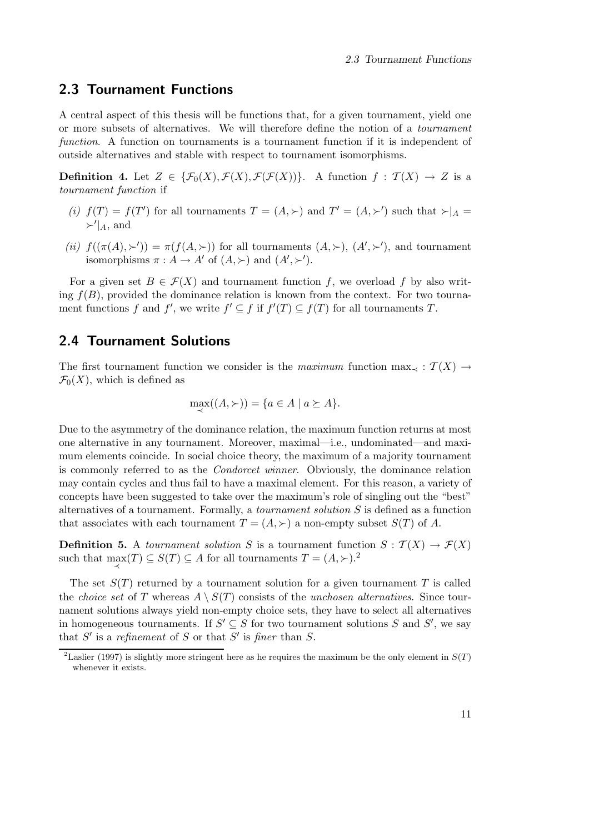### 2.3 Tournament Functions

A central aspect of this thesis will be functions that, for a given tournament, yield one or more subsets of alternatives. We will therefore define the notion of a *tournament function*. A function on tournaments is a tournament function if it is independent of outside alternatives and stable with respect to tournament isomorphisms.

**Definition 4.** Let  $Z \in {\mathcal{F}_0(X), \mathcal{F}(X), \mathcal{F}(\mathcal{F}(X))}$ . A function  $f : \mathcal{T}(X) \to Z$  is a *tournament function* if

- (*i*)  $f(T) = f(T')$  for all tournaments  $T = (A, \succ)$  and  $T' = (A, \succ')$  such that  $\succ|_{A} =$  $\succ'$ <sub>A</sub>, and
- (*ii*)  $f((\pi(A), \succ')) = \pi(f(A, \succ))$  for all tournaments  $(A, \succ), (A', \succ')$ , and tournament isomorphisms  $\pi : A \to A'$  of  $(A, \succ)$  and  $(A', \succ')$ .

For a given set  $B \in \mathcal{F}(X)$  and tournament function f, we overload f by also writing  $f(B)$ , provided the dominance relation is known from the context. For two tournament functions f and f', we write  $f' \subseteq f$  if  $f'(T) \subseteq f(T)$  for all tournaments T.

## 2.4 Tournament Solutions

The first tournament function we consider is the *maximum* function  $\max_{\prec} : \mathcal{T}(X) \to$  $\mathcal{F}_0(X)$ , which is defined as

$$
\max_{\prec}(A, \succ) = \{a \in A \mid a \succeq A\}.
$$

Due to the asymmetry of the dominance relation, the maximum function returns at most one alternative in any tournament. Moreover, maximal—i.e., undominated—and maximum elements coincide. In social choice theory, the maximum of a majority tournament is commonly referred to as the *Condorcet winner*. Obviously, the dominance relation may contain cycles and thus fail to have a maximal element. For this reason, a variety of concepts have been suggested to take over the maximum's role of singling out the "best" alternatives of a tournament. Formally, a *tournament solution* S is defined as a function that associates with each tournament  $T = (A, \succ)$  a non-empty subset  $S(T)$  of A.

**Definition 5.** A *tournament solution* S is a tournament function  $S : \mathcal{T}(X) \to \mathcal{F}(X)$ such that  $\max_{\prec}(T) \subseteq S(T) \subseteq A$  for all tournaments  $T = (A, \succ)$ .<sup>2</sup>

The set  $S(T)$  returned by a tournament solution for a given tournament T is called the *choice set* of T whereas  $A \setminus S(T)$  consists of the *unchosen alternatives*. Since tournament solutions always yield non-empty choice sets, they have to select all alternatives in homogeneous tournaments. If  $S' \subseteq S$  for two tournament solutions S and S', we say that  $S'$  is a *refinement* of  $S$  or that  $S'$  is *finer* than  $S$ .

<sup>&</sup>lt;sup>2</sup>Laslier (1997) is slightly more stringent here as he requires the maximum be the only element in  $S(T)$ whenever it exists.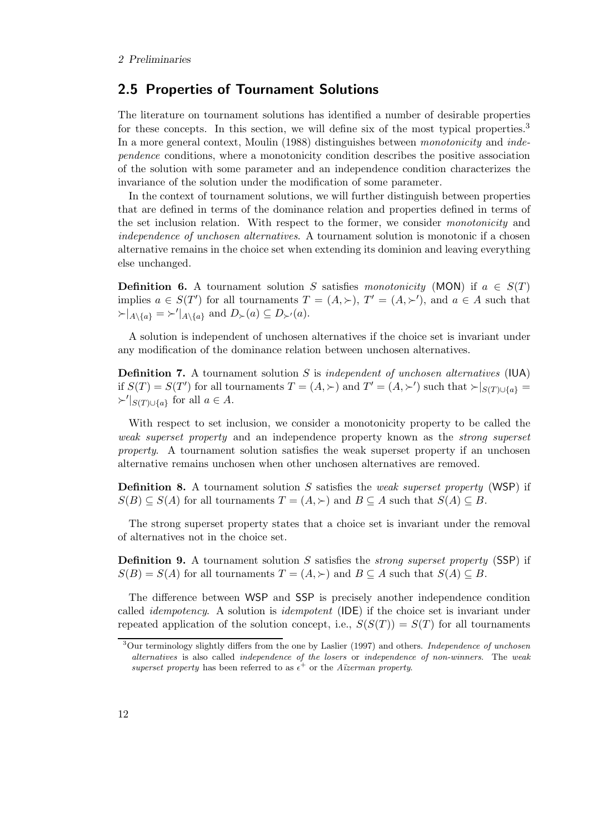## 2.5 Properties of Tournament Solutions

The literature on tournament solutions has identified a number of desirable properties for these concepts. In this section, we will define six of the most typical properties.<sup>3</sup> In a more general context, Moulin (1988) distinguishes between *monotonicity* and *independence* conditions, where a monotonicity condition describes the positive association of the solution with some parameter and an independence condition characterizes the invariance of the solution under the modification of some parameter.

In the context of tournament solutions, we will further distinguish between properties that are defined in terms of the dominance relation and properties defined in terms of the set inclusion relation. With respect to the former, we consider *monotonicity* and *independence of unchosen alternatives*. A tournament solution is monotonic if a chosen alternative remains in the choice set when extending its dominion and leaving everything else unchanged.

**Definition 6.** A tournament solution S satisfies *monotonicity* (MON) if  $a \in S(T)$ implies  $a \in S(T')$  for all tournaments  $T = (A, \succ), T' = (A, \succ')$ , and  $a \in A$  such that  $\succ |_{A\setminus\{a\}} = \succ' |_{A\setminus\{a\}}$  and  $D_{\succ}(a) \subseteq D_{\succ'}(a)$ .

A solution is independent of unchosen alternatives if the choice set is invariant under any modification of the dominance relation between unchosen alternatives.

Definition 7. A tournament solution S is *independent of unchosen alternatives* (IUA) if  $S(T) = S(T')$  for all tournaments  $T = (A, \succ)$  and  $T' = (A, \succ')$  such that  $\succ |_{S(T) \cup \{a\}} =$  $\succ' \vert_{S(T) \cup \{a\}}$  for all  $a \in A$ .

With respect to set inclusion, we consider a monotonicity property to be called the *weak superset property* and an independence property known as the *strong superset property*. A tournament solution satisfies the weak superset property if an unchosen alternative remains unchosen when other unchosen alternatives are removed.

Definition 8. A tournament solution S satisfies the *weak superset property* (WSP) if  $S(B) \subseteq S(A)$  for all tournaments  $T = (A, \succ)$  and  $B \subseteq A$  such that  $S(A) \subseteq B$ .

The strong superset property states that a choice set is invariant under the removal of alternatives not in the choice set.

Definition 9. A tournament solution S satisfies the *strong superset property* (SSP) if  $S(B) = S(A)$  for all tournaments  $T = (A, \succ)$  and  $B \subseteq A$  such that  $S(A) \subseteq B$ .

The difference between WSP and SSP is precisely another independence condition called *idempotency*. A solution is *idempotent* (IDE) if the choice set is invariant under repeated application of the solution concept, i.e.,  $S(S(T)) = S(T)$  for all tournaments

 $3$ Our terminology slightly differs from the one by Laslier (1997) and others. *Independence of unchosen* alternatives is also called independence of the losers or independence of non-winners. The weak superset property has been referred to as  $\epsilon^+$  or the Aüzerman property.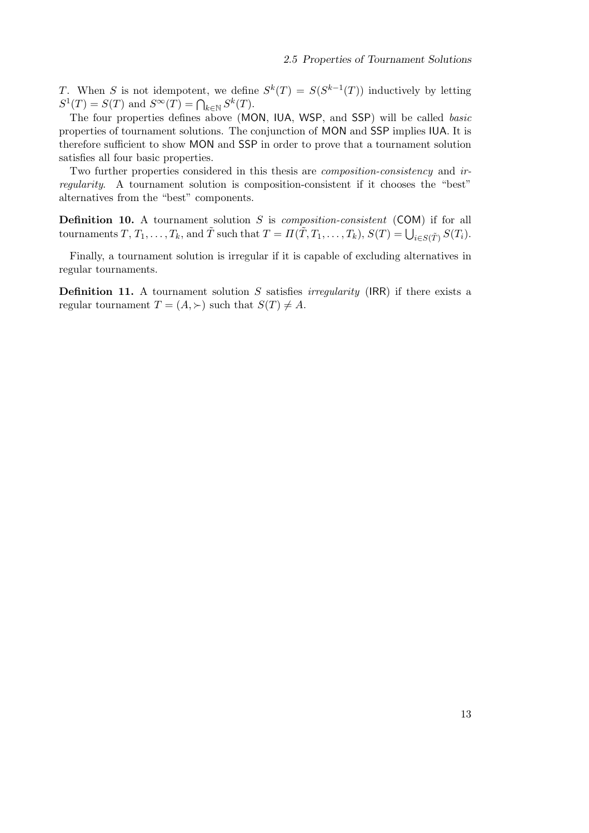T. When S is not idempotent, we define  $S^k(T) = S(S^{k-1}(T))$  inductively by letting  $S^1(T) = S(T)$  and  $S^{\infty}(T) = \bigcap_{k \in \mathbb{N}} S^k(T)$ .

The four properties defines above (MON, IUA, WSP, and SSP) will be called *basic* properties of tournament solutions. The conjunction of MON and SSP implies IUA. It is therefore sufficient to show MON and SSP in order to prove that a tournament solution satisfies all four basic properties.

Two further properties considered in this thesis are *composition-consistency* and *irregularity*. A tournament solution is composition-consistent if it chooses the "best" alternatives from the "best" components.

Definition 10. A tournament solution S is *composition-consistent* (COM) if for all tournaments  $T, T_1, \ldots, T_k$ , and  $\tilde{T}$  such that  $T = \Pi(\tilde{T}, T_1, \ldots, T_k)$ ,  $S(T) = \bigcup_{i \in S(\tilde{T})} S(T_i)$ .

Finally, a tournament solution is irregular if it is capable of excluding alternatives in regular tournaments.

Definition 11. A tournament solution S satisfies *irregularity* (IRR) if there exists a regular tournament  $T = (A, \succ)$  such that  $S(T) \neq A$ .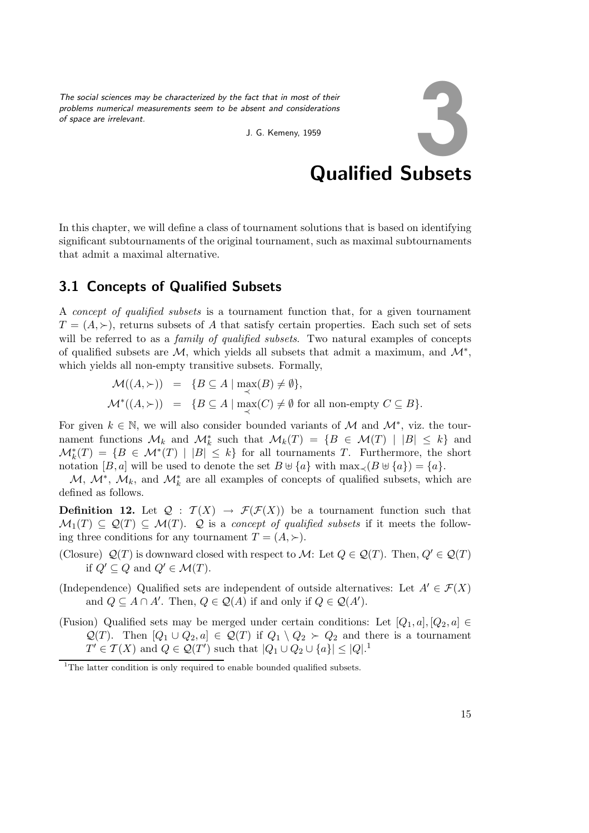*The social sciences may be characterized by the fact that in most of their problems numerical measurements seem to be absent and considerations of space are irrelevant.*



Qualified Subsets

In this chapter, we will define a class of tournament solutions that is based on identifying significant subtournaments of the original tournament, such as maximal subtournaments that admit a maximal alternative.

J. G. Kemeny, 1959

## 3.1 Concepts of Qualified Subsets

A *concept of qualified subsets* is a tournament function that, for a given tournament  $T = (A, \succ)$ , returns subsets of A that satisfy certain properties. Each such set of sets will be referred to as a *family of qualified subsets*. Two natural examples of concepts of qualified subsets are  $\mathcal{M}$ , which yields all subsets that admit a maximum, and  $\mathcal{M}^*$ , which yields all non-empty transitive subsets. Formally,

$$
\mathcal{M}((A,\succ)) = \{ B \subseteq A \mid \max_{\prec}(B) \neq \emptyset \},
$$
  

$$
\mathcal{M}^*((A,\succ)) = \{ B \subseteq A \mid \max_{\prec}(C) \neq \emptyset \text{ for all non-empty } C \subseteq B \}.
$$

For given  $k \in \mathbb{N}$ , we will also consider bounded variants of M and  $\mathcal{M}^*$ , viz. the tournament functions  $\mathcal{M}_k$  and  $\mathcal{M}_k^*$  such that  $\mathcal{M}_k(T) = \{B \in \mathcal{M}(T) \mid |B| \leq k\}$  and  $\mathcal{M}_{k}^{*}(T) = \{B \in \mathcal{M}^{*}(T) \mid |B| \leq k\}$  for all tournaments T. Furthermore, the short notation  $[B, a]$  will be used to denote the set  $B \cup \{a\}$  with  $\max_{\prec} (B \cup \{a\}) = \{a\}.$ 

 $\mathcal{M}, \mathcal{M}^*, \mathcal{M}_k$ , and  $\mathcal{M}_k^*$  are all examples of concepts of qualified subsets, which are defined as follows.

**Definition 12.** Let  $\mathcal{Q}$  :  $\mathcal{T}(X) \to \mathcal{F}(\mathcal{F}(X))$  be a tournament function such that  $\mathcal{M}_1(T) \subseteq \mathcal{Q}(T) \subseteq \mathcal{M}(T)$ . Q is a *concept of qualified subsets* if it meets the following three conditions for any tournament  $T = (A, \succ).$ 

- (Closure)  $\mathcal{Q}(T)$  is downward closed with respect to M: Let  $Q \in \mathcal{Q}(T)$ . Then,  $Q' \in \mathcal{Q}(T)$ if  $Q' \subseteq Q$  and  $Q' \in \mathcal{M}(T)$ .
- (Independence) Qualified sets are independent of outside alternatives: Let  $A' \in \mathcal{F}(X)$ and  $Q \subseteq A \cap A'$ . Then,  $Q \in \mathcal{Q}(A)$  if and only if  $Q \in \mathcal{Q}(A')$ .
- (Fusion) Qualified sets may be merged under certain conditions: Let  $[Q_1, a], [Q_2, a] \in$  $\mathcal{Q}(T)$ . Then  $[Q_1 \cup Q_2, a] \in \mathcal{Q}(T)$  if  $Q_1 \setminus Q_2 \succ Q_2$  and there is a tournament  $T' \in \mathcal{T}(X)$  and  $Q \in \mathcal{Q}(T')$  such that  $|Q_1 \cup Q_2 \cup \{a\}| \leq |Q|$ .<sup>1</sup>

<sup>&</sup>lt;sup>1</sup>The latter condition is only required to enable bounded qualified subsets.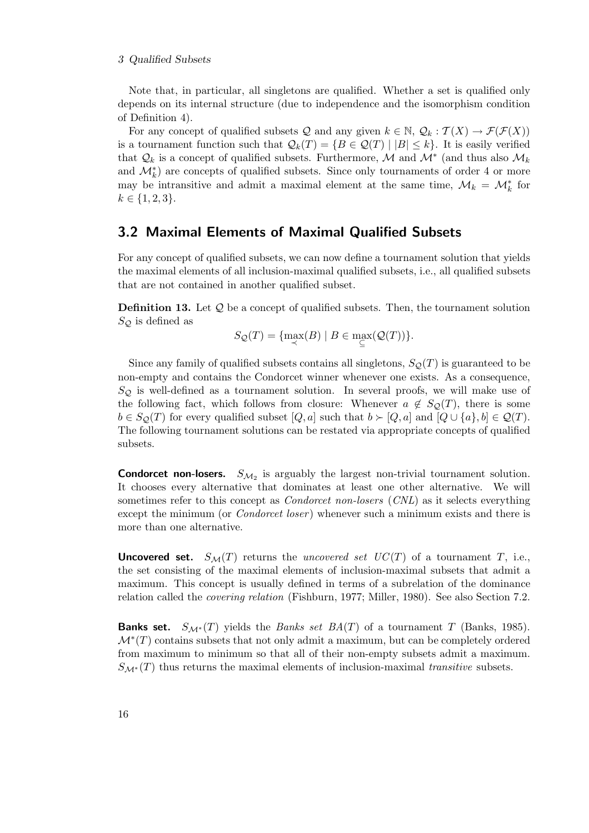#### 3 Qualified Subsets

Note that, in particular, all singletons are qualified. Whether a set is qualified only depends on its internal structure (due to independence and the isomorphism condition of Definition 4).

For any concept of qualified subsets Q and any given  $k \in \mathbb{N}$ ,  $\mathcal{Q}_k : \mathcal{T}(X) \to \mathcal{F}(\mathcal{F}(X))$ is a tournament function such that  $\mathcal{Q}_k(T) = \{B \in \mathcal{Q}(T) \mid |B| \leq k\}.$  It is easily verified that  $\mathcal{Q}_k$  is a concept of qualified subsets. Furthermore, M and  $\mathcal{M}^*$  (and thus also  $\mathcal{M}_k$ and  $\mathcal{M}_{k}^{*}$  are concepts of qualified subsets. Since only tournaments of order 4 or more may be intransitive and admit a maximal element at the same time,  $\mathcal{M}_k = \mathcal{M}_k^*$  for  $k \in \{1, 2, 3\}.$ 

### 3.2 Maximal Elements of Maximal Qualified Subsets

For any concept of qualified subsets, we can now define a tournament solution that yields the maximal elements of all inclusion-maximal qualified subsets, i.e., all qualified subsets that are not contained in another qualified subset.

**Definition 13.** Let  $Q$  be a concept of qualified subsets. Then, the tournament solution  $S_{\mathcal{Q}}$  is defined as

$$
S_{\mathcal{Q}}(T) = \{ \max_{\prec}(B) \mid B \in \max_{\subseteq}(\mathcal{Q}(T)) \}.
$$

Since any family of qualified subsets contains all singletons,  $S_{\mathcal{O}}(T)$  is guaranteed to be non-empty and contains the Condorcet winner whenever one exists. As a consequence,  $S_{\mathcal{O}}$  is well-defined as a tournament solution. In several proofs, we will make use of the following fact, which follows from closure: Whenever  $a \notin S_{\mathcal{Q}}(T)$ , there is some  $b \in S_{\mathcal{Q}}(T)$  for every qualified subset  $[Q, a]$  such that  $b \succ [Q, a]$  and  $[Q \cup \{a\}, b] \in \mathcal{Q}(T)$ . The following tournament solutions can be restated via appropriate concepts of qualified subsets.

**Condorcet non-losers.**  $S_{\mathcal{M}_2}$  is arguably the largest non-trivial tournament solution. It chooses every alternative that dominates at least one other alternative. We will sometimes refer to this concept as *Condorcet non-losers* (*CNL*) as it selects everything except the minimum (or *Condorcet loser* ) whenever such a minimum exists and there is more than one alternative.

**Uncovered set.**  $S_M(T)$  returns the *uncovered set UC(T)* of a tournament T, i.e., the set consisting of the maximal elements of inclusion-maximal subsets that admit a maximum. This concept is usually defined in terms of a subrelation of the dominance relation called the *covering relation* (Fishburn, 1977; Miller, 1980). See also Section 7.2.

**Banks set.**  $S_{\mathcal{M}^*}(T)$  yields the *Banks set BA*(T) of a tournament T (Banks, 1985).  $\mathcal{M}^*(T)$  contains subsets that not only admit a maximum, but can be completely ordered from maximum to minimum so that all of their non-empty subsets admit a maximum.  $S_{\mathcal{M}^*}(T)$  thus returns the maximal elements of inclusion-maximal *transitive* subsets.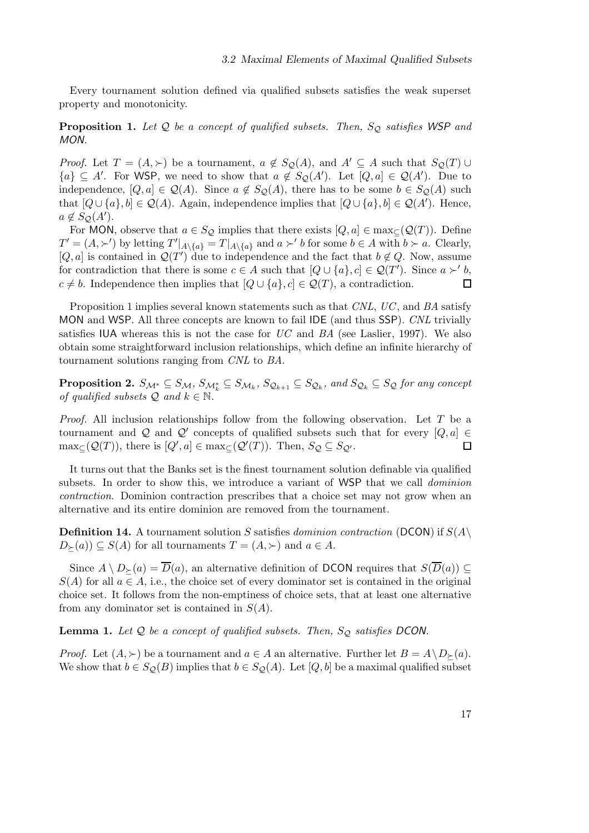Every tournament solution defined via qualified subsets satisfies the weak superset property and monotonicity.

**Proposition 1.** Let Q be a concept of qualified subsets. Then,  $S_Q$  satisfies WSP and *MON.*

*Proof.* Let  $T = (A, \succ)$  be a tournament,  $a \notin S_Q(A)$ , and  $A' \subseteq A$  such that  $S_Q(T) \cup$  ${a} \subseteq A'$ . For WSP, we need to show that  $a \notin S_{\mathcal{Q}}(A')$ . Let  $[Q, a] \in \mathcal{Q}(A')$ . Due to independence,  $[Q, a] \in \mathcal{Q}(A)$ . Since  $a \notin S_{\mathcal{Q}}(A)$ , there has to be some  $b \in S_{\mathcal{Q}}(A)$  such that  $[Q \cup \{a\}, b] \in \mathcal{Q}(A)$ . Again, independence implies that  $[Q \cup \{a\}, b] \in \mathcal{Q}(A')$ . Hence,  $a \notin S_{\mathcal{Q}}(A').$ 

For MON, observe that  $a \in S_{\mathcal{Q}}$  implies that there exists  $[Q, a] \in \max_{\mathcal{Q}}(Q(T))$ . Define  $T' = (A, \succ')$  by letting  $T'|_{A \setminus \{a\}} = T|_{A \setminus \{a\}}$  and  $a \succ' b$  for some  $b \in A$  with  $b \succ a$ . Clearly,  $[Q, a]$  is contained in  $\mathcal{Q}(T')$  due to independence and the fact that  $b \notin Q$ . Now, assume for contradiction that there is some  $c \in A$  such that  $[Q \cup \{a\}, c] \in \mathcal{Q}(T')$ . Since  $a \succ' b$ ,  $c \neq b$ . Independence then implies that  $[Q \cup \{a\}, c] \in \mathcal{Q}(T)$ , a contradiction.  $\Box$ 

Proposition 1 implies several known statements such as that *CNL*, *UC*, and *BA* satisfy MON and WSP. All three concepts are known to fail IDE (and thus SSP). *CNL* trivially satisfies IUA whereas this is not the case for *UC* and *BA* (see Laslier, 1997). We also obtain some straightforward inclusion relationships, which define an infinite hierarchy of tournament solutions ranging from *CNL* to *BA*.

 $\bf Proposition~2.~S_{M^*}\subseteq S_M,$   $S_{\mathcal{M}^*_k}\subseteq S_{\mathcal{M}_k},$   $S_{\mathcal{Q}_{k+1}}\subseteq S_{\mathcal{Q}_k},$  and  $S_{\mathcal{Q}_k}\subseteq S_{\mathcal{Q}}$  for any concept *of qualified subsets*  $\mathcal{Q}$  *and*  $k \in \mathbb{N}$ *.* 

*Proof.* All inclusion relationships follow from the following observation. Let T be a tournament and Q and Q' concepts of qualified subsets such that for every  $[Q, a] \in$  $\max_{\subseteq}(\mathcal{Q}(T))$ , there is  $[Q',a] \in \max_{\subseteq}(\mathcal{Q}'(T))$ . Then,  $S_{\mathcal{Q}} \subseteq S_{\mathcal{Q}'}$ .  $\Box$ 

It turns out that the Banks set is the finest tournament solution definable via qualified subsets. In order to show this, we introduce a variant of WSP that we call *dominion contraction*. Dominion contraction prescribes that a choice set may not grow when an alternative and its entire dominion are removed from the tournament.

**Definition 14.** A tournament solution S satisfies *dominion contraction* (DCON) if  $S(A)$  $D_{\succ}(a)$   $\subseteq$   $S(A)$  for all tournaments  $T = (A, \succ)$  and  $a \in A$ .

Since  $A \setminus D_{\succ}(a) = \overline{D}(a)$ , an alternative definition of DCON requires that  $S(\overline{D}(a)) \subseteq$  $S(A)$  for all  $a \in A$ , i.e., the choice set of every dominator set is contained in the original choice set. It follows from the non-emptiness of choice sets, that at least one alternative from any dominator set is contained in  $S(A)$ .

Lemma 1. Let Q be a concept of qualified subsets. Then,  $S_Q$  satisfies DCON.

*Proof.* Let  $(A, \succ)$  be a tournament and  $a \in A$  an alternative. Further let  $B = A \setminus D_{\succ}(a)$ . We show that  $b \in S_{\mathcal{Q}}(B)$  implies that  $b \in S_{\mathcal{Q}}(A)$ . Let  $[Q, b]$  be a maximal qualified subset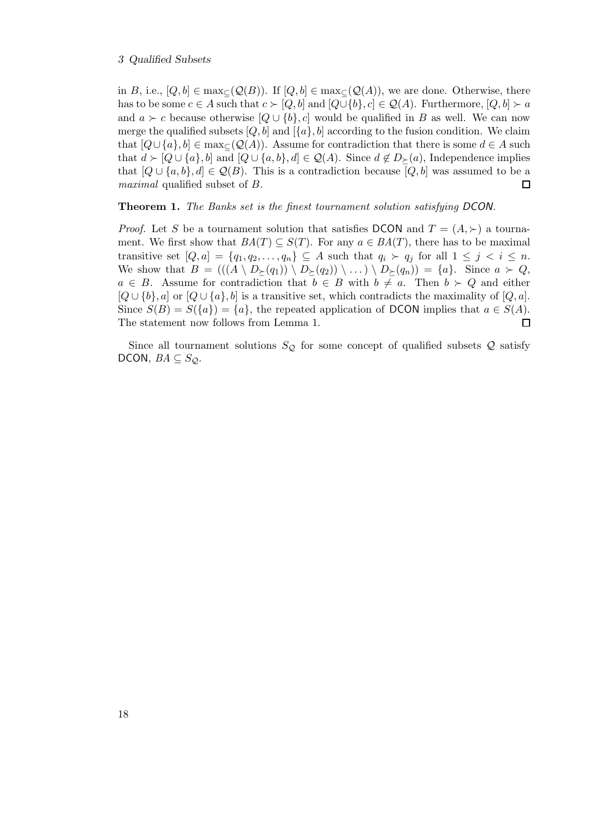#### 3 Qualified Subsets

in B, i.e.,  $[Q, b] \in \max_{\subset} (Q(B))$ . If  $[Q, b] \in \max_{\subset} (Q(A))$ , we are done. Otherwise, there has to be some  $c \in A$  such that  $c \succ [Q, b]$  and  $[Q \cup \{b\}, c] \in \mathcal{Q}(A)$ . Furthermore,  $[Q, b] \succ a$ and  $a \succ c$  because otherwise  $[Q \cup \{b\}, c]$  would be qualified in B as well. We can now merge the qualified subsets  $[Q, b]$  and  $[\{a\}, b]$  according to the fusion condition. We claim that  $[Q \cup \{a\}, b] \in \max_{\subseteq} (Q(A))$ . Assume for contradiction that there is some  $d \in A$  such that  $d \succ [Q \cup \{a\}, b]$  and  $[Q \cup \{a, b\}, d] \in Q(A)$ . Since  $d \notin D_{\succ}(a)$ , Independence implies that  $[Q \cup \{a, b\}, d] \in \mathcal{Q}(B)$ . This is a contradiction because  $[Q, b]$  was assumed to be a *maximal* qualified subset of B.  $\Box$ 

#### Theorem 1. *The Banks set is the finest tournament solution satisfying DCON.*

*Proof.* Let S be a tournament solution that satisfies DCON and  $T = (A, \succ)$  a tournament. We first show that  $BA(T) \subseteq S(T)$ . For any  $a \in BA(T)$ , there has to be maximal transitive set  $[Q, a] = \{q_1, q_2, \ldots, q_n\} \subseteq A$  such that  $q_i \succ q_j$  for all  $1 \leq j \leq i \leq n$ . We show that  $B = (((A \setminus D_{\succeq}(q_1)) \setminus D_{\succeq}(q_2)) \setminus ...) \setminus D_{\succeq}(q_n)) = \{a\}.$  Since  $a \succ Q$ ,  $a \in B$ . Assume for contradiction that  $b \in B$  with  $b \neq a$ . Then  $b \succ Q$  and either  $[Q \cup \{b\}, a]$  or  $[Q \cup \{a\}, b]$  is a transitive set, which contradicts the maximality of  $[Q, a]$ . Since  $S(B) = S({a}) = {a}$ , the repeated application of DCON implies that  $a \in S(A)$ . The statement now follows from Lemma 1.  $\Box$ 

Since all tournament solutions  $S_{\mathcal{Q}}$  for some concept of qualified subsets  $\mathcal{Q}$  satisfy DCON,  $BA \subseteq S_Q$ .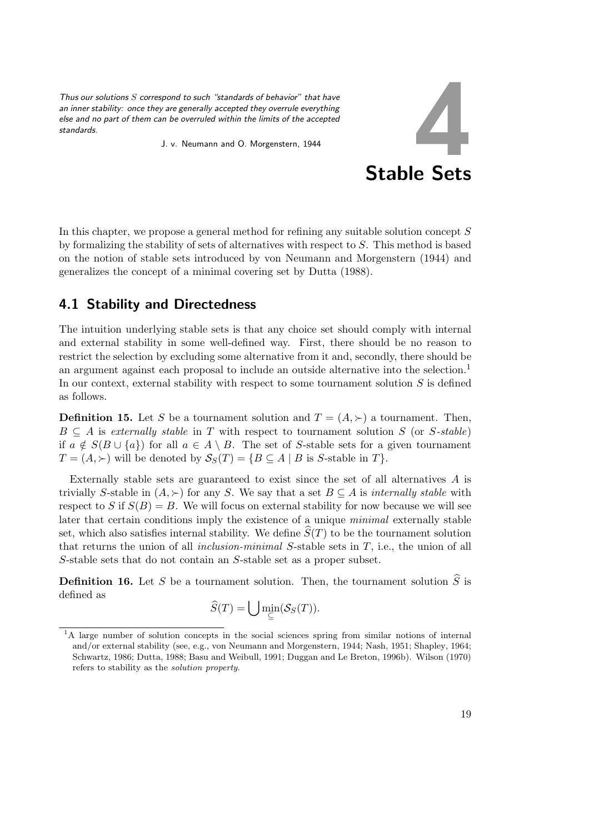*Thus our solutions* S *correspond to such "standards of behavior" that have an inner stability: once they are generally accepted they overrule everything else and no part of them can be overruled within the limits of the accepted standards.*

J. v. Neumann and O. Morgenstern, 1944



In this chapter, we propose a general method for refining any suitable solution concept S by formalizing the stability of sets of alternatives with respect to S. This method is based on the notion of stable sets introduced by von Neumann and Morgenstern (1944) and generalizes the concept of a minimal covering set by Dutta (1988).

## 4.1 Stability and Directedness

The intuition underlying stable sets is that any choice set should comply with internal and external stability in some well-defined way. First, there should be no reason to restrict the selection by excluding some alternative from it and, secondly, there should be an argument against each proposal to include an outside alternative into the selection.<sup>1</sup> In our context, external stability with respect to some tournament solution  $S$  is defined as follows.

**Definition 15.** Let S be a tournament solution and  $T = (A, \succ)$  a tournament. Then,  $B \subseteq A$  is *externally stable* in T with respect to tournament solution S (or S-stable) if  $a \notin S(B \cup \{a\})$  for all  $a \in A \setminus B$ . The set of S-stable sets for a given tournament  $T = (A, \succ)$  will be denoted by  $S_S(T) = \{ B \subseteq A \mid B \text{ is } S\text{-stable in } T \}.$ 

Externally stable sets are guaranteed to exist since the set of all alternatives A is trivially S-stable in  $(A, \succ)$  for any S. We say that a set  $B \subseteq A$  is *internally stable* with respect to S if  $S(B) = B$ . We will focus on external stability for now because we will see later that certain conditions imply the existence of a unique *minimal* externally stable set, which also satisfies internal stability. We define  $S(T)$  to be the tournament solution that returns the union of all *inclusion-minimal* S-stable sets in T, i.e., the union of all S-stable sets that do not contain an S-stable set as a proper subset.

**Definition 16.** Let S be a tournament solution. Then, the tournament solution  $\widehat{S}$  is defined as

$$
\widehat{S}(T) = \bigcup \min_{\subseteq} (S_S(T)).
$$

<sup>&</sup>lt;sup>1</sup>A large number of solution concepts in the social sciences spring from similar notions of internal and/or external stability (see, e.g., von Neumann and Morgenstern, 1944; Nash, 1951; Shapley, 1964; Schwartz, 1986; Dutta, 1988; Basu and Weibull, 1991; Duggan and Le Breton, 1996b). Wilson (1970) refers to stability as the solution property.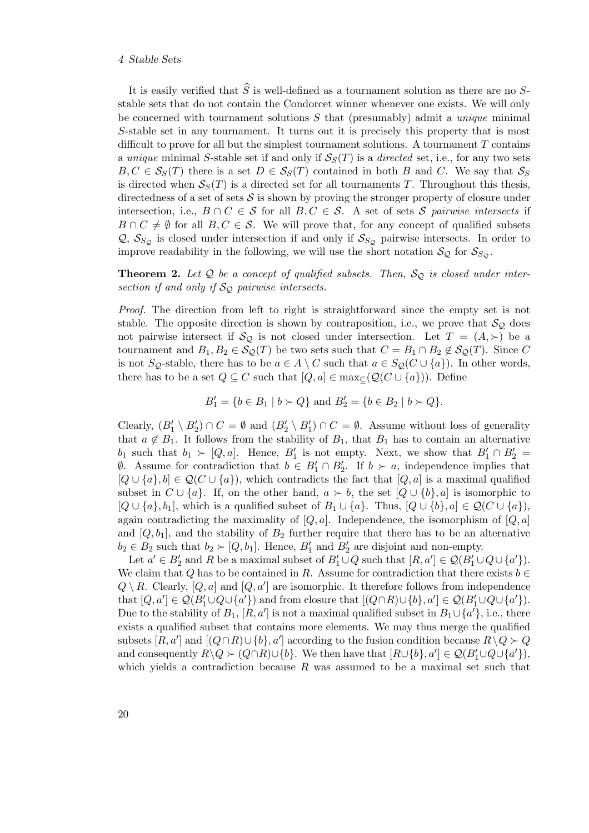#### 4 Stable Sets

It is easily verified that  $\widehat{S}$  is well-defined as a tournament solution as there are no Sstable sets that do not contain the Condorcet winner whenever one exists. We will only be concerned with tournament solutions S that (presumably) admit a *unique* minimal S-stable set in any tournament. It turns out it is precisely this property that is most difficult to prove for all but the simplest tournament solutions. A tournament  $T$  contains a *unique* minimal S-stable set if and only if  $S<sub>S</sub>(T)$  is a *directed* set, i.e., for any two sets  $B, C \in S_S(T)$  there is a set  $D \in S_S(T)$  contained in both B and C. We say that  $S_S$ is directed when  $S<sub>S</sub>(T)$  is a directed set for all tournaments T. Throughout this thesis, directedness of a set of sets  $\mathcal S$  is shown by proving the stronger property of closure under intersection, i.e.,  $B \cap C \in \mathcal{S}$  for all  $B, C \in \mathcal{S}$ . A set of sets  $\mathcal{S}$  *pairwise intersects* if  $B \cap C \neq \emptyset$  for all  $B, C \in \mathcal{S}$ . We will prove that, for any concept of qualified subsets  $\mathcal{Q}, \mathcal{S}_{S_O}$  is closed under intersection if and only if  $\mathcal{S}_{S_O}$  pairwise intersects. In order to improve readability in the following, we will use the short notation  $S_{\mathcal{Q}}$  for  $S_{S_{\mathcal{Q}}}$ .

**Theorem 2.** Let  $Q$  be a concept of qualified subsets. Then,  $S_Q$  is closed under inter*section if and only if*  $\mathcal{S}_{\mathcal{Q}}$  *pairwise intersects.* 

*Proof.* The direction from left to right is straightforward since the empty set is not stable. The opposite direction is shown by contraposition, i.e., we prove that  $\mathcal{S}_{\mathcal{Q}}$  does not pairwise intersect if  $\mathcal{S}_{\mathcal{Q}}$  is not closed under intersection. Let  $T = (A, \succ)$  be a tournament and  $B_1, B_2 \in \mathcal{S}_{\mathcal{Q}}(T)$  be two sets such that  $C = B_1 \cap B_2 \notin \mathcal{S}_{\mathcal{Q}}(T)$ . Since C is not S<sub>Q</sub>-stable, there has to be  $a \in A \setminus C$  such that  $a \in S_Q(C \cup \{a\})$ . In other words, there has to be a set  $Q \subseteq C$  such that  $[Q, a] \in \max_{\subseteq} (Q(C \cup \{a\}))$ . Define

$$
B'_1 = \{ b \in B_1 \mid b \succ Q \} \text{ and } B'_2 = \{ b \in B_2 \mid b \succ Q \}.
$$

Clearly,  $(B'_1 \setminus B'_2) \cap C = \emptyset$  and  $(B'_2 \setminus B'_1) \cap C = \emptyset$ . Assume without loss of generality that  $a \notin B_1$ . It follows from the stability of  $B_1$ , that  $B_1$  has to contain an alternative  $b_1$  such that  $b_1 \succ [Q, a]$ . Hence,  $B'_1$  is not empty. Next, we show that  $B'_1 \cap B'_2 =$  $\emptyset$ . Assume for contradiction that  $b \in B'_1 \cap B'_2$ . If  $b \succ a$ , independence implies that  $[Q \cup \{a\}, b] \in \mathcal{Q}(C \cup \{a\})$ , which contradicts the fact that  $[Q, a]$  is a maximal qualified subset in  $C \cup \{a\}$ . If, on the other hand,  $a \succ b$ , the set  $[Q \cup \{b\}, a]$  is isomorphic to  $[Q \cup \{a\}, b_1]$ , which is a qualified subset of  $B_1 \cup \{a\}$ . Thus,  $[Q \cup \{b\}, a] \in \mathcal{Q}(C \cup \{a\})$ , again contradicting the maximality of  $[Q, a]$ . Independence, the isomorphism of  $[Q, a]$ and  $[Q, b_1]$ , and the stability of  $B_2$  further require that there has to be an alternative  $b_2 \in B_2$  such that  $b_2 \succ [Q, b_1]$ . Hence,  $B'_1$  and  $B'_2$  are disjoint and non-empty.

Let  $a' \in B'_2$  and R be a maximal subset of  $B'_1 \cup Q$  such that  $[R, a'] \in \mathcal{Q}(B'_1 \cup Q \cup \{a'\})$ . We claim that Q has to be contained in R. Assume for contradiction that there exists  $b \in \mathbb{R}$  $Q \setminus R$ . Clearly,  $[Q, a]$  and  $[Q, a']$  are isomorphic. It therefore follows from independence that  $[Q, a'] \in \mathcal{Q}(B'_1 \cup Q \cup \{a'\})$  and from closure that  $[(Q \cap R) \cup \{b\}, a'] \in \mathcal{Q}(B'_1 \cup Q \cup \{a'\})$ . Due to the stability of  $B_1$ ,  $[R, a']$  is not a maximal qualified subset in  $B_1 \cup \{a'\}$ , i.e., there exists a qualified subset that contains more elements. We may thus merge the qualified subsets  $[R, a']$  and  $[(Q \cap R) \cup \{b\}, a']$  according to the fusion condition because  $R \setminus Q \succ Q$ and consequently  $R \setminus Q \succ (Q \cap R) \cup \{b\}$ . We then have that  $[R \cup \{b\}, a'] \in \mathcal{Q}(B'_1 \cup Q \cup \{a'\}),$ which yields a contradiction because  $R$  was assumed to be a maximal set such that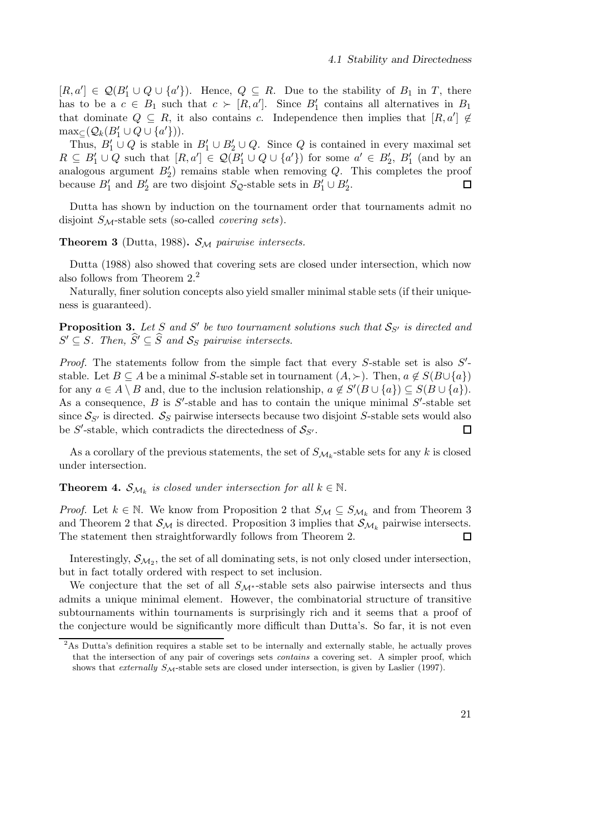$[R, a'] \in \mathcal{Q}(B'_1 \cup Q \cup \{a'\})$ . Hence,  $Q \subseteq R$ . Due to the stability of  $B_1$  in T, there has to be a  $c \in B_1$  such that  $c \succ [R, a']$ . Since  $B'_1$  contains all alternatives in  $B_1$ that dominate  $Q \subseteq R$ , it also contains c. Independence then implies that  $[R, a'] \notin$  $\max_{\subseteq} (Q_k(B'_1 \cup Q \cup \{a'\})).$ 

Thus,  $B'_1 \cup Q$  is stable in  $B'_1 \cup B'_2 \cup Q$ . Since Q is contained in every maximal set  $R \subseteq B'_1 \cup Q$  such that  $[R, a'] \in \mathcal{Q}(B'_1 \cup Q \cup \{a'\})$  for some  $a' \in B'_2$ ,  $B'_1$  (and by an analogous argument  $B'_2$ ) remains stable when removing Q. This completes the proof because  $B'_1$  and  $B'_2$  are two disjoint  $S_{\mathcal{Q}}$ -stable sets in  $B'_1 \cup B'_2$ .  $\Box$ 

Dutta has shown by induction on the tournament order that tournaments admit no disjoint SM-stable sets (so-called *covering sets*).

**Theorem 3** (Dutta, 1988).  $S_M$  *pairwise intersects.* 

Dutta (1988) also showed that covering sets are closed under intersection, which now also follows from Theorem 2.<sup>2</sup>

Naturally, finer solution concepts also yield smaller minimal stable sets (if their uniqueness is guaranteed).

**Proposition 3.** Let S and S' be two tournament solutions such that  $S_{S'}$  is directed and  $S' \subseteq S$ . Then,  $\widehat{S}' \subseteq \widehat{S}$  and  $S_S$  pairwise intersects.

Proof. The statements follow from the simple fact that every S-stable set is also S'stable. Let  $B \subseteq A$  be a minimal S-stable set in tournament  $(A, \succ)$ . Then,  $a \notin S(B \cup \{a\})$ for any  $a \in A \setminus B$  and, due to the inclusion relationship,  $a \notin S'(B \cup \{a\}) \subseteq S(B \cup \{a\}).$ As a consequence,  $B$  is  $S'$ -stable and has to contain the unique minimal  $S'$ -stable set since  $S_{S'}$  is directed.  $S_S$  pairwise intersects because two disjoint S-stable sets would also be  $S'$ -stable, which contradicts the directedness of  $S_{S'}$ .  $\Box$ 

As a corollary of the previous statements, the set of  $S_{\mathcal{M}_k}$ -stable sets for any k is closed under intersection.

**Theorem 4.**  $S_{\mathcal{M}_k}$  is closed under intersection for all  $k \in \mathbb{N}$ .

*Proof.* Let  $k \in \mathbb{N}$ . We know from Proposition 2 that  $S_M \subseteq S_{M_k}$  and from Theorem 3 and Theorem 2 that  $S_M$  is directed. Proposition 3 implies that  $S_{M_k}$  pairwise intersects. The statement then straightforwardly follows from Theorem 2.  $\Box$ 

Interestingly,  $S_{\mathcal{M}_2}$ , the set of all dominating sets, is not only closed under intersection, but in fact totally ordered with respect to set inclusion.

We conjecture that the set of all  $S_{\mathcal{M}^*}$ -stable sets also pairwise intersects and thus admits a unique minimal element. However, the combinatorial structure of transitive subtournaments within tournaments is surprisingly rich and it seems that a proof of the conjecture would be significantly more difficult than Dutta's. So far, it is not even

<sup>2</sup>As Dutta's definition requires a stable set to be internally and externally stable, he actually proves that the intersection of any pair of coverings sets contains a covering set. A simpler proof, which shows that *externally*  $S_{\mathcal{M}}$ -stable sets are closed under intersection, is given by Laslier (1997).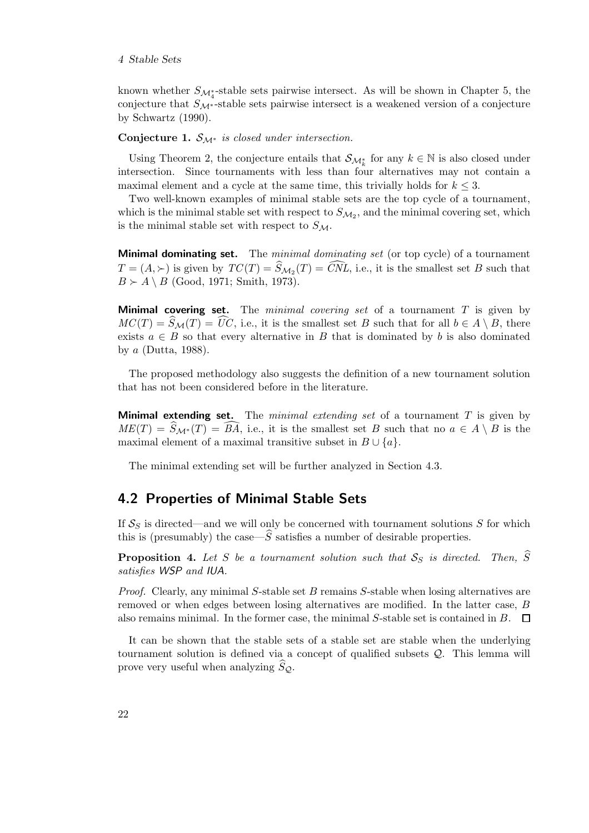known whether  $S_{\mathcal{M}_{4}^{*}}$ -stable sets pairwise intersect. As will be shown in Chapter 5, the conjecture that  $S_{\mathcal{M}^*}$ -stable sets pairwise intersect is a weakened version of a conjecture by Schwartz (1990).

#### Conjecture 1. SM<sup>∗</sup> *is closed under intersection.*

Using Theorem 2, the conjecture entails that  $\mathcal{S}_{\mathcal{M}_{k}^{*}}$  for any  $k \in \mathbb{N}$  is also closed under intersection. Since tournaments with less than four alternatives may not contain a maximal element and a cycle at the same time, this trivially holds for  $k \leq 3$ .

Two well-known examples of minimal stable sets are the top cycle of a tournament, which is the minimal stable set with respect to  $S_{\mathcal{M}_2}$ , and the minimal covering set, which is the minimal stable set with respect to  $S_{\mathcal{M}}$ .

Minimal dominating set. The *minimal dominating set* (or top cycle) of a tournament  $T = (A, \succ)$  is given by  $TC(T) = S_{\mathcal{M}_2}(T) = CNL$ , i.e., it is the smallest set B such that  $B \succ A \setminus B$  (Good, 1971; Smith, 1973).

Minimal covering set. The *minimal covering set* of a tournament T is given by  $MC(T) = S_{\mathcal{M}}(T) = UC$ , i.e., it is the smallest set B such that for all  $b \in A \setminus B$ , there exists  $a \in B$  so that every alternative in B that is dominated by b is also dominated by  $a$  (Dutta, 1988).

The proposed methodology also suggests the definition of a new tournament solution that has not been considered before in the literature.

Minimal extending set. The *minimal extending set* of a tournament T is given by  $ME(T) = S_{\mathcal{M}^*}(T) = BA$ , i.e., it is the smallest set B such that no  $a \in A \setminus B$  is the maximal element of a maximal transitive subset in  $B \cup \{a\}$ .

The minimal extending set will be further analyzed in Section 4.3.

## 4.2 Properties of Minimal Stable Sets

If  $S_S$  is directed—and we will only be concerned with tournament solutions S for which this is (presumably) the case— $\hat{S}$  satisfies a number of desirable properties.

**Proposition 4.** Let S be a tournament solution such that  $S_S$  is directed. Then,  $\hat{S}$ *satisfies WSP and IUA.*

*Proof.* Clearly, any minimal S-stable set B remains S-stable when losing alternatives are removed or when edges between losing alternatives are modified. In the latter case, B also remains minimal. In the former case, the minimal S-stable set is contained in B.  $\Box$ 

It can be shown that the stable sets of a stable set are stable when the underlying tournament solution is defined via a concept of qualified subsets Q. This lemma will prove very useful when analyzing  $S_{\mathcal{Q}}$ .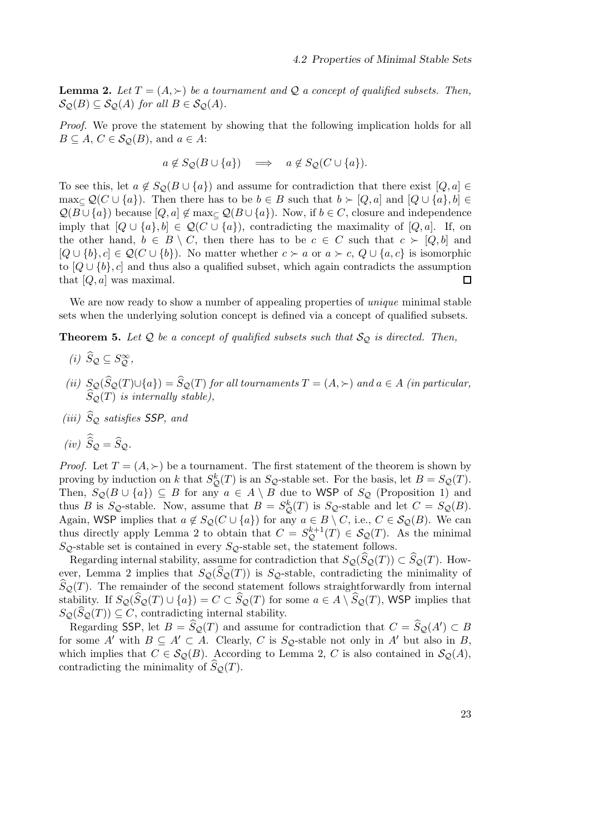**Lemma 2.** Let  $T = (A, \succ)$  be a tournament and Q a concept of qualified subsets. Then,  $\mathcal{S}_{\mathcal{O}}(B) \subseteq \mathcal{S}_{\mathcal{O}}(A)$  *for all*  $B \in \mathcal{S}_{\mathcal{O}}(A)$ *.* 

*Proof.* We prove the statement by showing that the following implication holds for all  $B \subseteq A, C \in \mathcal{S}_{\mathcal{Q}}(B),$  and  $a \in A$ :

$$
a \notin S_{\mathcal{Q}}(B \cup \{a\}) \implies a \notin S_{\mathcal{Q}}(C \cup \{a\}).
$$

To see this, let  $a \notin S_{\mathcal{Q}}(B \cup \{a\})$  and assume for contradiction that there exist  $[Q, a] \in$ max<sub>⊂</sub>  $\mathcal{Q}(C \cup \{a\})$ . Then there has to be  $b \in B$  such that  $b \succ [Q, a]$  and  $[Q \cup \{a\}, b] \in$  $\mathcal{Q}(B\cup\{a\})$  because  $[Q, a] \notin \max\{\mathcal{Q}(B\cup\{a\})\}$ . Now, if  $b \in C$ , closure and independence imply that  $[Q \cup \{a\}, b] \in \mathcal{Q}(C \cup \{a\})$ , contradicting the maximality of  $[Q, a]$ . If, on the other hand,  $b \in B \setminus C$ , then there has to be  $c \in C$  such that  $c \succ [Q, b]$  and  $[Q \cup \{b\}, c] \in \mathcal{Q}(C \cup \{b\})$ . No matter whether  $c \succ a$  or  $a \succ c$ ,  $Q \cup \{a, c\}$  is isomorphic to  $[Q \cup \{b\}, c]$  and thus also a qualified subset, which again contradicts the assumption that  $[Q, a]$  was maximal.  $\Box$ 

We are now ready to show a number of appealing properties of *unique* minimal stable sets when the underlying solution concept is defined via a concept of qualified subsets.

**Theorem 5.** Let  $Q$  be a concept of qualified subsets such that  $S_Q$  is directed. Then,

- $(i)$   $\widehat{S}_{\mathcal{Q}} \subseteq S_{\mathcal{Q}}^{\infty}$ ,
- *(ii)*  $S_{\mathcal{Q}}(S_{\mathcal{Q}}(T) \cup \{a\}) = S_{\mathcal{Q}}(T)$  *for all tournaments*  $T = (A, \succ)$  *and*  $a \in A$  *(in particular,*  $S_{\mathcal{Q}}(T)$  *is internally stable)*,
- *(iii)*  $\widehat{S}_{\mathcal{Q}}$  *satisfies SSP, and*

$$
(iv) \ \hat{S}_{\mathcal{Q}} = \hat{S}_{\mathcal{Q}}.
$$

*Proof.* Let  $T = (A, \succ)$  be a tournament. The first statement of the theorem is shown by proving by induction on k that  $S^k_{\mathcal{Q}}(T)$  is an  $S_{\mathcal{Q}}$ -stable set. For the basis, let  $B = S_{\mathcal{Q}}(T)$ . Then,  $S_{\mathcal{Q}}(B\cup\{a\})\subseteq B$  for any  $a\in A\setminus B$  due to WSP of  $S_{\mathcal{Q}}$  (Proposition 1) and thus B is S<sub>Q</sub>-stable. Now, assume that  $B = S^k_{\mathcal{Q}}(T)$  is S<sub>Q</sub>-stable and let  $C = S_{\mathcal{Q}}(B)$ . Again, WSP implies that  $a \notin S_Q(C \cup \{a\})$  for any  $a \in B \setminus C$ , i.e.,  $C \in S_Q(B)$ . We can thus directly apply Lemma 2 to obtain that  $C = S_{\mathcal{Q}}^{k+1}(T) \in \mathcal{S}_{\mathcal{Q}}(T)$ . As the minimal  $S_{\mathcal{Q}}$ -stable set is contained in every  $S_{\mathcal{Q}}$ -stable set, the statement follows.

Regarding internal stability, assume for contradiction that  $S_{\mathcal{Q}}(\widehat{S}_{\mathcal{Q}}(T)) \subset \widehat{S}_{\mathcal{Q}}(T)$ . However, Lemma 2 implies that  $S_{\mathcal{Q}}(\widehat{S}_{\mathcal{Q}}(T))$  is  $S_{\mathcal{Q}}$ -stable, contradicting the minimality of  $\widehat{S}_{\mathcal{Q}}(T)$ . The remainder of the second statement follows straightforwardly from internal stability. If  $S_{\mathcal{Q}}(S_{\mathcal{Q}}(T) \cup \{a\}) = C \subset S_{\mathcal{Q}}(T)$  for some  $a \in A \setminus S_{\mathcal{Q}}(T)$ , WSP implies that  $S_{\mathcal{Q}}(\widehat{S}_{\mathcal{Q}}(T)) \subseteq C$ , contradicting internal stability.

Regarding SSP, let  $B = \widehat{S}_{\mathcal{Q}}(T)$  and assume for contradiction that  $C = \widehat{S}_{\mathcal{Q}}(A') \subset B$ for some A' with  $B \subseteq A' \subset A$ . Clearly, C is S<sub>Q</sub>-stable not only in A' but also in B, which implies that  $C \in \mathcal{S}_{\mathcal{Q}}(B)$ . According to Lemma 2, C is also contained in  $\mathcal{S}_{\mathcal{Q}}(A)$ , contradicting the minimality of  $\widehat{S}_{\mathcal{Q}}(T)$ .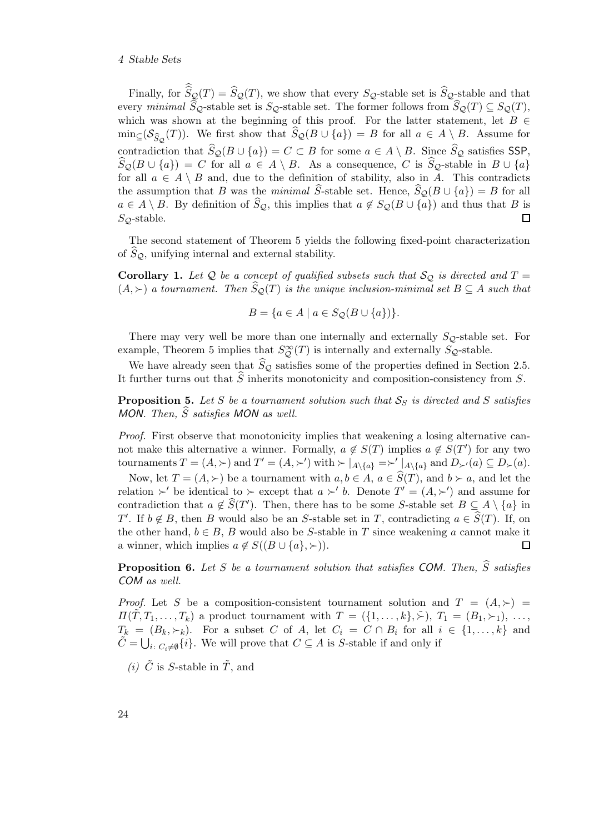#### 4 Stable Sets

Finally, for  $S_{\mathcal{Q}}(T) = S_{\mathcal{Q}}(T)$ , we show that every  $S_{\mathcal{Q}}$ -stable set is  $S_{\mathcal{Q}}$ -stable and that every *minimal*  $\widehat{S}_{\mathcal{Q}}$ -stable set is  $S_{\mathcal{Q}}$ -stable set. The former follows from  $\widehat{S}_{\mathcal{Q}}(T) \subseteq S_{\mathcal{Q}}(T)$ , which was shown at the beginning of this proof. For the latter statement, let  $B \in$  $\min_{\subseteq} (\mathcal{S}_{\widehat{S}_{\mathcal{Q}}}(T))$ . We first show that  $S_{\mathcal{Q}}(B \cup \{a\}) = B$  for all  $a \in A \setminus B$ . Assume for contradiction that  $\widehat{S}_{\mathcal{Q}}(B \cup \{a\}) = C \subset B$  for some  $a \in A \setminus B$ . Since  $\widehat{S}_{\mathcal{Q}}$  satisfies SSP,  $S_{\mathcal{Q}}(B \cup \{a\}) = C$  for all  $a \in A \setminus B$ . As a consequence, C is  $S_{\mathcal{Q}}$ -stable in  $B \cup \{a\}$ for all  $a \in A \setminus B$  and, due to the definition of stability, also in A. This contradicts the assumption that B was the *minimal*  $\hat{S}$ -stable set. Hence,  $\hat{S}_{\mathcal{Q}}(B \cup \{a\}) = B$  for all  $a \in A \setminus B$ . By definition of  $\widehat{S}_{\mathcal{Q}}$ , this implies that  $a \notin S_{\mathcal{Q}}(B \cup \{a\})$  and thus that B is  $S_{\mathcal{O}}$ -stable.  $\Box$ 

The second statement of Theorem 5 yields the following fixed-point characterization of  $S_{\mathcal{Q}}$ , unifying internal and external stability.

**Corollary 1.** Let Q be a concept of qualified subsets such that  $\mathcal{S}_{\mathcal{Q}}$  is directed and  $T =$  $(A, \succ)$  *a tournament. Then*  $\widehat{S}_{\mathcal{Q}}(T)$  *is the unique inclusion-minimal set*  $B \subseteq A$  *such that* 

$$
B = \{a \in A \mid a \in S_{\mathcal{Q}}(B \cup \{a\})\}.
$$

There may very well be more than one internally and externally  $S_{\mathcal{Q}}$ -stable set. For example, Theorem 5 implies that  $S^{\infty}_{\mathcal{Q}}(T)$  is internally and externally  $S_{\mathcal{Q}}$ -stable.

We have already seen that  $\widehat{S}_{\mathcal{Q}}$  satisfies some of the properties defined in Section 2.5. It further turns out that  $\widehat{S}$  inherits monotonicity and composition-consistency from S.

**Proposition 5.** Let S be a tournament solution such that  $S_S$  is directed and S satisfies *MON. Then, S satisfies MON as well.* 

*Proof.* First observe that monotonicity implies that weakening a losing alternative cannot make this alternative a winner. Formally,  $a \notin S(T)$  implies  $a \notin S(T')$  for any two tournaments  $T = (A, \succ)$  and  $T' = (A, \succ')$  with  $\succ |_{A \setminus \{a\}} = \succ' |_{A \setminus \{a\}}$  and  $D_{\succ'}(a) \subseteq D_{\succ}(a)$ .

Now, let  $T = (A, \succ)$  be a tournament with  $a, b \in A$ ,  $a \in \widehat{S}(T)$ , and  $b \succ a$ , and let the relation ≻' be identical to ≻ except that  $a \succ' b$ . Denote  $T' = (A, \succ')$  and assume for contradiction that  $a \notin \widehat{S}(T')$ . Then, there has to be some S-stable set  $B \subseteq A \setminus \{a\}$  in T'. If  $b \notin B$ , then B would also be an S-stable set in T, contradicting  $a \in \widehat{S}(T)$ . If, on the other hand,  $b \in B$ , B would also be S-stable in T since weakening a cannot make it a winner, which implies  $a \notin S((B \cup \{a\}, \succ))$ .  $\Box$ 

**Proposition 6.** Let S be a tournament solution that satisfies COM. Then,  $\widehat{S}$  satisfies *COM as well.*

*Proof.* Let S be a composition-consistent tournament solution and  $T = (A, \succ)$  $\Pi(\tilde{T}, T_1, \ldots, T_k)$  a product tournament with  $T = (\{1, \ldots, k\}, \tilde{\succ}), T_1 = (B_1, \succ_1), \ldots,$  $T_k = (B_k, \succ_k)$ . For a subset C of A, let  $C_i = C \cap B_i$  for all  $i \in \{1, ..., k\}$  and  $\tilde{C} = \bigcup_{i \colon C_i \neq \emptyset} \{i\}.$  We will prove that  $C \subseteq A$  is S-stable if and only if

*(i)*  $\tilde{C}$  is *S*-stable in  $\tilde{T}$ , and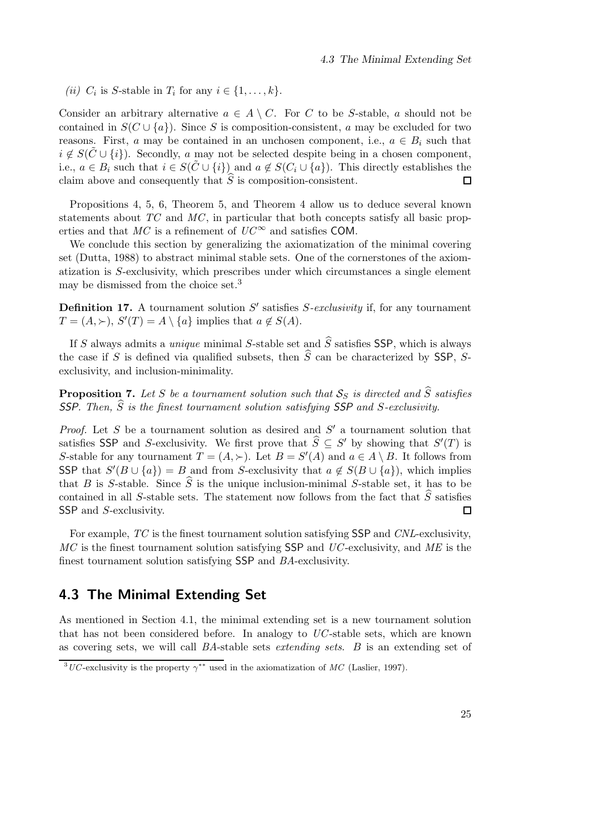(*ii*)  $C_i$  is S-stable in  $T_i$  for any  $i \in \{1, \ldots, k\}.$ 

Consider an arbitrary alternative  $a \in A \setminus C$ . For C to be S-stable, a should not be contained in  $S(C \cup \{a\})$ . Since S is composition-consistent, a may be excluded for two reasons. First, a may be contained in an unchosen component, i.e.,  $a \in B_i$  such that  $i \notin S(\tilde{C} \cup \{i\})$ . Secondly, a may not be selected despite being in a chosen component, i.e.,  $a \in B_i$  such that  $i \in S(\tilde{C} \cup \{i\})$  and  $a \notin S(C_i \cup \{a\})$ . This directly establishes the claim above and consequently that  $\widehat{S}$  is composition-consistent.  $\Box$ 

Propositions 4, 5, 6, Theorem 5, and Theorem 4 allow us to deduce several known statements about *TC* and *MC*, in particular that both concepts satisfy all basic properties and that  $MC$  is a refinement of  $UC^{\infty}$  and satisfies COM.

We conclude this section by generalizing the axiomatization of the minimal covering set (Dutta, 1988) to abstract minimal stable sets. One of the cornerstones of the axiomatization is S-exclusivity, which prescribes under which circumstances a single element may be dismissed from the choice set.<sup>3</sup>

Definition 17. A tournament solution S' satisfies S-exclusivity if, for any tournament  $T = (A, \succ), S'(T) = A \setminus \{a\}$  implies that  $a \not\in S(A)$ .

If S always admits a *unique* minimal S-stable set and  $\hat{S}$  satisfies SSP, which is always the case if S is defined via qualified subsets, then  $\widehat{S}$  can be characterized by SSP, Sexclusivity, and inclusion-minimality.

**Proposition 7.** Let S be a tournament solution such that  $S_S$  is directed and  $\hat{S}$  satisfies **SSP**. Then,  $\widehat{S}$  is the finest tournament solution satisfying **SSP** and S-exclusivity.

*Proof.* Let  $S$  be a tournament solution as desired and  $S'$  a tournament solution that satisfies SSP and S-exclusivity. We first prove that  $\widehat{S} \subseteq S'$  by showing that  $S'(T)$  is S-stable for any tournament  $T = (A, \succ)$ . Let  $B = S'(A)$  and  $a \in A \setminus B$ . It follows from SSP that  $S'(B \cup \{a\}) = B$  and from S-exclusivity that  $a \notin S(B \cup \{a\})$ , which implies that B is S-stable. Since  $\hat{S}$  is the unique inclusion-minimal S-stable set, it has to be contained in all S-stable sets. The statement now follows from the fact that  $\hat{S}$  satisfies SSP and *S*-exclusivity.  $\Box$ 

For example, *TC* is the finest tournament solution satisfying SSP and *CNL*-exclusivity, *MC* is the finest tournament solution satisfying SSP and *UC*-exclusivity, and *ME* is the finest tournament solution satisfying SSP and *BA*-exclusivity.

## 4.3 The Minimal Extending Set

As mentioned in Section 4.1, the minimal extending set is a new tournament solution that has not been considered before. In analogy to *UC*-stable sets, which are known as covering sets, we will call *BA*-stable sets *extending sets*. B is an extending set of

<sup>&</sup>lt;sup>3</sup>UC-exclusivity is the property  $\gamma^{**}$  used in the axiomatization of MC (Laslier, 1997).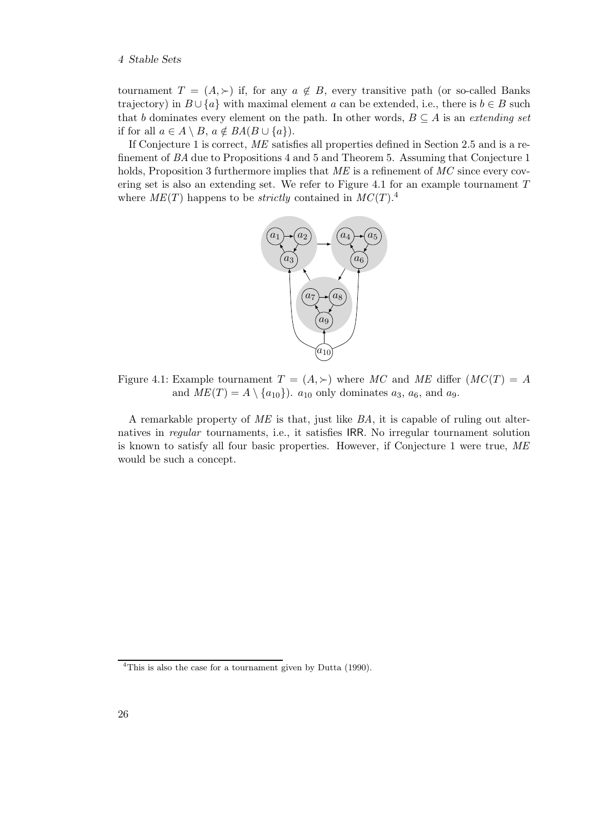tournament  $T = (A, \succ)$  if, for any  $a \notin B$ , every transitive path (or so-called Banks trajectory) in  $B \cup \{a\}$  with maximal element a can be extended, i.e., there is  $b \in B$  such that b dominates every element on the path. In other words,  $B \subseteq A$  is an *extending set* if for all  $a \in A \setminus B$ ,  $a \notin BA(B \cup \{a\})$ .

If Conjecture 1 is correct, *ME* satisfies all properties defined in Section 2.5 and is a refinement of *BA* due to Propositions 4 and 5 and Theorem 5. Assuming that Conjecture 1 holds, Proposition 3 furthermore implies that ME is a refinement of MC since every covering set is also an extending set. We refer to Figure 4.1 for an example tournament  $T$ where  $ME(T)$  happens to be *strictly* contained in  $MC(T)$ <sup>4</sup>



Figure 4.1: Example tournament  $T = (A, \succ)$  where MC and ME differ  $(MC(T)) = A$ and  $ME(T) = A \setminus \{a_{10}\}\)$ .  $a_{10}$  only dominates  $a_3$ ,  $a_6$ , and  $a_9$ .

A remarkable property of *ME* is that, just like *BA*, it is capable of ruling out alternatives in *regular* tournaments, i.e., it satisfies IRR. No irregular tournament solution is known to satisfy all four basic properties. However, if Conjecture 1 were true, *ME* would be such a concept.

<sup>&</sup>lt;sup>4</sup>This is also the case for a tournament given by Dutta (1990).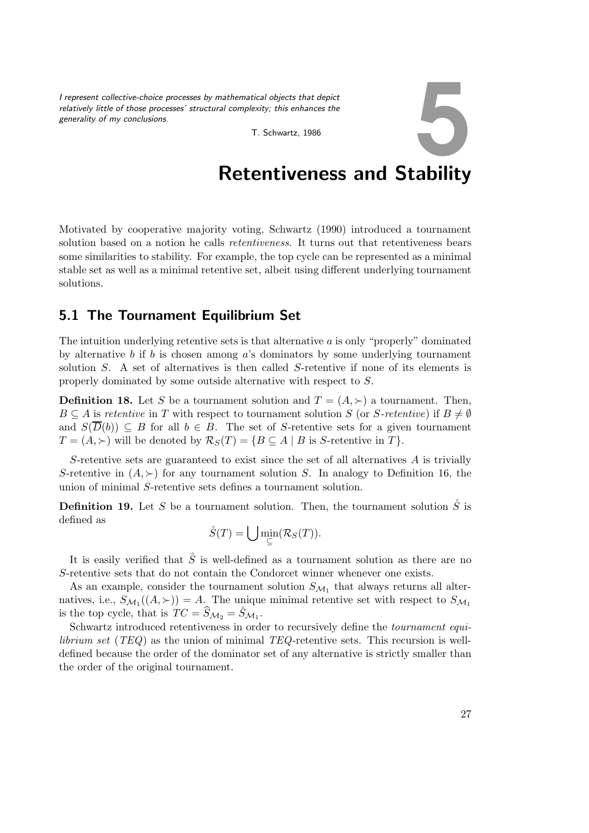*I represent collective-choice processes by mathematical objects that depict relatively little of those processes' structural complexity; this enhances the generality of my conclusions.* Exity; this enhances the<br>T. Schwartz, 1986

## Retentiveness and Stability

Motivated by cooperative majority voting, Schwartz (1990) introduced a tournament solution based on a notion he calls *retentiveness*. It turns out that retentiveness bears some similarities to stability. For example, the top cycle can be represented as a minimal stable set as well as a minimal retentive set, albeit using different underlying tournament solutions.

## 5.1 The Tournament Equilibrium Set

The intuition underlying retentive sets is that alternative  $\alpha$  is only "properly" dominated by alternative b if b is chosen among a's dominators by some underlying tournament solution S. A set of alternatives is then called S-retentive if none of its elements is properly dominated by some outside alternative with respect to S.

**Definition 18.** Let S be a tournament solution and  $T = (A, \succ)$  a tournament. Then,  $B \subseteq A$  is *retentive* in T with respect to tournament solution S (or S-retentive) if  $B \neq \emptyset$ and  $S(\overline{D}(b)) \subseteq B$  for all  $b \in B$ . The set of S-retentive sets for a given tournament  $T = (A, \succ)$  will be denoted by  $\mathcal{R}_S(T) = \{ B \subseteq A \mid B \text{ is } S\text{-retenitive in } T \}.$ 

S-retentive sets are guaranteed to exist since the set of all alternatives  $A$  is trivially S-retentive in  $(A, \succ)$  for any tournament solution S. In analogy to Definition 16, the union of minimal S-retentive sets defines a tournament solution.

**Definition 19.** Let S be a tournament solution. Then, the tournament solution  $\check{S}$  is defined as

$$
\mathring{S}(T)=\bigcup \min_{\subseteq}(\mathcal{R}_S(T)).
$$

It is easily verified that  $\hat{S}$  is well-defined as a tournament solution as there are no S-retentive sets that do not contain the Condorcet winner whenever one exists.

As an example, consider the tournament solution  $S_{\mathcal{M}_1}$  that always returns all alternatives, i.e.,  $S_{\mathcal{M}_1}((A, \succ)) = A$ . The unique minimal retentive set with respect to  $S_{\mathcal{M}_1}$ is the top cycle, that is  $TC = \widehat{S}_{\mathcal{M}_2} = \mathring{S}_{\mathcal{M}_1}$ .

Schwartz introduced retentiveness in order to recursively define the *tournament equilibrium set* (*TEQ*) as the union of minimal *TEQ*-retentive sets. This recursion is welldefined because the order of the dominator set of any alternative is strictly smaller than the order of the original tournament.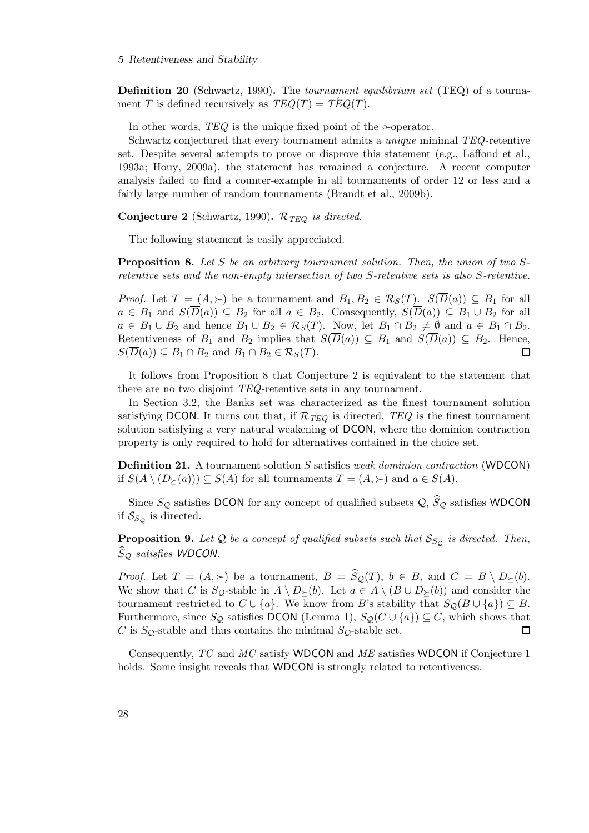#### 5 Retentiveness and Stability

Definition 20 (Schwartz, 1990). The *tournament equilibrium set* (TEQ) of a tournament T is defined recursively as  $TEQ(T) = TEQ(T)$ .

In other words, *TEQ* is the unique fixed point of the ∘-operator.

Schwartz conjectured that every tournament admits a *unique* minimal *TEQ*-retentive set. Despite several attempts to prove or disprove this statement (e.g., Laffond et al., 1993a; Houy, 2009a), the statement has remained a conjecture. A recent computer analysis failed to find a counter-example in all tournaments of order 12 or less and a fairly large number of random tournaments (Brandt et al., 2009b).

**Conjecture 2** (Schwartz, 1990).  $\mathcal{R}_{TEO}$  *is directed.* 

The following statement is easily appreciated.

Proposition 8. *Let* S *be an arbitrary tournament solution. Then, the union of two* S*retentive sets and the non-empty intersection of two* S*-retentive sets is also* S*-retentive.*

*Proof.* Let  $T = (A, \succ)$  be a tournament and  $B_1, B_2 \in \mathcal{R}_S(T)$ .  $S(\overline{D}(a)) \subseteq B_1$  for all  $a \in B_1$  and  $S(\overline{D}(a)) \subseteq B_2$  for all  $a \in B_2$ . Consequently,  $S(\overline{D}(a)) \subseteq B_1 \cup B_2$  for all  $a \in B_1 \cup B_2$  and hence  $B_1 \cup B_2 \in \mathcal{R}_S(T)$ . Now, let  $B_1 \cap B_2 \neq \emptyset$  and  $a \in B_1 \cap B_2$ . Retentiveness of  $B_1$  and  $B_2$  implies that  $S(\overline{D}(a)) \subseteq B_1$  and  $S(\overline{D}(a)) \subseteq B_2$ . Hence,  $S(\overline{D}(a)) \subseteq B_1 \cap B_2$  and  $B_1 \cap B_2 \in \mathcal{R}_S(T)$ .  $\Box$ 

It follows from Proposition 8 that Conjecture 2 is equivalent to the statement that there are no two disjoint *TEQ*-retentive sets in any tournament.

In Section 3.2, the Banks set was characterized as the finest tournament solution satisfying DCON. It turns out that, if  $\mathcal{R}_{TEQ}$  is directed,  $TEQ$  is the finest tournament solution satisfying a very natural weakening of DCON, where the dominion contraction property is only required to hold for alternatives contained in the choice set.

Definition 21. A tournament solution S satisfies *weak dominion contraction* (WDCON) if  $S(A \setminus (D_{\succ}(a))) \subseteq S(A)$  for all tournaments  $T = (A, \succ)$  and  $a \in S(A)$ .

Since  $S_{\mathcal{Q}}$  satisfies DCON for any concept of qualified subsets  $\mathcal{Q}, \hat{S}_{\mathcal{Q}}$  satisfies WDCON if  $S_{S_{\mathcal{O}}}$  is directed.

**Proposition 9.** Let  $Q$  be a concept of qualified subsets such that  $S_{S_Q}$  is directed. Then,  $\widehat{S}_\mathcal{O}$  *satisfies* **WDCON**.

*Proof.* Let  $T = (A, \succ)$  be a tournament,  $B = \widehat{S}_{\mathcal{Q}}(T), b \in B$ , and  $C = B \setminus D_{\succ}(b)$ . We show that C is  $S_Q$ -stable in  $A \setminus D_{\succ}(b)$ . Let  $a \in A \setminus (B \cup D_{\succ}(b))$  and consider the tournament restricted to  $C \cup \{a\}$ . We know from B's stability that  $S_Q(B \cup \{a\}) \subseteq B$ . Furthermore, since  $S_Q$  satisfies DCON (Lemma 1),  $S_Q(C \cup \{a\}) \subseteq C$ , which shows that C is  $S_Q$ -stable and thus contains the minimal  $S_Q$ -stable set.  $\Box$ 

Consequently, *TC* and *MC* satisfy WDCON and *ME* satisfies WDCON if Conjecture 1 holds. Some insight reveals that WDCON is strongly related to retentiveness.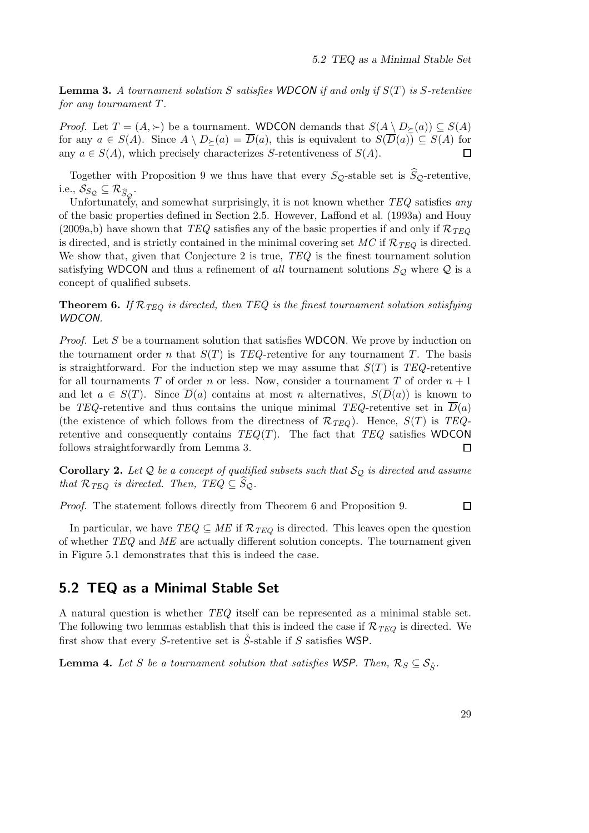Lemma 3. *A tournament solution* S *satisfies WDCON if and only if* S(T) *is* S*-retentive for any tournament* T*.*

*Proof.* Let  $T = (A, \succ)$  be a tournament. WDCON demands that  $S(A \setminus D_{\succ}(a)) \subseteq S(A)$ for any  $a \in S(A)$ . Since  $A \setminus D_{\succ}(a) = \overline{D}(a)$ , this is equivalent to  $S(\overline{D}(a)) \subseteq S(A)$  for any  $a \in S(A)$ , which precisely characterizes S-retentiveness of  $S(A)$ .  $\Box$ 

Together with Proposition 9 we thus have that every  $S_Q$ -stable set is  $S_Q$ -retentive, i.e.,  $\mathcal{S}_{S_{\mathcal{Q}}} \subseteq \mathcal{R}_{\widehat{S}_{\mathcal{Q}}}$ .

Unfortunately, and somewhat surprisingly, it is not known whether *TEQ* satisfies *any* of the basic properties defined in Section 2.5. However, Laffond et al. (1993a) and Houy (2009a,b) have shown that *TEQ* satisfies any of the basic properties if and only if  $\mathcal{R}_{TEO}$ is directed, and is strictly contained in the minimal covering set  $MC$  if  $\mathcal{R}_{TEQ}$  is directed. We show that, given that Conjecture 2 is true, *TEQ* is the finest tournament solution satisfying WDCON and thus a refinement of *all* tournament solutions  $S_{\mathcal{Q}}$  where  $\mathcal Q$  is a concept of qualified subsets.

**Theorem 6.** If  $\mathcal{R}_{TEQ}$  is directed, then TEQ is the finest tournament solution satisfying *WDCON.*

*Proof.* Let S be a tournament solution that satisfies WDCON. We prove by induction on the tournament order n that  $S(T)$  is *TEQ*-retentive for any tournament T. The basis is straightforward. For the induction step we may assume that  $S(T)$  is *TEQ*-retentive for all tournaments T of order n or less. Now, consider a tournament T of order  $n + 1$ and let  $a \in S(T)$ . Since  $\overline{D}(a)$  contains at most n alternatives,  $S(\overline{D}(a))$  is known to be *TEQ*-retentive and thus contains the unique minimal *TEQ*-retentive set in  $D(a)$ (the existence of which follows from the directness of  $\mathcal{R}_{TEQ}$ ). Hence,  $S(T)$  is  $TEQ$ retentive and consequently contains *TEQ*(T). The fact that *TEQ* satisfies WDCON follows straightforwardly from Lemma 3.  $\Box$ 

**Corollary 2.** Let  $Q$  be a concept of qualified subsets such that  $S_Q$  is directed and assume *that*  $\mathcal{R}_{TEQ}$  *is directed. Then,*  $TEQ \subseteq S_Q$ *.* 

*Proof.* The statement follows directly from Theorem 6 and Proposition 9.

 $\Box$ 

In particular, we have  $TEQ \subseteq ME$  if  $\mathcal{R}_{TEQ}$  is directed. This leaves open the question of whether *TEQ* and *ME* are actually different solution concepts. The tournament given in Figure 5.1 demonstrates that this is indeed the case.

## 5.2 TEQ as a Minimal Stable Set

A natural question is whether *TEQ* itself can be represented as a minimal stable set. The following two lemmas establish that this is indeed the case if  $\mathcal{R}_{TEQ}$  is directed. We first show that every S-retentive set is S-stable if S satisfies WSP.

**Lemma 4.** Let S be a tournament solution that satisfies WSP. Then,  $\mathcal{R}_S \subseteq \mathcal{S}_{\hat{S}}$ .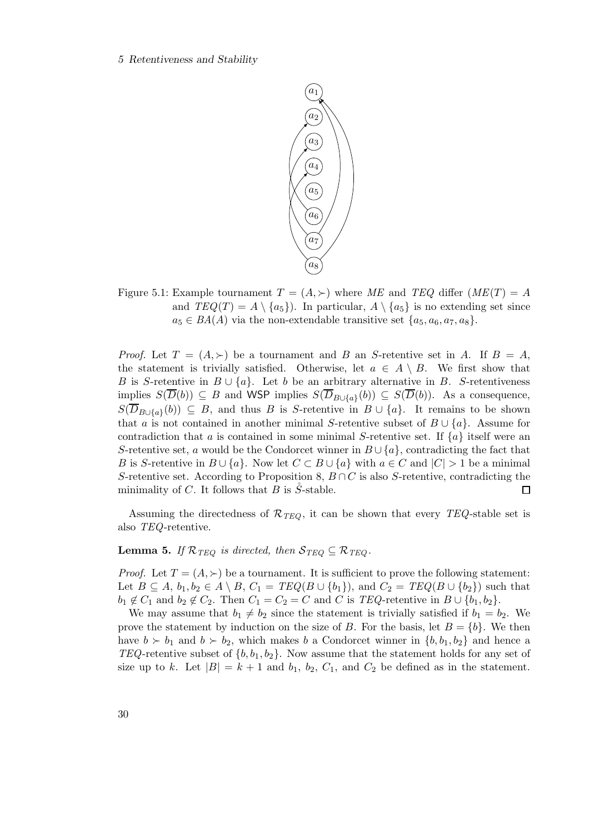#### 5 Retentiveness and Stability



Figure 5.1: Example tournament  $T = (A, \succ)$  where ME and TEQ differ  $(ME(T) = A)$ and  $TEQ(T) = A \setminus \{a_5\}$ . In particular,  $A \setminus \{a_5\}$  is no extending set since  $a_5 \in BA(A)$  via the non-extendable transitive set  $\{a_5, a_6, a_7, a_8\}.$ 

*Proof.* Let  $T = (A, \succ)$  be a tournament and B an S-retentive set in A. If  $B = A$ . the statement is trivially satisfied. Otherwise, let  $a \in A \setminus B$ . We first show that B is S-retentive in  $B \cup \{a\}$ . Let b be an arbitrary alternative in B. S-retentiveness implies  $S(\overline{D}(b)) \subseteq B$  and WSP implies  $S(\overline{D}_{B\cup\{a\}}(b)) \subseteq S(\overline{D}(b))$ . As a consequence,  $S(D_{B\cup\{a\}}(b)) \subseteq B$ , and thus B is S-retentive in  $B\cup\{a\}$ . It remains to be shown that a is not contained in another minimal S-retentive subset of  $B \cup \{a\}$ . Assume for contradiction that a is contained in some minimal S-retentive set. If  $\{a\}$  itself were an S-retentive set, a would be the Condorcet winner in  $B \cup \{a\}$ , contradicting the fact that B is S-retentive in  $B\cup \{a\}$ . Now let  $C\subset B\cup \{a\}$  with  $a\in C$  and  $|C|>1$  be a minimal S-retentive set. According to Proposition 8,  $B \cap C$  is also S-retentive, contradicting the minimality of C. It follows that B is  $\ddot{S}$ -stable.  $\Box$ 

Assuming the directedness of  $\mathcal{R}_{TEO}$ , it can be shown that every *TEQ*-stable set is also *TEQ*-retentive.

#### **Lemma 5.** *If*  $\mathcal{R}_{TEO}$  *is directed, then*  $\mathcal{S}_{TEO} \subseteq \mathcal{R}_{TEO}$ *.*

*Proof.* Let  $T = (A, \succ)$  be a tournament. It is sufficient to prove the following statement: Let  $B \subseteq A$ ,  $b_1, b_2 \in A \setminus B$ ,  $C_1 = TEQ(B \cup \{b_1\})$ , and  $C_2 = TEQ(B \cup \{b_2\})$  such that  $b_1 \notin C_1$  and  $b_2 \notin C_2$ . Then  $C_1 = C_2 = C$  and C is *TEQ*-retentive in  $B \cup \{b_1, b_2\}$ .

We may assume that  $b_1 \neq b_2$  since the statement is trivially satisfied if  $b_1 = b_2$ . We prove the statement by induction on the size of B. For the basis, let  $B = \{b\}$ . We then have  $b \succ b_1$  and  $b \succ b_2$ , which makes b a Condorcet winner in  $\{b, b_1, b_2\}$  and hence a *TEQ*-retentive subset of  $\{b, b_1, b_2\}$ . Now assume that the statement holds for any set of size up to k. Let  $|B| = k + 1$  and  $b_1$ ,  $b_2$ ,  $C_1$ , and  $C_2$  be defined as in the statement.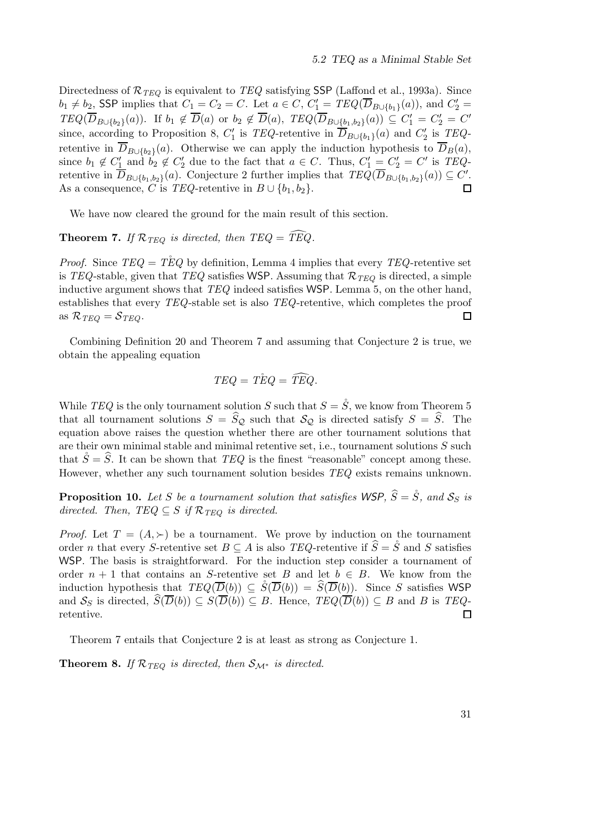Directedness of  $\mathcal{R}_{TEQ}$  is equivalent to *TEQ* satisfying SSP (Laffond et al., 1993a). Since  $b_1 \neq b_2$ , SSP implies that  $C_1 = C_2 = C$ . Let  $a \in C$ ,  $C'_1 = TEQ(\overline{D}_{B\cup \{b_1\}}(a))$ , and  $C'_2 = C$ .  $TEQ(\overline{D}_{B\cup\{b_2\}}(a))$ . If  $b_1 \notin \overline{D}(a)$  or  $b_2 \notin \overline{D}(a)$ ,  $TEQ(\overline{D}_{B\cup\{b_1,b_2\}}(a)) \subseteq C_1' = C_2' = C'$ since, according to Proposition 8,  $C'_1$  is *TEQ*-retentive in  $\overline{D}_{B\cup \{b_1\}}(a)$  and  $C'_2$  is *TEQ*retentive in  $D_{B\cup \{b_2\}}(a)$ . Otherwise we can apply the induction hypothesis to  $D_B(a)$ , since  $b_1 \notin C'_1$  and  $b_2 \notin C'_2$  due to the fact that  $a \in C$ . Thus,  $C'_1 = C'_2 = C'$  is *TEQ*retentive in  $\overline{D}_{B\cup \{b_1,b_2\}}(a)$ . Conjecture 2 further implies that  $TEQ(\overline{D}_{B\cup \{b_1,b_2\}}(a)) \subseteq C'$ . As a consequence, C is *TEQ*-retentive in  $B \cup \{b_1, b_2\}.$ 

We have now cleared the ground for the main result of this section.

### **Theorem 7.** If  $\mathcal{R}_{TEQ}$  is directed, then TEQ =  $\widetilde{TEQ}$ .

*Proof.* Since  $TEQ = TEQ$  by definition, Lemma 4 implies that every  $TEQ$ -retentive set is *TEQ*-stable, given that *TEQ* satisfies WSP. Assuming that  $\mathcal{R}_{TEO}$  is directed, a simple inductive argument shows that *TEQ* indeed satisfies WSP. Lemma 5, on the other hand, establishes that every *TEQ*-stable set is also *TEQ*-retentive, which completes the proof as  $\mathcal{R}_{TEQ} = \mathcal{S}_{TEQ}$ .  $\Box$ 

Combining Definition 20 and Theorem 7 and assuming that Conjecture 2 is true, we obtain the appealing equation

$$
TEQ = \mathring{TEQ} = \widehat{TEQ}.
$$

While *TEQ* is the only tournament solution S such that  $S = \mathring{S}$ , we know from Theorem 5 that all tournament solutions  $S = \widehat{S}_{\mathcal{Q}}$  such that  $\mathcal{S}_{\mathcal{Q}}$  is directed satisfy  $S = \widehat{S}$ . The equation above raises the question whether there are other tournament solutions that are their own minimal stable and minimal retentive set, i.e., tournament solutions  $S$  such that  $\mathring{S}=\widehat{S}$ . It can be shown that *TEQ* is the finest "reasonable" concept among these. However, whether any such tournament solution besides *TEQ* exists remains unknown.

**Proposition 10.** Let S be a tournament solution that satisfies WSP,  $\hat{S} = \hat{S}$ , and  $S_S$  is *directed. Then, TEQ*  $\subseteq$  *S if*  $\mathcal{R}_{TEQ}$  *is directed.* 

*Proof.* Let  $T = (A, \succ)$  be a tournament. We prove by induction on the tournament order *n* that every S-retentive set  $B \subseteq A$  is also *TEQ*-retentive if  $\hat{S} = \hat{S}$  and S satisfies WSP. The basis is straightforward. For the induction step consider a tournament of order  $n + 1$  that contains an S-retentive set B and let  $b \in B$ . We know from the induction hypothesis that  $TEQ(\overline{D}(b)) \subseteq \check{S}(\overline{D}(b)) = \widehat{S}(\overline{D}(b))$ . Since S satisfies WSP and  $S_S$  is directed,  $\widehat{S}(\overline{D}(b)) \subseteq S(\overline{D}(b)) \subseteq B$ . Hence,  $TEQ(\overline{D}(b)) \subseteq B$  and B is  $TEQ$ retentive.  $\Box$ 

Theorem 7 entails that Conjecture 2 is at least as strong as Conjecture 1.

**Theorem 8.** *If*  $\mathcal{R}_{TEQ}$  *is directed, then*  $\mathcal{S}_{\mathcal{M}^*}$  *is directed.*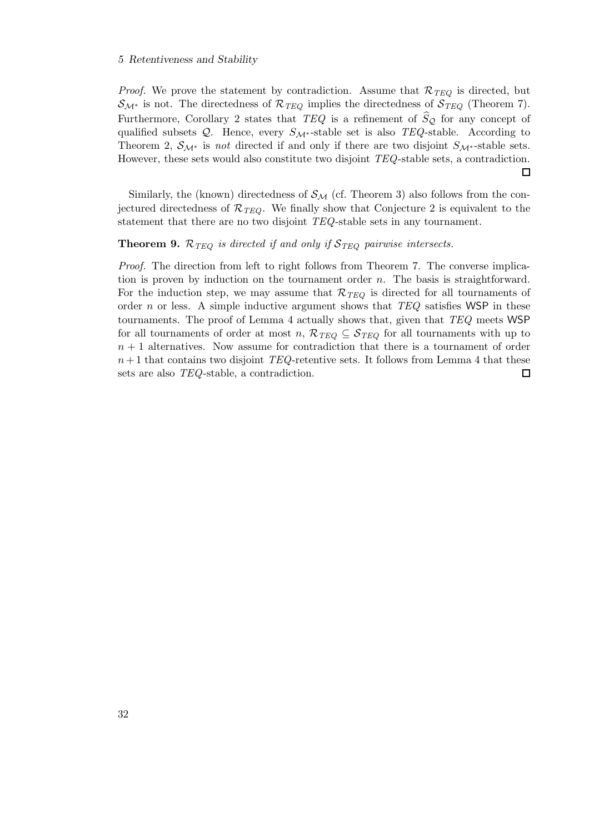#### 5 Retentiveness and Stability

*Proof.* We prove the statement by contradiction. Assume that  $\mathcal{R}_{TEQ}$  is directed, but  $\mathcal{S}_{\mathcal{M}^*}$  is not. The directedness of  $\mathcal{R}_{TEQ}$  implies the directedness of  $\mathcal{S}_{TEQ}$  (Theorem 7). Furthermore, Corollary 2 states that  $TEQ$  is a refinement of  $\hat{S}_Q$  for any concept of qualified subsets Q. Hence, every  $S_{\mathcal{M}^*}$ -stable set is also *TEQ*-stable. According to Theorem 2,  $S_{\mathcal{M}^*}$  is *not* directed if and only if there are two disjoint  $S_{\mathcal{M}^*}$ -stable sets. However, these sets would also constitute two disjoint *TEQ*-stable sets, a contradiction.  $\Box$ 

Similarly, the (known) directedness of  $\mathcal{S}_{\mathcal{M}}$  (cf. Theorem 3) also follows from the conjectured directedness of  $\mathcal{R}_{TEQ}$ . We finally show that Conjecture 2 is equivalent to the statement that there are no two disjoint *TEQ*-stable sets in any tournament.

#### **Theorem 9.**  $\mathcal{R}_{TEQ}$  *is directed if and only if*  $\mathcal{S}_{TEQ}$  *pairwise intersects.*

*Proof.* The direction from left to right follows from Theorem 7. The converse implication is proven by induction on the tournament order n. The basis is straightforward. For the induction step, we may assume that  $\mathcal{R}_{TEQ}$  is directed for all tournaments of order n or less. A simple inductive argument shows that *TEQ* satisfies WSP in these tournaments. The proof of Lemma 4 actually shows that, given that *TEQ* meets WSP for all tournaments of order at most n,  $\mathcal{R}_{TEQ} \subseteq \mathcal{S}_{TEQ}$  for all tournaments with up to  $n + 1$  alternatives. Now assume for contradiction that there is a tournament of order  $n+1$  that contains two disjoint *TEQ*-retentive sets. It follows from Lemma 4 that these sets are also *TEQ*-stable, a contradiction.  $\Box$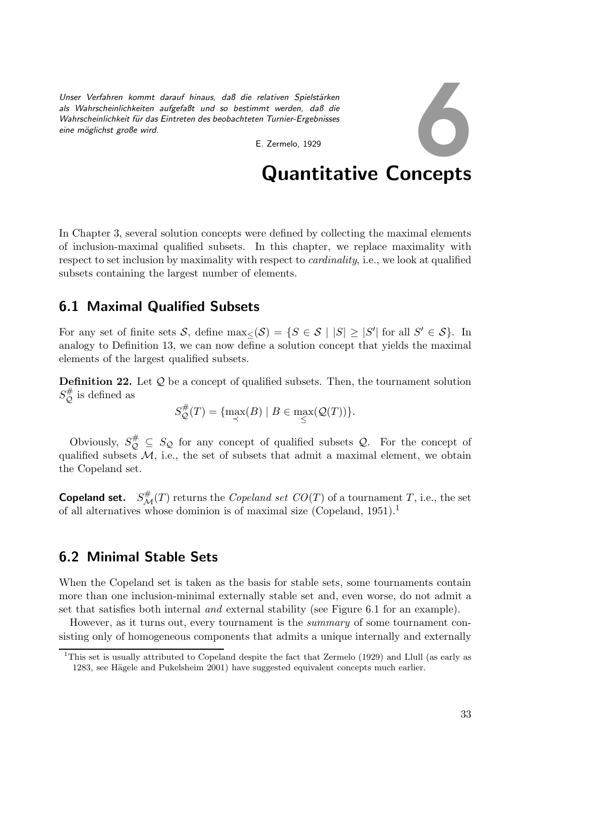Unser Verfahren kommt darauf hinaus, daß die relativen Spielstärken *als Wahrscheinlichkeiten aufgefaßt und so bestimmt werden, daß die Wahrscheinlichkeit f¨ur das Eintreten des beobachteten Turnier-Ergebnisses eine m¨oglichst große wird.*

E. Zermelo, 1929

# Quantitative Concepts

6

In Chapter 3, several solution concepts were defined by collecting the maximal elements of inclusion-maximal qualified subsets. In this chapter, we replace maximality with respect to set inclusion by maximality with respect to *cardinality*, i.e., we look at qualified subsets containing the largest number of elements.

## 6.1 Maximal Qualified Subsets

For any set of finite sets S, define  $\max_{\leq} (S) = \{ S \in S \mid |S| \geq |S'| \text{ for all } S' \in S \}.$  In analogy to Definition 13, we can now define a solution concept that yields the maximal elements of the largest qualified subsets.

**Definition 22.** Let  $Q$  be a concept of qualified subsets. Then, the tournament solution  $S_{\mathcal{O}}^{\#}$  $\mathcal{Q}$  is defined as

$$
S_{\mathcal{Q}}^{\#}(T) = \{ \max_{\prec}(B) \mid B \in \max_{\leq}(\mathcal{Q}(T)) \}.
$$

Obviously,  $S_{\mathcal{Q}}^{\#} \subseteq S_{\mathcal{Q}}$  for any concept of qualified subsets  $\mathcal{Q}$ . For the concept of qualified subsets  $M$ , i.e., the set of subsets that admit a maximal element, we obtain the Copeland set.

**Copeland set.**  $S^{\#}_{\mathcal{M}}(T)$  returns the *Copeland set CO*(*T*) of a tournament *T*, i.e., the set of all alternatives whose dominion is of maximal size (Copeland,  $1951$ ).<sup>1</sup>

## 6.2 Minimal Stable Sets

When the Copeland set is taken as the basis for stable sets, some tournaments contain more than one inclusion-minimal externally stable set and, even worse, do not admit a set that satisfies both internal *and* external stability (see Figure 6.1 for an example).

However, as it turns out, every tournament is the *summary* of some tournament consisting only of homogeneous components that admits a unique internally and externally

<sup>&</sup>lt;sup>1</sup>This set is usually attributed to Copeland despite the fact that Zermelo (1929) and Llull (as early as 1283, see Hägele and Pukelsheim 2001) have suggested equivalent concepts much earlier.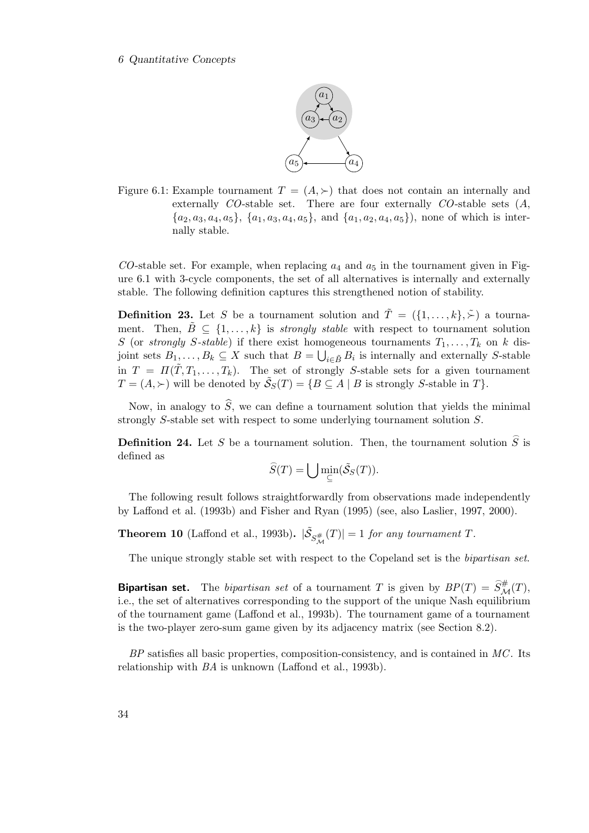#### 6 Quantitative Concepts



Figure 6.1: Example tournament  $T = (A, \succ)$  that does not contain an internally and externally *CO*-stable set. There are four externally *CO*-stable sets (A,  $\{a_2, a_3, a_4, a_5\}, \{a_1, a_3, a_4, a_5\}, \text{ and } \{a_1, a_2, a_4, a_5\}, \text{ none of which is inter$ nally stable.

 $CO$ -stable set. For example, when replacing  $a_4$  and  $a_5$  in the tournament given in Figure 6.1 with 3-cycle components, the set of all alternatives is internally and externally stable. The following definition captures this strengthened notion of stability.

**Definition 23.** Let S be a tournament solution and  $\tilde{T} = (\{1, ..., k\}, \tilde{\succ})$  a tournament. Then,  $\tilde{B} \subseteq \{1, \ldots, k\}$  is *strongly stable* with respect to tournament solution S (or *strongly* S-stable) if there exist homogeneous tournaments  $T_1, \ldots, T_k$  on k disjoint sets  $B_1, \ldots, B_k \subseteq X$  such that  $B = \bigcup_{i \in \tilde{B}} B_i$  is internally and externally S-stable in  $T = \Pi(\tilde{T}, T_1, \ldots, T_k)$ . The set of strongly S-stable sets for a given tournament  $T = (A, \succ)$  will be denoted by  $\tilde{S}_S(T) = \{ B \subseteq A \mid B \text{ is strongly } S\text{-stable in } T \}.$ 

Now, in analogy to  $\hat{S}$ , we can define a tournament solution that yields the minimal strongly S-stable set with respect to some underlying tournament solution S.

**Definition 24.** Let S be a tournament solution. Then, the tournament solution  $\hat{S}$  is defined as

$$
\widehat{S}(T) = \bigcup \min_{\subseteq} (\widetilde{\mathcal{S}}_S(T)).
$$

The following result follows straightforwardly from observations made independently by Laffond et al. (1993b) and Fisher and Ryan (1995) (see, also Laslier, 1997, 2000).

**Theorem 10** (Laffond et al., 1993b).  $|\tilde{S}_{S_M^{\#}}(T)| = 1$  *for any tournament* T.

The unique strongly stable set with respect to the Copeland set is the *bipartisan set*.

**Bipartisan set.** The *bipartisan set* of a tournament T is given by  $BP(T) = \hat{S}_{\mathcal{M}}^{\#}(T)$ , i.e., the set of alternatives corresponding to the support of the unique Nash equilibrium of the tournament game (Laffond et al., 1993b). The tournament game of a tournament is the two-player zero-sum game given by its adjacency matrix (see Section 8.2).

*BP* satisfies all basic properties, composition-consistency, and is contained in *MC*. Its relationship with *BA* is unknown (Laffond et al., 1993b).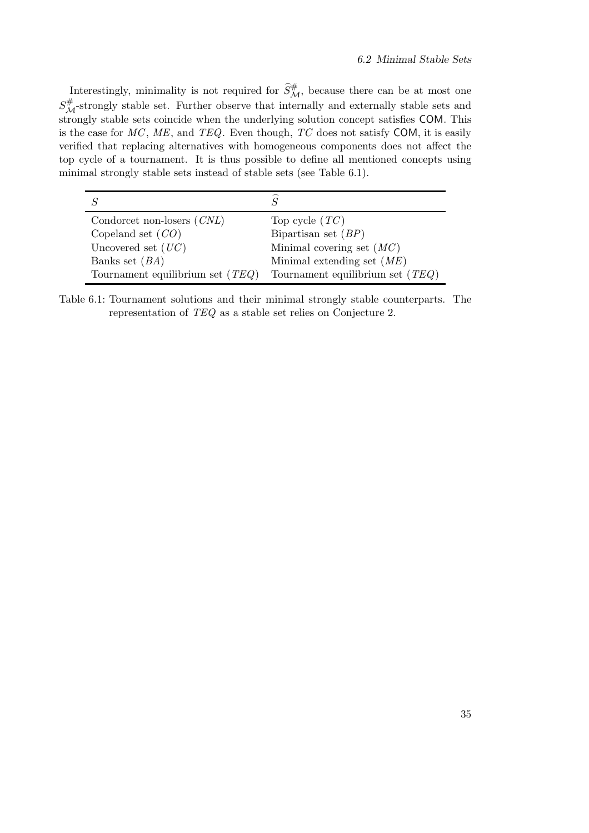Interestingly, minimality is not required for  $\widehat{S}_{\mathcal{M}}^{\#}$ , because there can be at most one  $S^{\#}_{\mathcal{M}}$ -strongly stable set. Further observe that internally and externally stable sets and strongly stable sets coincide when the underlying solution concept satisfies COM. This is the case for *MC*, *ME*, and *TEQ*. Even though, *TC* does not satisfy COM, it is easily verified that replacing alternatives with homogeneous components does not affect the top cycle of a tournament. It is thus possible to define all mentioned concepts using minimal strongly stable sets instead of stable sets (see Table 6.1).

| Condorcet non-losers $(CNL)$       | Top cycle $(TC)$                   |
|------------------------------------|------------------------------------|
| Copeland set $(CO)$                | Bipartisan set $(BP)$              |
| Uncovered set $(UC)$               | Minimal covering set $(MC)$        |
| Banks set $(BA)$                   | Minimal extending set $(ME)$       |
| Tournament equilibrium set $(TEQ)$ | Tournament equilibrium set $(TEQ)$ |

Table 6.1: Tournament solutions and their minimal strongly stable counterparts. The representation of *TEQ* as a stable set relies on Conjecture 2.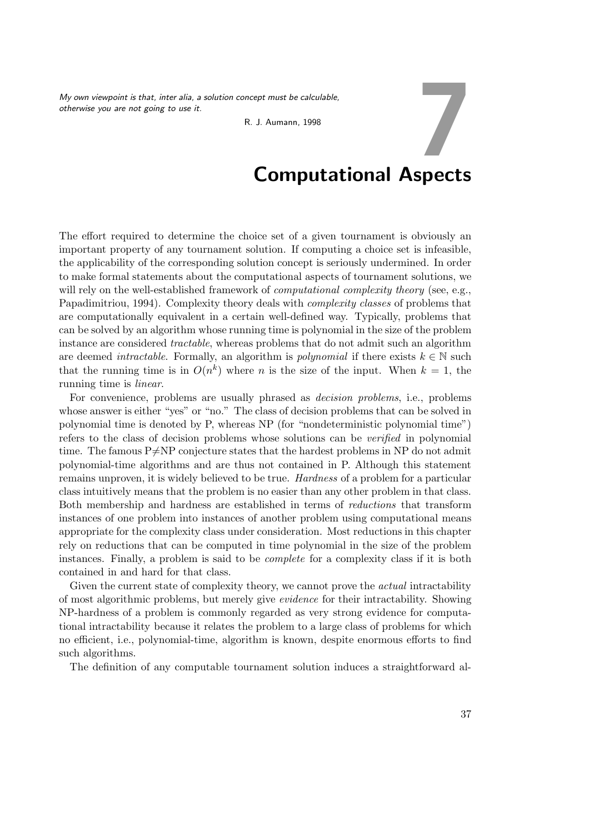*My own viewpoint is that, inter alia, a solution concept must be calculable, otherwise you are not going to use it.*

R. J. Aumann, 1998

## Computational Aspects

7

The effort required to determine the choice set of a given tournament is obviously an important property of any tournament solution. If computing a choice set is infeasible, the applicability of the corresponding solution concept is seriously undermined. In order to make formal statements about the computational aspects of tournament solutions, we will rely on the well-established framework of *computational complexity theory* (see, e.g., Papadimitriou, 1994). Complexity theory deals with *complexity classes* of problems that are computationally equivalent in a certain well-defined way. Typically, problems that can be solved by an algorithm whose running time is polynomial in the size of the problem instance are considered *tractable*, whereas problems that do not admit such an algorithm are deemed *intractable*. Formally, an algorithm is *polynomial* if there exists  $k \in \mathbb{N}$  such that the running time is in  $O(n^k)$  where n is the size of the input. When  $k = 1$ , the running time is *linear*.

For convenience, problems are usually phrased as *decision problems*, i.e., problems whose answer is either "yes" or "no." The class of decision problems that can be solved in polynomial time is denoted by P, whereas NP (for "nondeterministic polynomial time") refers to the class of decision problems whose solutions can be *verified* in polynomial time. The famous  $P\neq NP$  conjecture states that the hardest problems in NP do not admit polynomial-time algorithms and are thus not contained in P. Although this statement remains unproven, it is widely believed to be true. *Hardness* of a problem for a particular class intuitively means that the problem is no easier than any other problem in that class. Both membership and hardness are established in terms of *reductions* that transform instances of one problem into instances of another problem using computational means appropriate for the complexity class under consideration. Most reductions in this chapter rely on reductions that can be computed in time polynomial in the size of the problem instances. Finally, a problem is said to be *complete* for a complexity class if it is both contained in and hard for that class.

Given the current state of complexity theory, we cannot prove the *actual* intractability of most algorithmic problems, but merely give *evidence* for their intractability. Showing NP-hardness of a problem is commonly regarded as very strong evidence for computational intractability because it relates the problem to a large class of problems for which no efficient, i.e., polynomial-time, algorithm is known, despite enormous efforts to find such algorithms.

The definition of any computable tournament solution induces a straightforward al-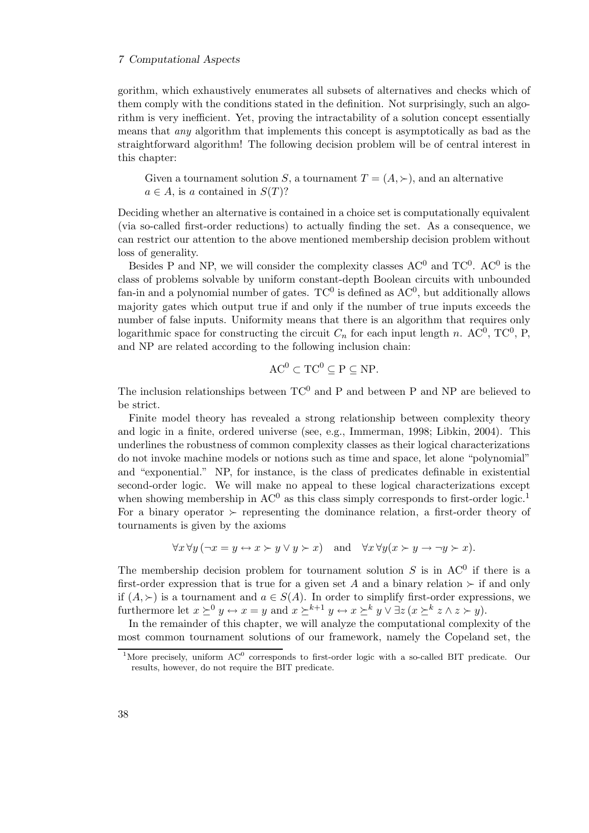gorithm, which exhaustively enumerates all subsets of alternatives and checks which of them comply with the conditions stated in the definition. Not surprisingly, such an algorithm is very inefficient. Yet, proving the intractability of a solution concept essentially means that *any* algorithm that implements this concept is asymptotically as bad as the straightforward algorithm! The following decision problem will be of central interest in this chapter:

Given a tournament solution S, a tournament  $T = (A, \succ)$ , and an alternative  $a \in A$ , is a contained in  $S(T)$ ?

Deciding whether an alternative is contained in a choice set is computationally equivalent (via so-called first-order reductions) to actually finding the set. As a consequence, we can restrict our attention to the above mentioned membership decision problem without loss of generality.

Besides P and NP, we will consider the complexity classes  $AC^0$  and  $TC^0$ .  $AC^0$  is the class of problems solvable by uniform constant-depth Boolean circuits with unbounded fan-in and a polynomial number of gates.  $TC^{0}$  is defined as  $AC^{0}$ , but additionally allows majority gates which output true if and only if the number of true inputs exceeds the number of false inputs. Uniformity means that there is an algorithm that requires only logarithmic space for constructing the circuit  $C_n$  for each input length n. AC<sup>0</sup>, TC<sup>0</sup>, P, and NP are related according to the following inclusion chain:

$$
AC^0 \subset TC^0 \subseteq P \subseteq NP.
$$

The inclusion relationships between  $TC^0$  and P and between P and NP are believed to be strict.

Finite model theory has revealed a strong relationship between complexity theory and logic in a finite, ordered universe (see, e.g., Immerman, 1998; Libkin, 2004). This underlines the robustness of common complexity classes as their logical characterizations do not invoke machine models or notions such as time and space, let alone "polynomial" and "exponential." NP, for instance, is the class of predicates definable in existential second-order logic. We will make no appeal to these logical characterizations except when showing membership in  $AC^0$  as this class simply corresponds to first-order logic.<sup>1</sup> For a binary operator  $\succ$  representing the dominance relation, a first-order theory of tournaments is given by the axioms

$$
\forall x \forall y (\neg x = y \leftrightarrow x \succ y \lor y \succ x) \quad \text{and} \quad \forall x \forall y (x \succ y \rightarrow \neg y \succ x).
$$

The membership decision problem for tournament solution  $S$  is in AC<sup>0</sup> if there is a first-order expression that is true for a given set A and a binary relation  $\succ$  if and only if  $(A, \succ)$  is a tournament and  $a \in S(A)$ . In order to simplify first-order expressions, we furthermore let  $x \succeq^0 y \leftrightarrow x = y$  and  $x \succeq^{k+1} y \leftrightarrow x \succeq^k y \vee \exists z (x \succeq^k z \land z \succ y).$ 

In the remainder of this chapter, we will analyze the computational complexity of the most common tournament solutions of our framework, namely the Copeland set, the

<sup>&</sup>lt;sup>1</sup>More precisely, uniform  $AC^0$  corresponds to first-order logic with a so-called BIT predicate. Our results, however, do not require the BIT predicate.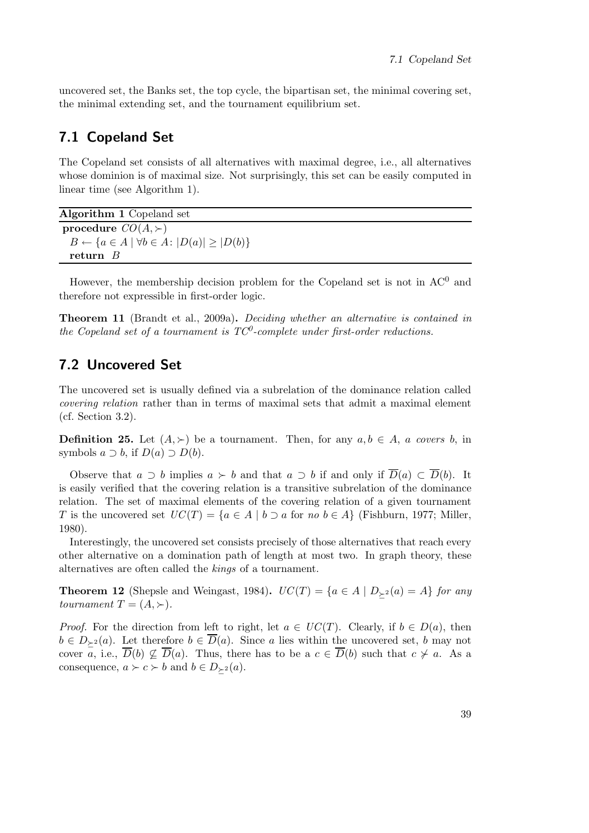uncovered set, the Banks set, the top cycle, the bipartisan set, the minimal covering set, the minimal extending set, and the tournament equilibrium set.

## 7.1 Copeland Set

The Copeland set consists of all alternatives with maximal degree, i.e., all alternatives whose dominion is of maximal size. Not surprisingly, this set can be easily computed in linear time (see Algorithm 1).

Algorithm 1 Copeland set procedure  $CO(A, \succ)$  $B \leftarrow \{a \in A \mid \forall b \in A : |D(a)| \geq |D(b)|\}$ return B

However, the membership decision problem for the Copeland set is not in  $AC^0$  and therefore not expressible in first-order logic.

Theorem 11 (Brandt et al., 2009a). *Deciding whether an alternative is contained in the Copeland set of a tournament is TC*<sup>0</sup> *-complete under first-order reductions.*

## 7.2 Uncovered Set

The uncovered set is usually defined via a subrelation of the dominance relation called *covering relation* rather than in terms of maximal sets that admit a maximal element (cf. Section 3.2).

**Definition 25.** Let  $(A, \succ)$  be a tournament. Then, for any  $a, b \in A$ , a covers b, in symbols  $a \supset b$ , if  $D(a) \supset D(b)$ .

Observe that  $a \supset b$  implies  $a \succ b$  and that  $a \supset b$  if and only if  $\overline{D}(a) \subset \overline{D}(b)$ . It is easily verified that the covering relation is a transitive subrelation of the dominance relation. The set of maximal elements of the covering relation of a given tournament T is the uncovered set  $UC(T) = \{a \in A \mid b \supset a$  for *no*  $b \in A\}$  (Fishburn, 1977; Miller, 1980).

Interestingly, the uncovered set consists precisely of those alternatives that reach every other alternative on a domination path of length at most two. In graph theory, these alternatives are often called the *kings* of a tournament.

**Theorem 12** (Shepsle and Weingast, 1984).  $UC(T) = \{a \in A \mid D_{\succ 2}(a) = A\}$  *for any tournament*  $T = (A, \succ).$ 

*Proof.* For the direction from left to right, let  $a \in UC(T)$ . Clearly, if  $b \in D(a)$ , then  $b \in D_{\geq 2}(a)$ . Let therefore  $b \in \overline{D}(a)$ . Since a lies within the uncovered set, b may not cover a, i.e.,  $\overline{D}(b) \nsubseteq \overline{D}(a)$ . Thus, there has to be a  $c \in \overline{D}(b)$  such that  $c \nsucc a$ . As a consequence,  $a \succ c \succ b$  and  $b \in D_{\succ^2}(a)$ .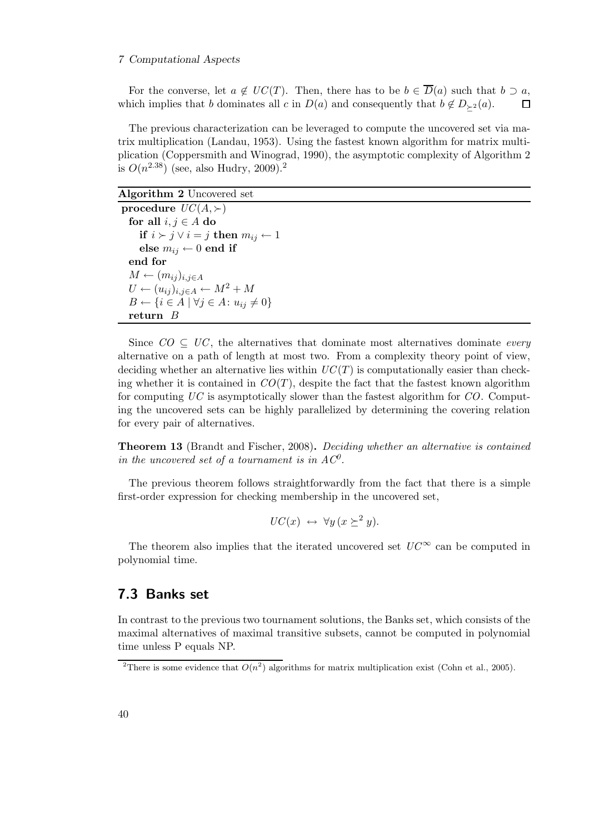#### 7 Computational Aspects

For the converse, let  $a \notin UC(T)$ . Then, there has to be  $b \in \overline{D}(a)$  such that  $b \supset a$ , which implies that b dominates all c in  $D(a)$  and consequently that  $b \notin D_{\geq 2}(a)$ .  $\Box$ 

The previous characterization can be leveraged to compute the uncovered set via matrix multiplication (Landau, 1953). Using the fastest known algorithm for matrix multiplication (Coppersmith and Winograd, 1990), the asymptotic complexity of Algorithm 2 is  $O(n^{2.38})$  (see, also Hudry, 2009).<sup>2</sup>

#### Algorithm 2 Uncovered set

procedure  $UC(A, \succ)$ for all  $i, j \in A$  do **if**  $i \succ j \lor i = j$  **then**  $m_{ij}$  ← 1 else  $m_{ij} \leftarrow 0$  end if end for  $M \leftarrow (m_{ij})_{i,j \in A}$  $U \leftarrow (u_{ij})_{i,j \in A} \leftarrow M^2 + M$  $B \leftarrow \{i \in A \mid \forall j \in A: u_{ij} \neq 0\}$ return B

Since  $CO \subseteq UC$ , the alternatives that dominate most alternatives dominate *every* alternative on a path of length at most two. From a complexity theory point of view, deciding whether an alternative lies within  $UC(T)$  is computationally easier than checking whether it is contained in  $CO(T)$ , despite the fact that the fastest known algorithm for computing *UC* is asymptotically slower than the fastest algorithm for *CO*. Computing the uncovered sets can be highly parallelized by determining the covering relation for every pair of alternatives.

Theorem 13 (Brandt and Fischer, 2008). *Deciding whether an alternative is contained in the uncovered set of a tournament is in*  $AC^0$ *.* 

The previous theorem follows straightforwardly from the fact that there is a simple first-order expression for checking membership in the uncovered set,

$$
UC(x) \leftrightarrow \forall y \, (x \succeq^2 y).
$$

The theorem also implies that the iterated uncovered set  $UC^{\infty}$  can be computed in polynomial time.

### 7.3 Banks set

In contrast to the previous two tournament solutions, the Banks set, which consists of the maximal alternatives of maximal transitive subsets, cannot be computed in polynomial time unless P equals NP.

<sup>&</sup>lt;sup>2</sup>There is some evidence that  $O(n^2)$  algorithms for matrix multiplication exist (Cohn et al., 2005).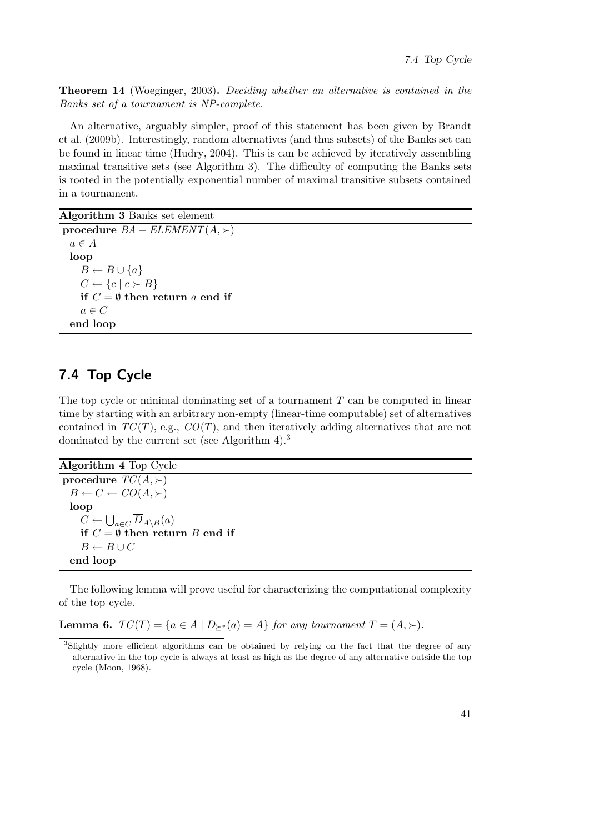Theorem 14 (Woeginger, 2003). *Deciding whether an alternative is contained in the Banks set of a tournament is NP-complete.*

An alternative, arguably simpler, proof of this statement has been given by Brandt et al. (2009b). Interestingly, random alternatives (and thus subsets) of the Banks set can be found in linear time (Hudry, 2004). This is can be achieved by iteratively assembling maximal transitive sets (see Algorithm 3). The difficulty of computing the Banks sets is rooted in the potentially exponential number of maximal transitive subsets contained in a tournament.

Algorithm 3 Banks set element

```
procedure BA - ELEMENT(A, \succ)a \in Aloop
    B \leftarrow B \cup \{a\}C \leftarrow \{c \mid c \succ B\}if C = \emptyset then return a end if
    a \in Cend loop
```
## 7.4 Top Cycle

 $B \leftarrow B \cup C$ 

end loop

The top cycle or minimal dominating set of a tournament  $T$  can be computed in linear time by starting with an arbitrary non-empty (linear-time computable) set of alternatives contained in  $TC(T)$ , e.g.,  $CO(T)$ , and then iteratively adding alternatives that are not dominated by the current set (see Algorithm 4).<sup>3</sup>

Algorithm 4 Top Cycle procedure  $TC(A, \succ)$  $B \leftarrow C \leftarrow CO(A, \succ)$ loop  $C \leftarrow \bigcup_{a \in C} \overline{D}_{A \setminus B}(a)$ if  $C = \emptyset$  then return B end if

The following lemma will prove useful for characterizing the computational complexity of the top cycle.

Lemma 6.  $TC(T) = \{a \in A \mid D_{\succeq^*}(a) = A\}$  *for any tournament*  $T = (A, \succ)$ *.* 

<sup>3</sup>Slightly more efficient algorithms can be obtained by relying on the fact that the degree of any alternative in the top cycle is always at least as high as the degree of any alternative outside the top cycle (Moon, 1968).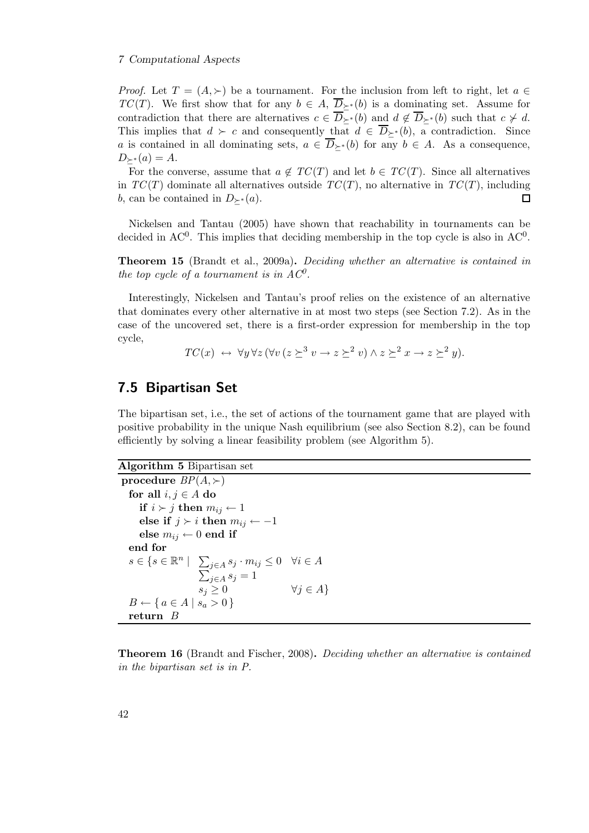#### 7 Computational Aspects

*Proof.* Let  $T = (A, \succ)$  be a tournament. For the inclusion from left to right, let  $a \in$ *TC*(*T*). We first show that for any  $b \in A$ ,  $\overline{D}_{\succ^*}(b)$  is a dominating set. Assume for contradiction that there are alternatives  $c \in \overline{D}_{\succ^*}(b)$  and  $d \notin \overline{D}_{\succ^*}(b)$  such that  $c \not\sim d$ . This implies that  $d > c$  and consequently that  $d \in \overline{D}_{\succ^*}(b)$ , a contradiction. Since a is contained in all dominating sets,  $a \in \overline{D}_{\succ}(b)$  for any  $b \in A$ . As a consequence,  $D_{\succ^*}(a) = A$ .

For the converse, assume that  $a \notin TC(T)$  and let  $b \in TC(T)$ . Since all alternatives in  $TC(T)$  dominate all alternatives outside  $TC(T)$ , no alternative in  $TC(T)$ , including b, can be contained in  $D_{\succ^*}(a)$ .  $\Box$ 

Nickelsen and Tantau (2005) have shown that reachability in tournaments can be decided in AC<sup>0</sup>. This implies that deciding membership in the top cycle is also in  $AC^0$ .

Theorem 15 (Brandt et al., 2009a). *Deciding whether an alternative is contained in the top cycle of a tournament is in*  $AC^0$ *.* 

Interestingly, Nickelsen and Tantau's proof relies on the existence of an alternative that dominates every other alternative in at most two steps (see Section 7.2). As in the case of the uncovered set, there is a first-order expression for membership in the top cycle,

$$
TC(x) \leftrightarrow \forall y \forall z (\forall v (z \succeq^3 v \rightarrow z \succeq^2 v) \land z \succeq^2 x \rightarrow z \succeq^2 y).
$$

## 7.5 Bipartisan Set

The bipartisan set, i.e., the set of actions of the tournament game that are played with positive probability in the unique Nash equilibrium (see also Section 8.2), can be found efficiently by solving a linear feasibility problem (see Algorithm 5).

#### Algorithm 5 Bipartisan set

procedure  $BP(A, \succ)$ for all  $i, j \in A$  do if  $i \succ j$  then  $m_{ij} \leftarrow 1$ else if  $j \succ i$  then  $m_{ij} \leftarrow -1$ else  $m_{ij} \leftarrow 0$  end if end for  $s \in \{s \in \mathbb{R}^n \mid \sum_{j \in A} s_j \cdot m_{ij} \leq 0 \quad \forall i \in A$  $\sum_{j\in A}^{j\in I} s_j = 1$  $s_j \geq 0$   $\forall j \in A$  $B \leftarrow \{ a \in A \mid s_a > 0 \}$ return B

Theorem 16 (Brandt and Fischer, 2008). *Deciding whether an alternative is contained in the bipartisan set is in P.*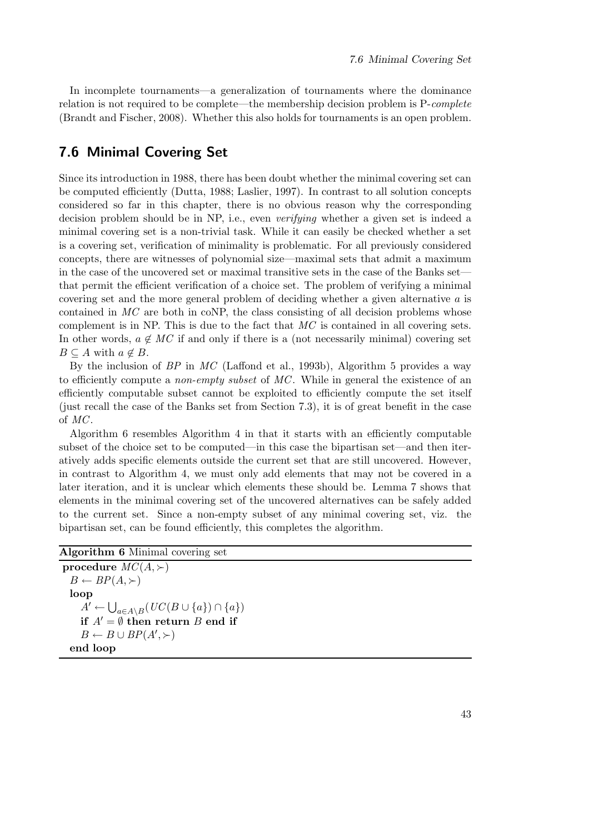In incomplete tournaments—a generalization of tournaments where the dominance relation is not required to be complete—the membership decision problem is P-*complete* (Brandt and Fischer, 2008). Whether this also holds for tournaments is an open problem.

## 7.6 Minimal Covering Set

Since its introduction in 1988, there has been doubt whether the minimal covering set can be computed efficiently (Dutta, 1988; Laslier, 1997). In contrast to all solution concepts considered so far in this chapter, there is no obvious reason why the corresponding decision problem should be in NP, i.e., even *verifying* whether a given set is indeed a minimal covering set is a non-trivial task. While it can easily be checked whether a set is a covering set, verification of minimality is problematic. For all previously considered concepts, there are witnesses of polynomial size—maximal sets that admit a maximum in the case of the uncovered set or maximal transitive sets in the case of the Banks set that permit the efficient verification of a choice set. The problem of verifying a minimal covering set and the more general problem of deciding whether a given alternative a is contained in MC are both in coNP, the class consisting of all decision problems whose complement is in NP. This is due to the fact that *MC* is contained in all covering sets. In other words,  $a \notin MC$  if and only if there is a (not necessarily minimal) covering set  $B \subseteq A$  with  $a \notin B$ .

By the inclusion of *BP* in *MC* (Laffond et al., 1993b), Algorithm 5 provides a way to efficiently compute a *non-empty subset* of *MC*. While in general the existence of an efficiently computable subset cannot be exploited to efficiently compute the set itself (just recall the case of the Banks set from Section 7.3), it is of great benefit in the case of *MC*.

Algorithm 6 resembles Algorithm 4 in that it starts with an efficiently computable subset of the choice set to be computed—in this case the bipartisan set—and then iteratively adds specific elements outside the current set that are still uncovered. However, in contrast to Algorithm 4, we must only add elements that may not be covered in a later iteration, and it is unclear which elements these should be. Lemma 7 shows that elements in the minimal covering set of the uncovered alternatives can be safely added to the current set. Since a non-empty subset of any minimal covering set, viz. the bipartisan set, can be found efficiently, this completes the algorithm.

| Algorithm 6 Minimal covering set |  |  |  |  |
|----------------------------------|--|--|--|--|
|----------------------------------|--|--|--|--|

```
procedure MC(A, \succ)B \leftarrow BP(A, \succ)loop
      \overline{A'} \leftarrow \bigcup_{a \in A \setminus B} (UC(B \cup \{a\}) \cap \{a\})if A' = \emptyset then return B end if
      B \leftarrow B \cup BP(A',\succ)end loop
```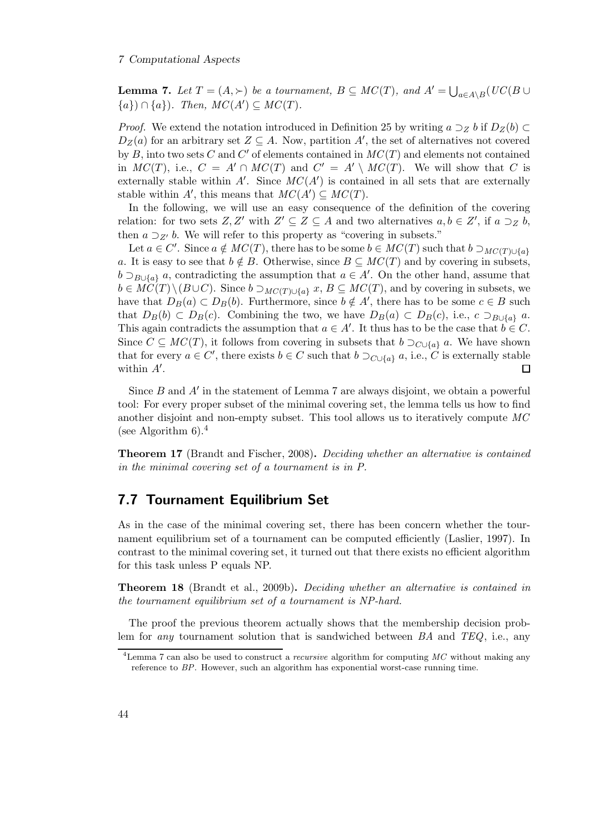**Lemma 7.** Let  $T = (A, \succ)$  be a tournament,  $B \subseteq MC(T)$ , and  $A' = \bigcup_{a \in A \setminus B} (UC(B \cup$ { $a$ }) ∩ { $a$ })*. Then, MC*( $A'$ ) ⊆  $MC(T)$ *.* 

*Proof.* We extend the notation introduced in Definition 25 by writing  $a \supseteq z b$  if  $D_Z(b) \subset$  $D_Z(a)$  for an arbitrary set  $Z \subseteq A$ . Now, partition A', the set of alternatives not covered by  $B$ , into two sets  $C$  and  $C'$  of elements contained in  $MC(T)$  and elements not contained in  $MC(T)$ , i.e.,  $C = A' \cap MC(T)$  and  $C' = A' \setminus MC(T)$ . We will show that C is externally stable within  $A'$ . Since  $MC(A')$  is contained in all sets that are externally stable within  $A'$ , this means that  $MC(A') \subseteq MC(T)$ .

In the following, we will use an easy consequence of the definition of the covering relation: for two sets  $Z, Z'$  with  $Z' \subseteq Z \subseteq A$  and two alternatives  $a, b \in Z'$ , if  $a \supseteq_Z b$ , then  $a \supseteq_{Z'} b$ . We will refer to this property as "covering in subsets."

Let  $a \in C'$ . Since  $a \notin MC(T)$ , there has to be some  $b \in MC(T)$  such that  $b \supset_{MC(T)\cup\{a\}}$ a. It is easy to see that  $b \notin B$ . Otherwise, since  $B \subseteq MC(T)$  and by covering in subsets,  $b \supset_{B\cup\{a\}} a$ , contradicting the assumption that  $a \in A'$ . On the other hand, assume that  $b \in \widetilde{MC}(T)\setminus (B\cup C)$ . Since  $b \supset_{MC(T)\cup\{a\}} x, B \subseteq MC(T)$ , and by covering in subsets, we have that  $D_B(a) \subset D_B(b)$ . Furthermore, since  $b \notin A'$ , there has to be some  $c \in B$  such that  $D_B(b) \subset D_B(c)$ . Combining the two, we have  $D_B(a) \subset D_B(c)$ , i.e.,  $c \supset_{B \cup \{a\}} a$ . This again contradicts the assumption that  $a \in A'$ . It thus has to be the case that  $b \in C$ . Since  $C \subseteq MC(T)$ , it follows from covering in subsets that  $b \supset_{C \cup \{a\}} a$ . We have shown that for every  $a \in C'$ , there exists  $b \in C$  such that  $b \supset_{C \cup \{a\}} a$ , i.e.,  $C$  is externally stable within  $A'$ .

Since  $B$  and  $A'$  in the statement of Lemma 7 are always disjoint, we obtain a powerful tool: For every proper subset of the minimal covering set, the lemma tells us how to find another disjoint and non-empty subset. This tool allows us to iteratively compute *MC* (see Algorithm  $6$ ).<sup>4</sup>

Theorem 17 (Brandt and Fischer, 2008). *Deciding whether an alternative is contained in the minimal covering set of a tournament is in P.*

## 7.7 Tournament Equilibrium Set

As in the case of the minimal covering set, there has been concern whether the tournament equilibrium set of a tournament can be computed efficiently (Laslier, 1997). In contrast to the minimal covering set, it turned out that there exists no efficient algorithm for this task unless P equals NP.

Theorem 18 (Brandt et al., 2009b). *Deciding whether an alternative is contained in the tournament equilibrium set of a tournament is NP-hard.*

The proof the previous theorem actually shows that the membership decision problem for *any* tournament solution that is sandwiched between *BA* and *TEQ*, i.e., any

<sup>&</sup>lt;sup>4</sup>Lemma 7 can also be used to construct a *recursive* algorithm for computing  $MC$  without making any reference to BP. However, such an algorithm has exponential worst-case running time.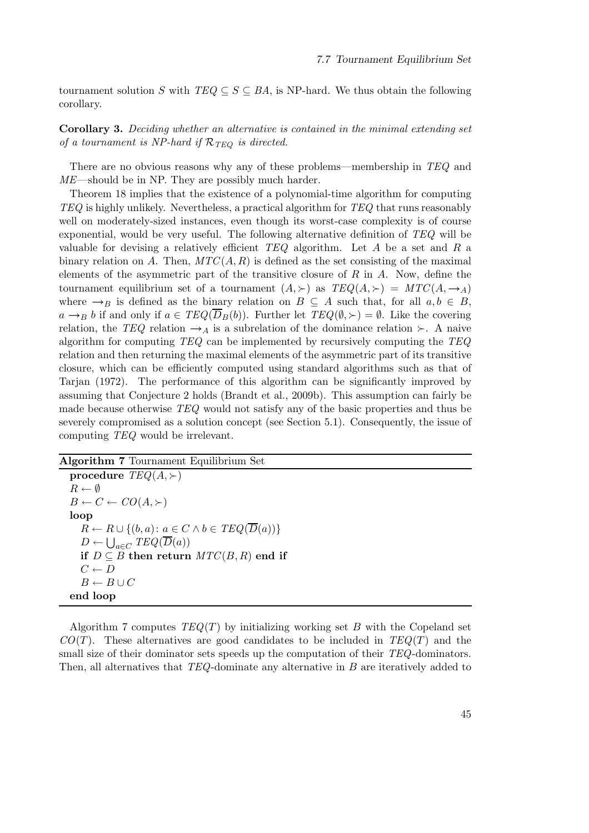tournament solution S with  $TEQ \subseteq S \subseteq BA$ , is NP-hard. We thus obtain the following corollary.

Corollary 3. *Deciding whether an alternative is contained in the minimal extending set of a tournament is NP-hard if*  $\mathcal{R}_{TEO}$  *is directed.* 

There are no obvious reasons why any of these problems—membership in *TEQ* and *ME*—should be in NP. They are possibly much harder.

Theorem 18 implies that the existence of a polynomial-time algorithm for computing *TEQ* is highly unlikely. Nevertheless, a practical algorithm for *TEQ* that runs reasonably well on moderately-sized instances, even though its worst-case complexity is of course exponential, would be very useful. The following alternative definition of *TEQ* will be valuable for devising a relatively efficient *TEQ* algorithm. Let A be a set and R a binary relation on A. Then,  $MTC(A, R)$  is defined as the set consisting of the maximal elements of the asymmetric part of the transitive closure of  $R$  in  $A$ . Now, define the tournament equilibrium set of a tournament  $(A, \succ)$  as  $TEQ(A, \succ) = MTC(A, \rightarrow_A)$ where  $\rightarrow_B$  is defined as the binary relation on  $B \subseteq A$  such that, for all  $a, b \in B$ ,  $a \rightarrow_B b$  if and only if  $a \in \text{TEQ}(\overline{D}_B(b))$ . Further let  $\text{TEQ}(\emptyset, \succ) = \emptyset$ . Like the covering relation, the *TEQ* relation  $\rightarrow_A$  is a subrelation of the dominance relation ≻. A naive algorithm for computing *TEQ* can be implemented by recursively computing the *TEQ* relation and then returning the maximal elements of the asymmetric part of its transitive closure, which can be efficiently computed using standard algorithms such as that of Tarjan (1972). The performance of this algorithm can be significantly improved by assuming that Conjecture 2 holds (Brandt et al., 2009b). This assumption can fairly be made because otherwise *TEQ* would not satisfy any of the basic properties and thus be severely compromised as a solution concept (see Section 5.1). Consequently, the issue of computing *TEQ* would be irrelevant.

Algorithm 7 Tournament Equilibrium Set

procedure  $TEQ(A, \succ)$  $R \leftarrow \emptyset$  $B \leftarrow C \leftarrow CO(A, \succ)$ loop  $R \leftarrow R \cup \{(b, a): a \in C \land b \in \mathit{TEQ}(\overline{D}(a))\}$  $D \leftarrow \bigcup_{a \in C} TEQ(\overline{D}(a))$ if  $D ⊆ B$  then return  $MTC(B, R)$  end if  $C \leftarrow D$  $B \leftarrow B \cup C$ end loop

Algorithm 7 computes *TEQ*(T) by initializing working set B with the Copeland set  $CO(T)$ . These alternatives are good candidates to be included in  $TEQ(T)$  and the small size of their dominator sets speeds up the computation of their *TEQ*-dominators. Then, all alternatives that *TEQ*-dominate any alternative in B are iteratively added to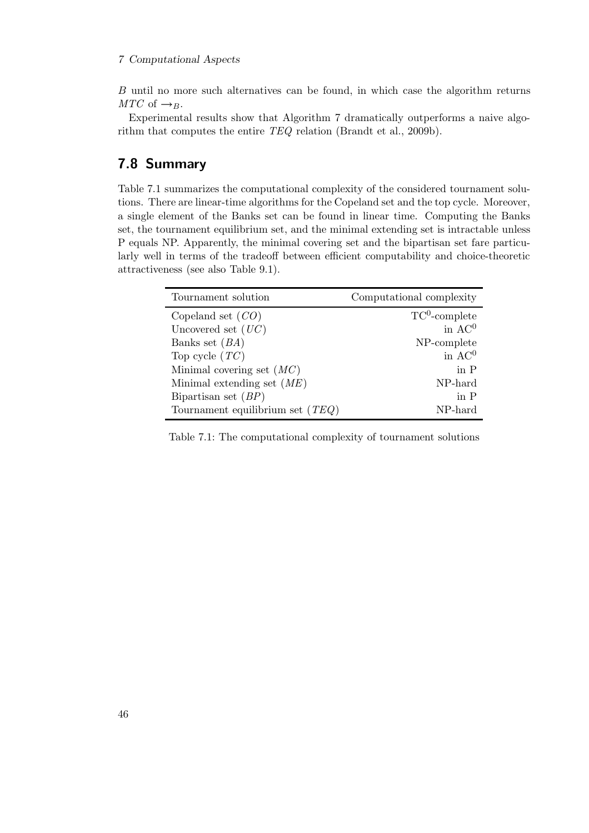#### 7 Computational Aspects

B until no more such alternatives can be found, in which case the algorithm returns *MTC* of  $\rightarrow$ <sub>B</sub>.

Experimental results show that Algorithm 7 dramatically outperforms a naive algorithm that computes the entire *TEQ* relation (Brandt et al., 2009b).

## 7.8 Summary

Table 7.1 summarizes the computational complexity of the considered tournament solutions. There are linear-time algorithms for the Copeland set and the top cycle. Moreover, a single element of the Banks set can be found in linear time. Computing the Banks set, the tournament equilibrium set, and the minimal extending set is intractable unless P equals NP. Apparently, the minimal covering set and the bipartisan set fare particularly well in terms of the tradeoff between efficient computability and choice-theoretic attractiveness (see also Table 9.1).

| Computational complexity |
|--------------------------|
| $TC^0$ -complete         |
| in $AC^0$                |
| NP-complete              |
| in $AC^0$                |
| in P                     |
| NP-hard                  |
| in P                     |
| NP-hard                  |
|                          |

Table 7.1: The computational complexity of tournament solutions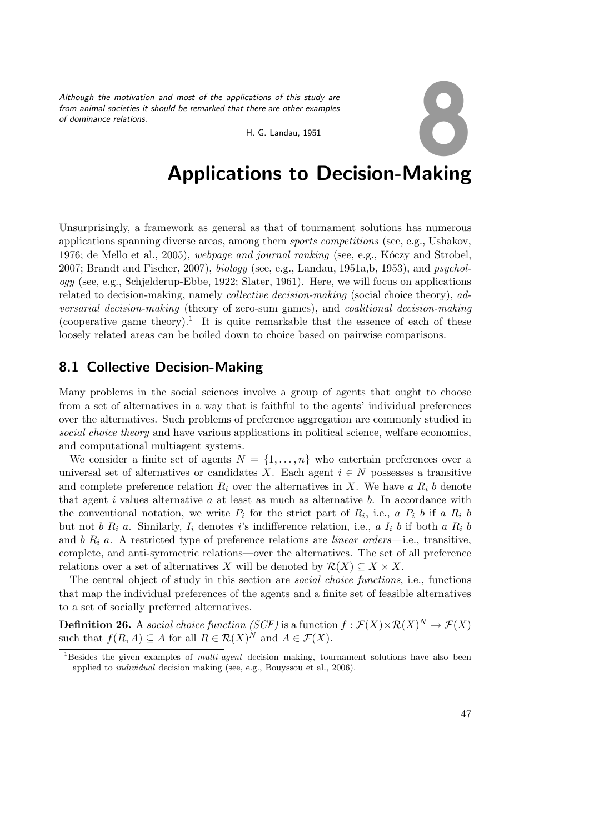*Although the motivation and most of the applications of this study are from animal societies it should be remarked that there are other examples of dominance relations.*

Extions of this study are<br>there are other examples<br>H. G. Landau, 1951

# Applications to Decision-Making

Unsurprisingly, a framework as general as that of tournament solutions has numerous applications spanning diverse areas, among them *sports competitions* (see, e.g., Ushakov, 1976; de Mello et al., 2005), *webpage and journal ranking* (see, e.g., Kóczy and Strobel, 2007; Brandt and Fischer, 2007), *biology* (see, e.g., Landau, 1951a,b, 1953), and *psychology* (see, e.g., Schjelderup-Ebbe, 1922; Slater, 1961). Here, we will focus on applications related to decision-making, namely *collective decision-making* (social choice theory), *adversarial decision-making* (theory of zero-sum games), and *coalitional decision-making* (cooperative game theory).<sup>1</sup> It is quite remarkable that the essence of each of these loosely related areas can be boiled down to choice based on pairwise comparisons.

## 8.1 Collective Decision-Making

Many problems in the social sciences involve a group of agents that ought to choose from a set of alternatives in a way that is faithful to the agents' individual preferences over the alternatives. Such problems of preference aggregation are commonly studied in *social choice theory* and have various applications in political science, welfare economics, and computational multiagent systems.

We consider a finite set of agents  $N = \{1, \ldots, n\}$  who entertain preferences over a universal set of alternatives or candidates X. Each agent  $i \in N$  possesses a transitive and complete preference relation  $R_i$  over the alternatives in X. We have a  $R_i$  b denote that agent  $i$  values alternative  $a$  at least as much as alternative  $b$ . In accordance with the conventional notation, we write  $P_i$  for the strict part of  $R_i$ , i.e., a  $P_i$  b if a  $R_i$  b but not b  $R_i$  a. Similarly,  $I_i$  denotes is indifference relation, i.e., a  $I_i$  b if both a  $R_i$  b and  $b R_i a$ . A restricted type of preference relations are *linear orders*—i.e., transitive, complete, and anti-symmetric relations—over the alternatives. The set of all preference relations over a set of alternatives X will be denoted by  $\mathcal{R}(X) \subseteq X \times X$ .

The central object of study in this section are *social choice functions*, i.e., functions that map the individual preferences of the agents and a finite set of feasible alternatives to a set of socially preferred alternatives.

**Definition 26.** A social choice function (SCF) is a function  $f : \mathcal{F}(X) \times \mathcal{R}(X)^N \to \mathcal{F}(X)$ such that  $f(R, A) \subseteq A$  for all  $R \in \mathcal{R}(X)^N$  and  $A \in \mathcal{F}(X)$ .

<sup>&</sup>lt;sup>1</sup>Besides the given examples of *multi-agent* decision making, tournament solutions have also been applied to individual decision making (see, e.g., Bouyssou et al., 2006).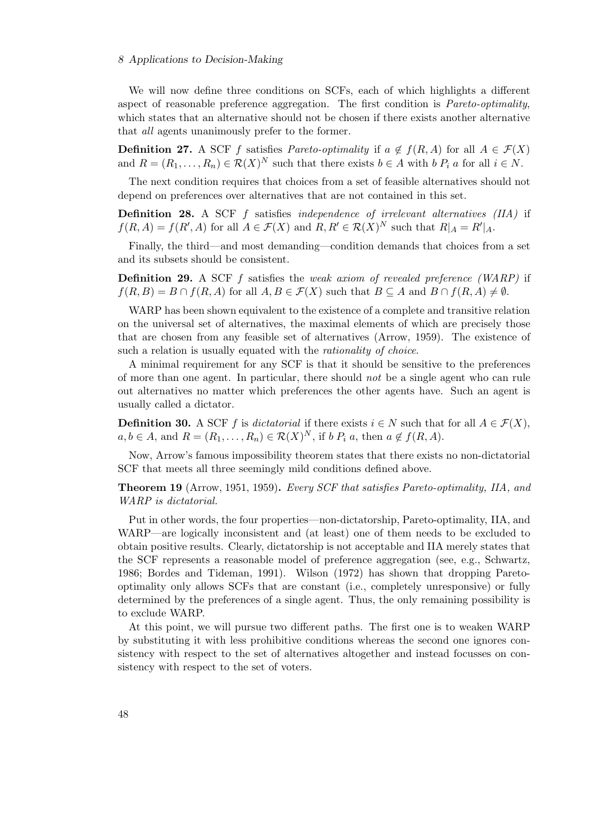#### 8 Applications to Decision-Making

We will now define three conditions on SCFs, each of which highlights a different aspect of reasonable preference aggregation. The first condition is *Pareto-optimality*, which states that an alternative should not be chosen if there exists another alternative that *all* agents unanimously prefer to the former.

**Definition 27.** A SCF f satisfies *Pareto-optimality* if  $a \notin f(R, A)$  for all  $A \in \mathcal{F}(X)$ and  $R = (R_1, \ldots, R_n) \in \mathcal{R}(X)^N$  such that there exists  $b \in A$  with  $b P_i a$  for all  $i \in N$ .

The next condition requires that choices from a set of feasible alternatives should not depend on preferences over alternatives that are not contained in this set.

Definition 28. A SCF f satisfies *independence of irrelevant alternatives (IIA)* if  $f(R, A) = f(R', A)$  for all  $A \in \mathcal{F}(X)$  and  $R, R' \in \mathcal{R}(X)^N$  such that  $R|_A = R'|_A$ .

Finally, the third—and most demanding—condition demands that choices from a set and its subsets should be consistent.

Definition 29. A SCF f satisfies the *weak axiom of revealed preference (WARP)* if  $f(R, B) = B \cap f(R, A)$  for all  $A, B \in \mathcal{F}(X)$  such that  $B \subseteq A$  and  $B \cap f(R, A) \neq \emptyset$ .

WARP has been shown equivalent to the existence of a complete and transitive relation on the universal set of alternatives, the maximal elements of which are precisely those that are chosen from any feasible set of alternatives (Arrow, 1959). The existence of such a relation is usually equated with the *rationality of choice*.

A minimal requirement for any SCF is that it should be sensitive to the preferences of more than one agent. In particular, there should *not* be a single agent who can rule out alternatives no matter which preferences the other agents have. Such an agent is usually called a dictator.

**Definition 30.** A SCF f is *dictatorial* if there exists  $i \in N$  such that for all  $A \in \mathcal{F}(X)$ ,  $a, b \in A$ , and  $R = (R_1, \ldots, R_n) \in \mathcal{R}(X)^N$ , if  $b \, P_i \, a$ , then  $a \notin f(R, A)$ .

Now, Arrow's famous impossibility theorem states that there exists no non-dictatorial SCF that meets all three seemingly mild conditions defined above.

Theorem 19 (Arrow, 1951, 1959). *Every SCF that satisfies Pareto-optimality, IIA, and WARP is dictatorial.*

Put in other words, the four properties—non-dictatorship, Pareto-optimality, IIA, and WARP—are logically inconsistent and (at least) one of them needs to be excluded to obtain positive results. Clearly, dictatorship is not acceptable and IIA merely states that the SCF represents a reasonable model of preference aggregation (see, e.g., Schwartz, 1986; Bordes and Tideman, 1991). Wilson (1972) has shown that dropping Paretooptimality only allows SCFs that are constant (i.e., completely unresponsive) or fully determined by the preferences of a single agent. Thus, the only remaining possibility is to exclude WARP.

At this point, we will pursue two different paths. The first one is to weaken WARP by substituting it with less prohibitive conditions whereas the second one ignores consistency with respect to the set of alternatives altogether and instead focusses on consistency with respect to the set of voters.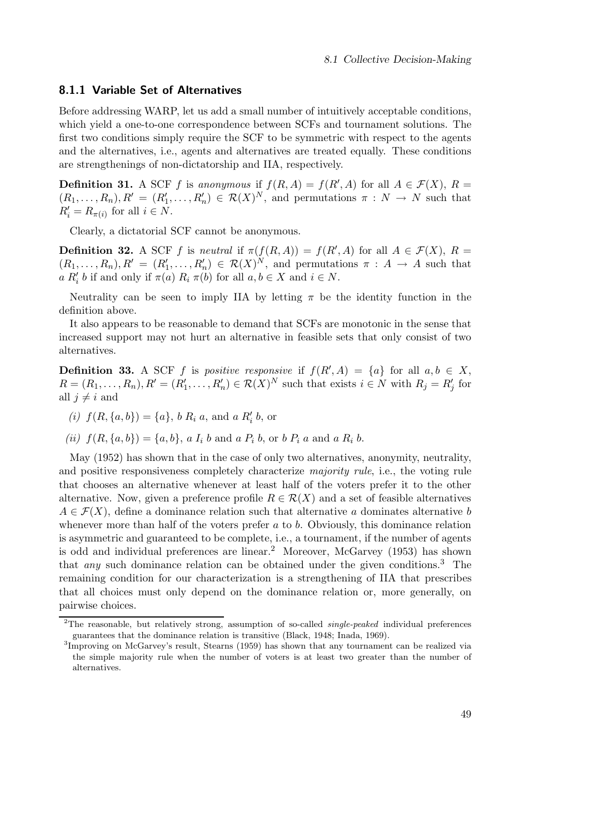#### 8.1.1 Variable Set of Alternatives

Before addressing WARP, let us add a small number of intuitively acceptable conditions, which yield a one-to-one correspondence between SCFs and tournament solutions. The first two conditions simply require the SCF to be symmetric with respect to the agents and the alternatives, i.e., agents and alternatives are treated equally. These conditions are strengthenings of non-dictatorship and IIA, respectively.

**Definition 31.** A SCF f is anonymous if  $f(R, A) = f(R', A)$  for all  $A \in \mathcal{F}(X)$ ,  $R =$  $(R_1,\ldots,R_n), R' = (R'_1,\ldots,R'_n) \in \mathcal{R}(X)^N$ , and permutations  $\pi : N \to N$  such that  $R'_i = R_{\pi(i)}$  for all  $i \in N$ .

Clearly, a dictatorial SCF cannot be anonymous.

**Definition 32.** A SCF f is *neutral* if  $\pi(f(R,A)) = f(R',A)$  for all  $A \in \mathcal{F}(X)$ ,  $R =$  $(R_1,\ldots,R_n), R' = (R'_1,\ldots,R'_n) \in \mathcal{R}(X)^N$ , and permutations  $\pi : A \to A$  such that  $a R'_i$  b if and only if  $\pi(a) R_i \pi(b)$  for all  $a, b \in X$  and  $i \in N$ .

Neutrality can be seen to imply IIA by letting  $\pi$  be the identity function in the definition above.

It also appears to be reasonable to demand that SCFs are monotonic in the sense that increased support may not hurt an alternative in feasible sets that only consist of two alternatives.

**Definition 33.** A SCF f is *positive responsive* if  $f(R', A) = \{a\}$  for all  $a, b \in X$ ,  $R = (R_1, \ldots, R_n), R' = (R'_1, \ldots, R'_n) \in \mathcal{R}(X)^N$  such that exists  $i \in N$  with  $R_j = R'_j$  for all  $i \neq i$  and

- (*i*)  $f(R, \{a, b\}) = \{a\}, b R_i a$ , and  $a R'_i b$ , or
- (*ii*)  $f(R, \{a, b\}) = \{a, b\}, a I_i b$  and  $a P_i b$ , or  $b P_i a$  and  $a R_i b$ .

May (1952) has shown that in the case of only two alternatives, anonymity, neutrality, and positive responsiveness completely characterize *majority rule*, i.e., the voting rule that chooses an alternative whenever at least half of the voters prefer it to the other alternative. Now, given a preference profile  $R \in \mathcal{R}(X)$  and a set of feasible alternatives  $A \in \mathcal{F}(X)$ , define a dominance relation such that alternative a dominates alternative b whenever more than half of the voters prefer  $a$  to  $b$ . Obviously, this dominance relation is asymmetric and guaranteed to be complete, i.e., a tournament, if the number of agents is odd and individual preferences are linear.<sup>2</sup> Moreover, McGarvey  $(1953)$  has shown that *any* such dominance relation can be obtained under the given conditions.<sup>3</sup> The remaining condition for our characterization is a strengthening of IIA that prescribes that all choices must only depend on the dominance relation or, more generally, on pairwise choices.

<sup>&</sup>lt;sup>2</sup>The reasonable, but relatively strong, assumption of so-called *single-peaked* individual preferences guarantees that the dominance relation is transitive (Black, 1948; Inada, 1969).

<sup>&</sup>lt;sup>3</sup>Improving on McGarvey's result, Stearns (1959) has shown that any tournament can be realized via the simple majority rule when the number of voters is at least two greater than the number of alternatives.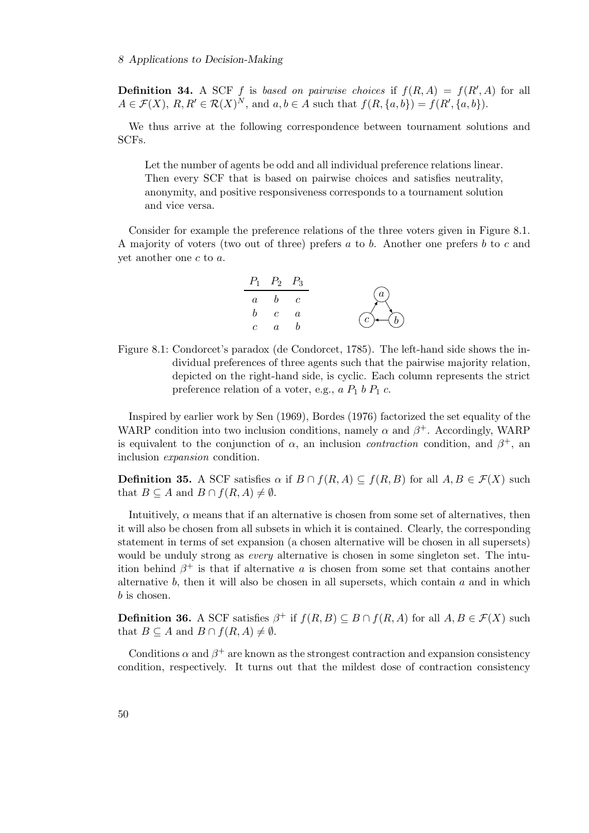**Definition 34.** A SCF f is based on pairwise choices if  $f(R, A) = f(R', A)$  for all  $A \in \mathcal{F}(X), R, R' \in \mathcal{R}(X)^N$ , and  $a, b \in A$  such that  $f(R, \{a, b\}) = f(R', \{a, b\}).$ 

We thus arrive at the following correspondence between tournament solutions and SCFs.

Let the number of agents be odd and all individual preference relations linear. Then every SCF that is based on pairwise choices and satisfies neutrality, anonymity, and positive responsiveness corresponds to a tournament solution and vice versa.

Consider for example the preference relations of the three voters given in Figure 8.1. A majority of voters (two out of three) prefers a to b. Another one prefers b to c and yet another one c to a.

|          | $P_1$ $P_2$ $P_3$ |            |                   |
|----------|-------------------|------------|-------------------|
| $\alpha$ | h                 | $\epsilon$ | a)                |
| h        |                   | $\alpha$   | $\rightarrowtail$ |
|          |                   |            |                   |

Figure 8.1: Condorcet's paradox (de Condorcet, 1785). The left-hand side shows the individual preferences of three agents such that the pairwise majority relation, depicted on the right-hand side, is cyclic. Each column represents the strict preference relation of a voter, e.g.,  $a P_1 b P_1 c$ .

Inspired by earlier work by Sen (1969), Bordes (1976) factorized the set equality of the WARP condition into two inclusion conditions, namely  $\alpha$  and  $\beta^+$ . Accordingly, WARP is equivalent to the conjunction of  $\alpha$ , an inclusion *contraction* condition, and  $\beta^+$ , an inclusion *expansion* condition.

**Definition 35.** A SCF satisfies  $\alpha$  if  $B \cap f(R, A) \subseteq f(R, B)$  for all  $A, B \in \mathcal{F}(X)$  such that  $B \subseteq A$  and  $B \cap f(R, A) \neq \emptyset$ .

Intuitively,  $\alpha$  means that if an alternative is chosen from some set of alternatives, then it will also be chosen from all subsets in which it is contained. Clearly, the corresponding statement in terms of set expansion (a chosen alternative will be chosen in all supersets) would be unduly strong as *every* alternative is chosen in some singleton set. The intuition behind  $\beta^+$  is that if alternative a is chosen from some set that contains another alternative b, then it will also be chosen in all supersets, which contain  $a$  and in which b is chosen.

**Definition 36.** A SCF satisfies  $\beta^+$  if  $f(R, B) \subseteq B \cap f(R, A)$  for all  $A, B \in \mathcal{F}(X)$  such that  $B \subseteq A$  and  $B \cap f(R, A) \neq \emptyset$ .

Conditions  $\alpha$  and  $\beta^+$  are known as the strongest contraction and expansion consistency condition, respectively. It turns out that the mildest dose of contraction consistency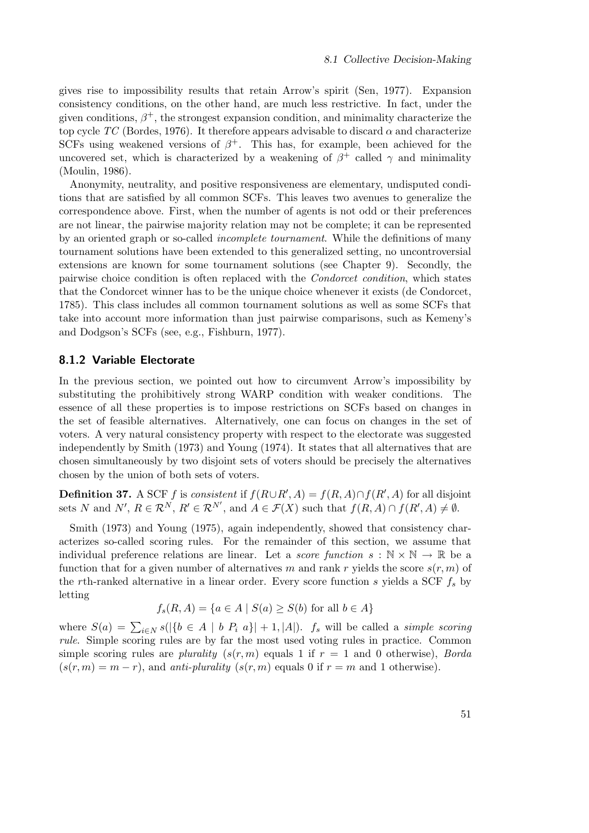gives rise to impossibility results that retain Arrow's spirit (Sen, 1977). Expansion consistency conditions, on the other hand, are much less restrictive. In fact, under the given conditions,  $\beta^+$ , the strongest expansion condition, and minimality characterize the top cycle  $TC$  (Bordes, 1976). It therefore appears advisable to discard  $\alpha$  and characterize SCFs using weakened versions of  $\beta^+$ . This has, for example, been achieved for the uncovered set, which is characterized by a weakening of  $\beta^+$  called  $\gamma$  and minimality (Moulin, 1986).

Anonymity, neutrality, and positive responsiveness are elementary, undisputed conditions that are satisfied by all common SCFs. This leaves two avenues to generalize the correspondence above. First, when the number of agents is not odd or their preferences are not linear, the pairwise majority relation may not be complete; it can be represented by an oriented graph or so-called *incomplete tournament*. While the definitions of many tournament solutions have been extended to this generalized setting, no uncontroversial extensions are known for some tournament solutions (see Chapter 9). Secondly, the pairwise choice condition is often replaced with the *Condorcet condition*, which states that the Condorcet winner has to be the unique choice whenever it exists (de Condorcet, 1785). This class includes all common tournament solutions as well as some SCFs that take into account more information than just pairwise comparisons, such as Kemeny's and Dodgson's SCFs (see, e.g., Fishburn, 1977).

#### 8.1.2 Variable Electorate

In the previous section, we pointed out how to circumvent Arrow's impossibility by substituting the prohibitively strong WARP condition with weaker conditions. The essence of all these properties is to impose restrictions on SCFs based on changes in the set of feasible alternatives. Alternatively, one can focus on changes in the set of voters. A very natural consistency property with respect to the electorate was suggested independently by Smith (1973) and Young (1974). It states that all alternatives that are chosen simultaneously by two disjoint sets of voters should be precisely the alternatives chosen by the union of both sets of voters.

**Definition 37.** A SCF f is *consistent* if  $f(R\cup R', A) = f(R, A) \cap f(R', A)$  for all disjoint sets N and N',  $R \in \mathcal{R}^N$ ,  $R' \in \mathcal{R}^{N'}$ , and  $A \in \mathcal{F}(X)$  such that  $f(R, A) \cap f(R', A) \neq \emptyset$ .

Smith (1973) and Young (1975), again independently, showed that consistency characterizes so-called scoring rules. For the remainder of this section, we assume that individual preference relations are linear. Let a *score function*  $s : \mathbb{N} \times \mathbb{N} \to \mathbb{R}$  be a function that for a given number of alternatives m and rank r yields the score  $s(r, m)$  of the rth-ranked alternative in a linear order. Every score function s yields a SCF  $f_s$  by letting

$$
f_s(R, A) = \{a \in A \mid S(a) \ge S(b) \text{ for all } b \in A\}
$$

where  $S(a) = \sum_{i \in N} s(|\{b \in A \mid b \; P_i \; a\}| + 1, |A|)$ . *f<sub>s</sub>* will be called a *simple scoring rule*. Simple scoring rules are by far the most used voting rules in practice. Common simple scoring rules are *plurality*  $(s(r, m)$  equals 1 if  $r = 1$  and 0 otherwise), *Borda*  $(s(r, m) = m - r)$ , and *anti-plurality*  $(s(r, m)$  equals 0 if  $r = m$  and 1 otherwise).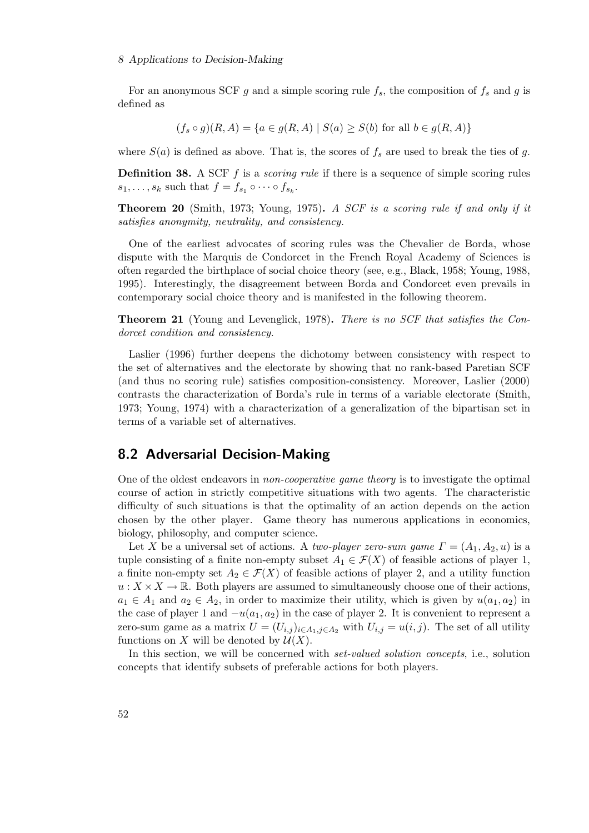#### 8 Applications to Decision-Making

For an anonymous SCF g and a simple scoring rule  $f_s$ , the composition of  $f_s$  and g is defined as

$$
(f_s \circ g)(R, A) = \{a \in g(R, A) \mid S(a) \ge S(b) \text{ for all } b \in g(R, A)\}
$$

where  $S(a)$  is defined as above. That is, the scores of  $f_s$  are used to break the ties of g.

Definition 38. A SCF f is a *scoring rule* if there is a sequence of simple scoring rules  $s_1, \ldots, s_k$  such that  $f = f_{s_1} \circ \cdots \circ f_{s_k}$ .

Theorem 20 (Smith, 1973; Young, 1975). *A SCF is a scoring rule if and only if it satisfies anonymity, neutrality, and consistency.*

One of the earliest advocates of scoring rules was the Chevalier de Borda, whose dispute with the Marquis de Condorcet in the French Royal Academy of Sciences is often regarded the birthplace of social choice theory (see, e.g., Black, 1958; Young, 1988, 1995). Interestingly, the disagreement between Borda and Condorcet even prevails in contemporary social choice theory and is manifested in the following theorem.

Theorem 21 (Young and Levenglick, 1978). *There is no SCF that satisfies the Condorcet condition and consistency.*

Laslier (1996) further deepens the dichotomy between consistency with respect to the set of alternatives and the electorate by showing that no rank-based Paretian SCF (and thus no scoring rule) satisfies composition-consistency. Moreover, Laslier (2000) contrasts the characterization of Borda's rule in terms of a variable electorate (Smith, 1973; Young, 1974) with a characterization of a generalization of the bipartisan set in terms of a variable set of alternatives.

### 8.2 Adversarial Decision-Making

One of the oldest endeavors in *non-cooperative game theory* is to investigate the optimal course of action in strictly competitive situations with two agents. The characteristic difficulty of such situations is that the optimality of an action depends on the action chosen by the other player. Game theory has numerous applications in economics, biology, philosophy, and computer science.

Let X be a universal set of actions. A *two-player zero-sum game*  $\Gamma = (A_1, A_2, u)$  is a tuple consisting of a finite non-empty subset  $A_1 \in \mathcal{F}(X)$  of feasible actions of player 1, a finite non-empty set  $A_2 \in \mathcal{F}(X)$  of feasible actions of player 2, and a utility function  $u: X \times X \to \mathbb{R}$ . Both players are assumed to simultaneously choose one of their actions,  $a_1 \in A_1$  and  $a_2 \in A_2$ , in order to maximize their utility, which is given by  $u(a_1, a_2)$  in the case of player 1 and  $-u(a_1, a_2)$  in the case of player 2. It is convenient to represent a zero-sum game as a matrix  $U = (U_{i,j})_{i \in A_1, j \in A_2}$  with  $U_{i,j} = u(i,j)$ . The set of all utility functions on X will be denoted by  $\mathcal{U}(X)$ .

In this section, we will be concerned with *set-valued solution concepts*, i.e., solution concepts that identify subsets of preferable actions for both players.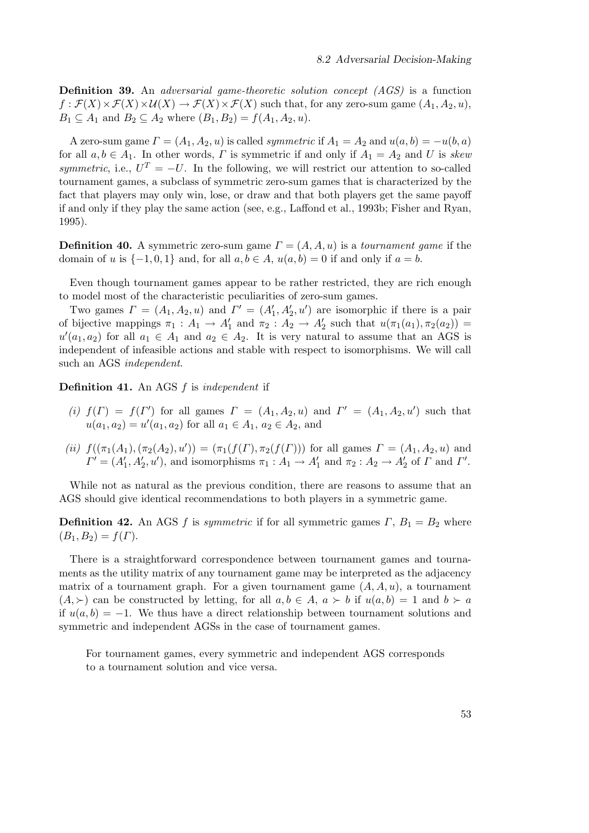Definition 39. An *adversarial game-theoretic solution concept (AGS)* is a function  $f : \mathcal{F}(X) \times \mathcal{F}(X) \times \mathcal{U}(X) \to \mathcal{F}(X) \times \mathcal{F}(X)$  such that, for any zero-sum game  $(A_1, A_2, u)$ ,  $B_1 \subseteq A_1$  and  $B_2 \subseteq A_2$  where  $(B_1, B_2) = f(A_1, A_2, u)$ .

A zero-sum game  $\Gamma = (A_1, A_2, u)$  is called *symmetric* if  $A_1 = A_2$  and  $u(a, b) = -u(b, a)$ for all  $a, b \in A_1$ . In other words,  $\Gamma$  is symmetric if and only if  $A_1 = A_2$  and U is *skew symmetric*, i.e.,  $U^T = -U$ . In the following, we will restrict our attention to so-called tournament games, a subclass of symmetric zero-sum games that is characterized by the fact that players may only win, lose, or draw and that both players get the same payoff if and only if they play the same action (see, e.g., Laffond et al., 1993b; Fisher and Ryan, 1995).

**Definition 40.** A symmetric zero-sum game  $\Gamma = (A, A, u)$  is a *tournament game* if the domain of u is  $\{-1, 0, 1\}$  and, for all  $a, b \in A$ ,  $u(a, b) = 0$  if and only if  $a = b$ .

Even though tournament games appear to be rather restricted, they are rich enough to model most of the characteristic peculiarities of zero-sum games.

Two games  $\Gamma = (A_1, A_2, u)$  and  $\Gamma' = (A'_1, A'_2, u')$  are isomorphic if there is a pair of bijective mappings  $\pi_1 : A_1 \to A'_1$  and  $\pi_2 : A_2 \to A'_2$  such that  $u(\pi_1(a_1), \pi_2(a_2)) =$  $u'(a_1, a_2)$  for all  $a_1 \in A_1$  and  $a_2 \in A_2$ . It is very natural to assume that an AGS is independent of infeasible actions and stable with respect to isomorphisms. We will call such an AGS *independent*.

Definition 41. An AGS f is *independent* if

- (*i*)  $f(\Gamma) = f(\Gamma')$  for all games  $\Gamma = (A_1, A_2, u)$  and  $\Gamma' = (A_1, A_2, u')$  such that  $u(a_1, a_2) = u'(a_1, a_2)$  for all  $a_1 \in A_1$ ,  $a_2 \in A_2$ , and
- *(ii)*  $f((\pi_1(A_1),(\pi_2(A_2), u')) = (\pi_1(f(\Gamma),\pi_2(f(\Gamma)))$  for all games  $\Gamma = (A_1, A_2, u)$  and  $\Gamma' = (A'_1, A'_2, u')$ , and isomorphisms  $\pi_1 : A_1 \to A'_1$  and  $\pi_2 : A_2 \to A'_2$  of  $\Gamma$  and  $\Gamma'$ .

While not as natural as the previous condition, there are reasons to assume that an AGS should give identical recommendations to both players in a symmetric game.

**Definition 42.** An AGS f is *symmetric* if for all symmetric games  $\Gamma$ ,  $B_1 = B_2$  where  $(B_1, B_2) = f(\Gamma).$ 

There is a straightforward correspondence between tournament games and tournaments as the utility matrix of any tournament game may be interpreted as the adjacency matrix of a tournament graph. For a given tournament game  $(A, A, u)$ , a tournament  $(A, \succ)$  can be constructed by letting, for all  $a, b \in A$ ,  $a \succ b$  if  $u(a, b) = 1$  and  $b \succ a$ if  $u(a, b) = -1$ . We thus have a direct relationship between tournament solutions and symmetric and independent AGSs in the case of tournament games.

For tournament games, every symmetric and independent AGS corresponds to a tournament solution and vice versa.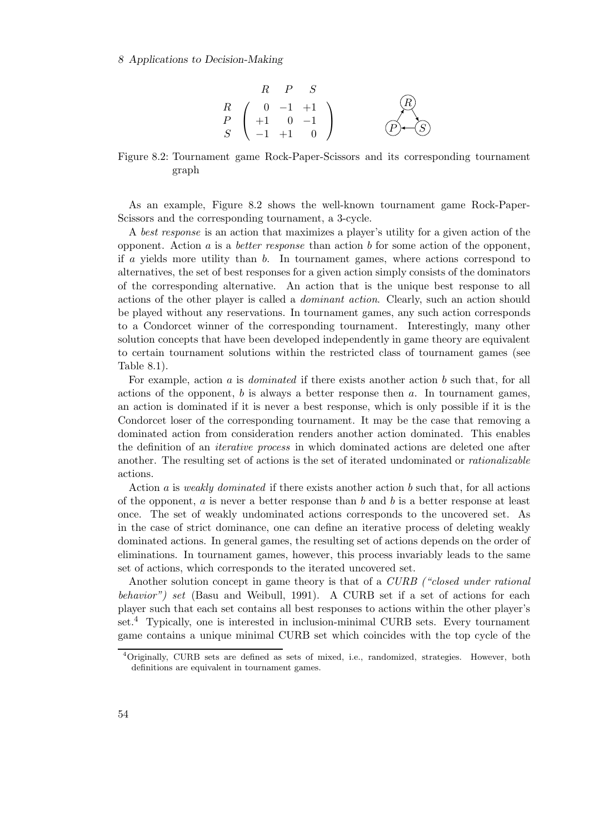#### 8 Applications to Decision-Making

$$
\begin{array}{ccc}\n & R & P & S \\
R & \begin{pmatrix} 0 & -1 & +1 \\
+1 & 0 & -1 \\
S & -1 & +1 & 0 \end{pmatrix} & \text{(R)} \\
\end{array}
$$

Figure 8.2: Tournament game Rock-Paper-Scissors and its corresponding tournament graph

As an example, Figure 8.2 shows the well-known tournament game Rock-Paper-Scissors and the corresponding tournament, a 3-cycle.

A *best response* is an action that maximizes a player's utility for a given action of the opponent. Action a is a *better response* than action b for some action of the opponent, if a yields more utility than b. In tournament games, where actions correspond to alternatives, the set of best responses for a given action simply consists of the dominators of the corresponding alternative. An action that is the unique best response to all actions of the other player is called a *dominant action*. Clearly, such an action should be played without any reservations. In tournament games, any such action corresponds to a Condorcet winner of the corresponding tournament. Interestingly, many other solution concepts that have been developed independently in game theory are equivalent to certain tournament solutions within the restricted class of tournament games (see Table 8.1).

For example, action a is *dominated* if there exists another action b such that, for all actions of the opponent,  $b$  is always a better response then  $a$ . In tournament games, an action is dominated if it is never a best response, which is only possible if it is the Condorcet loser of the corresponding tournament. It may be the case that removing a dominated action from consideration renders another action dominated. This enables the definition of an *iterative process* in which dominated actions are deleted one after another. The resulting set of actions is the set of iterated undominated or *rationalizable* actions.

Action a is *weakly dominated* if there exists another action b such that, for all actions of the opponent,  $a$  is never a better response than  $b$  and  $b$  is a better response at least once. The set of weakly undominated actions corresponds to the uncovered set. As in the case of strict dominance, one can define an iterative process of deleting weakly dominated actions. In general games, the resulting set of actions depends on the order of eliminations. In tournament games, however, this process invariably leads to the same set of actions, which corresponds to the iterated uncovered set.

Another solution concept in game theory is that of a *CURB ("closed under rational behavior") set* (Basu and Weibull, 1991). A CURB set if a set of actions for each player such that each set contains all best responses to actions within the other player's set.<sup>4</sup> Typically, one is interested in inclusion-minimal CURB sets. Every tournament game contains a unique minimal CURB set which coincides with the top cycle of the

<sup>4</sup>Originally, CURB sets are defined as sets of mixed, i.e., randomized, strategies. However, both definitions are equivalent in tournament games.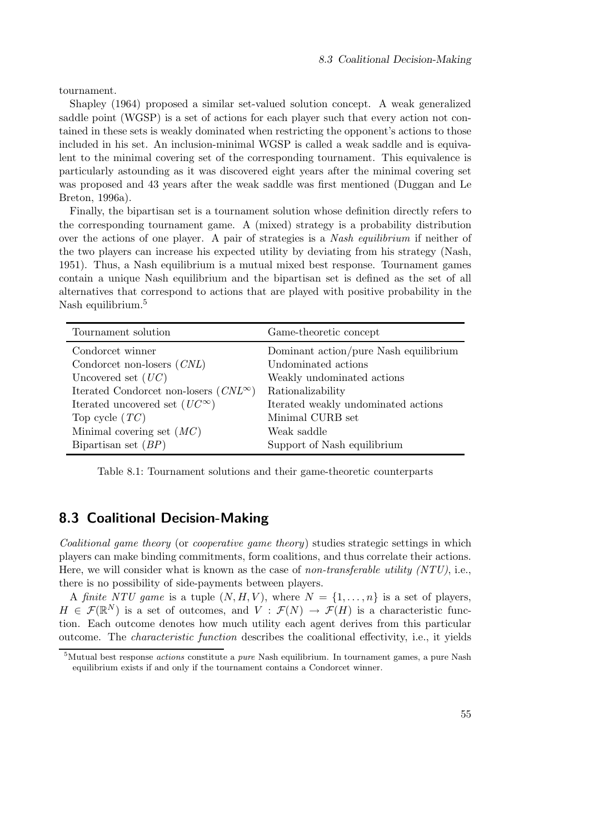tournament.

Shapley (1964) proposed a similar set-valued solution concept. A weak generalized saddle point (WGSP) is a set of actions for each player such that every action not contained in these sets is weakly dominated when restricting the opponent's actions to those included in his set. An inclusion-minimal WGSP is called a weak saddle and is equivalent to the minimal covering set of the corresponding tournament. This equivalence is particularly astounding as it was discovered eight years after the minimal covering set was proposed and 43 years after the weak saddle was first mentioned (Duggan and Le Breton, 1996a).

Finally, the bipartisan set is a tournament solution whose definition directly refers to the corresponding tournament game. A (mixed) strategy is a probability distribution over the actions of one player. A pair of strategies is a *Nash equilibrium* if neither of the two players can increase his expected utility by deviating from his strategy (Nash, 1951). Thus, a Nash equilibrium is a mutual mixed best response. Tournament games contain a unique Nash equilibrium and the bipartisan set is defined as the set of all alternatives that correspond to actions that are played with positive probability in the Nash equilibrium.<sup>5</sup>

| Tournament solution                            | Game-theoretic concept                |
|------------------------------------------------|---------------------------------------|
| Condorcet winner                               | Dominant action/pure Nash equilibrium |
| Condorcet non-losers $(CNL)$                   | Undominated actions                   |
| Uncovered set $(UC)$                           | Weakly undominated actions            |
| Iterated Condorcet non-losers $(CNL^{\infty})$ | Rationalizability                     |
| Iterated uncovered set $(UC^{\infty})$         | Iterated weakly undominated actions   |
| Top cycle $(TC)$                               | Minimal CURB set                      |
| Minimal covering set $(MC)$                    | Weak saddle                           |
| Bipartisan set $(BP)$                          | Support of Nash equilibrium           |

Table 8.1: Tournament solutions and their game-theoretic counterparts

## 8.3 Coalitional Decision-Making

*Coalitional game theory* (or *cooperative game theory*) studies strategic settings in which players can make binding commitments, form coalitions, and thus correlate their actions. Here, we will consider what is known as the case of *non-transferable utility (NTU)*, i.e., there is no possibility of side-payments between players.

A *finite NTU game* is a tuple  $(N, H, V)$ , where  $N = \{1, \ldots, n\}$  is a set of players,  $H \in \mathcal{F}(\mathbb{R}^N)$  is a set of outcomes, and  $V : \mathcal{F}(N) \to \mathcal{F}(H)$  is a characteristic function. Each outcome denotes how much utility each agent derives from this particular outcome. The *characteristic function* describes the coalitional effectivity, i.e., it yields

<sup>&</sup>lt;sup>5</sup>Mutual best response *actions* constitute a *pure* Nash equilibrium. In tournament games, a pure Nash equilibrium exists if and only if the tournament contains a Condorcet winner.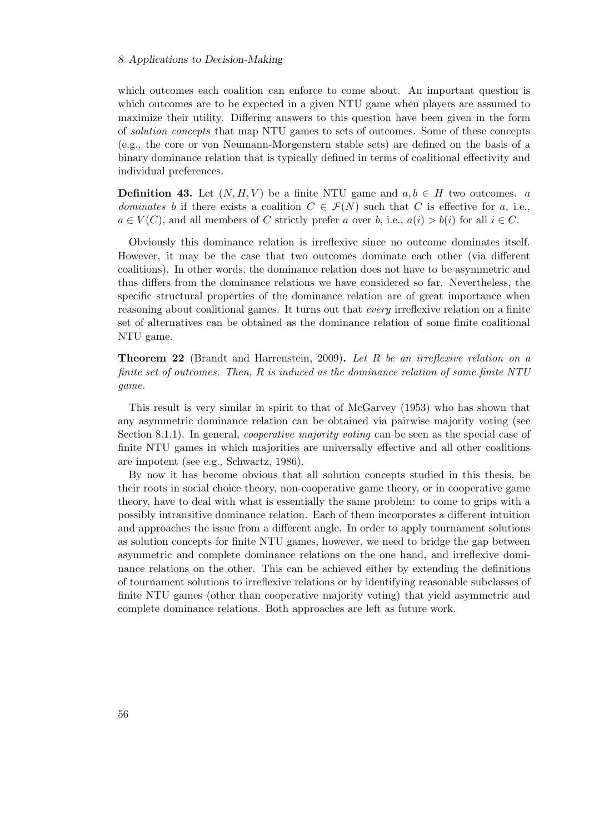#### 8 Applications to Decision-Making

which outcomes each coalition can enforce to come about. An important question is which outcomes are to be expected in a given NTU game when players are assumed to maximize their utility. Differing answers to this question have been given in the form of *solution concepts* that map NTU games to sets of outcomes. Some of these concepts (e.g., the core or von Neumann-Morgenstern stable sets) are defined on the basis of a binary dominance relation that is typically defined in terms of coalitional effectivity and individual preferences.

**Definition 43.** Let  $(N, H, V)$  be a finite NTU game and  $a, b \in H$  two outcomes. a *dominates* b if there exists a coalition  $C \in \mathcal{F}(N)$  such that C is effective for a, i.e.,  $a \in V(C)$ , and all members of C strictly prefer a over b, i.e.,  $a(i) > b(i)$  for all  $i \in C$ .

Obviously this dominance relation is irreflexive since no outcome dominates itself. However, it may be the case that two outcomes dominate each other (via different coalitions). In other words, the dominance relation does not have to be asymmetric and thus differs from the dominance relations we have considered so far. Nevertheless, the specific structural properties of the dominance relation are of great importance when reasoning about coalitional games. It turns out that *every* irreflexive relation on a finite set of alternatives can be obtained as the dominance relation of some finite coalitional NTU game.

Theorem 22 (Brandt and Harrenstein, 2009). *Let* R *be an irreflexive relation on a finite set of outcomes. Then,* R *is induced as the dominance relation of some finite NTU game.*

This result is very similar in spirit to that of McGarvey (1953) who has shown that any asymmetric dominance relation can be obtained via pairwise majority voting (see Section 8.1.1). In general, *cooperative majority voting* can be seen as the special case of finite NTU games in which majorities are universally effective and all other coalitions are impotent (see e.g., Schwartz, 1986).

By now it has become obvious that all solution concepts studied in this thesis, be their roots in social choice theory, non-cooperative game theory, or in cooperative game theory, have to deal with what is essentially the same problem: to come to grips with a possibly intransitive dominance relation. Each of them incorporates a different intuition and approaches the issue from a different angle. In order to apply tournament solutions as solution concepts for finite NTU games, however, we need to bridge the gap between asymmetric and complete dominance relations on the one hand, and irreflexive dominance relations on the other. This can be achieved either by extending the definitions of tournament solutions to irreflexive relations or by identifying reasonable subclasses of finite NTU games (other than cooperative majority voting) that yield asymmetric and complete dominance relations. Both approaches are left as future work.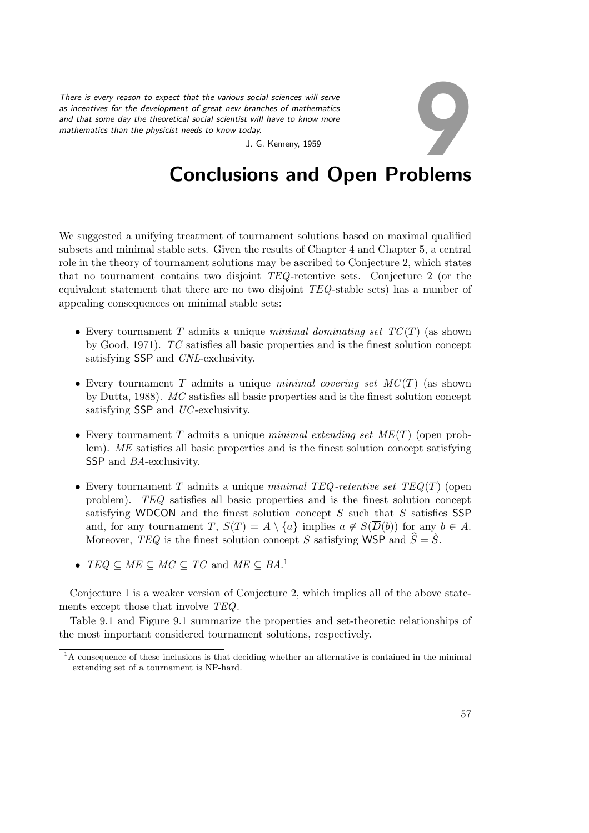*There is every reason to expect that the various social sciences will serve as incentives for the development of great new branches of mathematics and that some day the theoretical social scientist will have to know more mathematics than the physicist needs to know today.* Social sciences will serve<br>branches of mathematics<br>the will have to know more<br>day.<br>J. G. Kemeny, 1959

## Conclusions and Open Problems

We suggested a unifying treatment of tournament solutions based on maximal qualified subsets and minimal stable sets. Given the results of Chapter 4 and Chapter 5, a central role in the theory of tournament solutions may be ascribed to Conjecture 2, which states that no tournament contains two disjoint *TEQ*-retentive sets. Conjecture 2 (or the equivalent statement that there are no two disjoint *TEQ*-stable sets) has a number of appealing consequences on minimal stable sets:

- Every tournament T admits a unique *minimal dominating set TC*(T) (as shown by Good, 1971). *TC* satisfies all basic properties and is the finest solution concept satisfying SSP and *CNL*-exclusivity.
- Every tournament T admits a unique *minimal covering set MC*(T) (as shown by Dutta, 1988). *MC* satisfies all basic properties and is the finest solution concept satisfying SSP and *UC*-exclusivity.
- Every tournament T admits a unique *minimal extending set ME*(T) (open problem). *ME* satisfies all basic properties and is the finest solution concept satisfying SSP and *BA*-exclusivity.
- Every tournament T admits a unique *minimal TEQ -retentive set TEQ*(T) (open problem). *TEQ* satisfies all basic properties and is the finest solution concept satisfying WDCON and the finest solution concept  $S$  such that  $S$  satisfies SSP and, for any tournament T,  $S(T) = A \setminus \{a\}$  implies  $a \notin S(\overline{D}(b))$  for any  $b \in A$ . Moreover, *TEQ* is the finest solution concept S satisfying WSP and  $\hat{S} = \dot{S}$ .
- $TEQ \subseteq ME \subseteq MC \subseteq TC$  and  $ME \subseteq BA$ <sup>1</sup>

Conjecture 1 is a weaker version of Conjecture 2, which implies all of the above statements except those that involve *TEQ*.

Table 9.1 and Figure 9.1 summarize the properties and set-theoretic relationships of the most important considered tournament solutions, respectively.

<sup>&</sup>lt;sup>1</sup>A consequence of these inclusions is that deciding whether an alternative is contained in the minimal extending set of a tournament is NP-hard.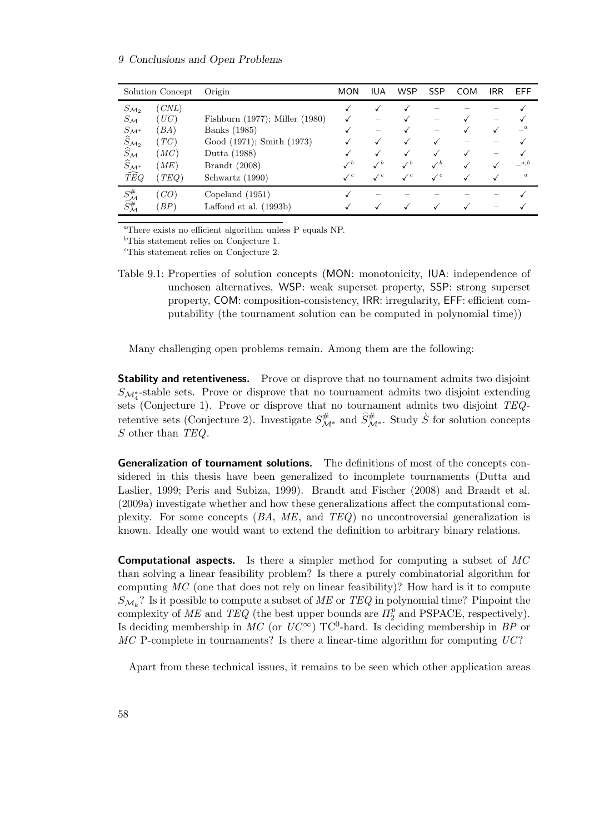#### 9 Conclusions and Open Problems

| Solution Concept                                         |       | Origin                              | <b>MON</b>      | IUA             | <b>WSP</b>      | <b>SSP</b>     | COM | <b>IRR</b> | EFF     |
|----------------------------------------------------------|-------|-------------------------------------|-----------------|-----------------|-----------------|----------------|-----|------------|---------|
| $S_{\mathcal{M}_2}$                                      | (CNL) |                                     |                 |                 |                 |                |     |            |         |
| $S_{\mathcal{M}}$                                        | (UC)  | Fishburn $(1977)$ ; Miller $(1980)$ |                 |                 |                 |                |     |            |         |
| $S_{\mathcal{M}^*}$                                      | (BA)  | Banks (1985)                        |                 |                 |                 |                |     |            | $-a$    |
| $\widehat{S}_{\mathcal{M}_2}$                            | (TC)  | Good (1971); Smith (1973)           |                 |                 |                 |                |     |            |         |
| $\widehat{S}_\mathcal{M}$                                | (MC)  | Dutta (1988)                        |                 |                 |                 |                |     |            |         |
| $\widehat{S}_{\mathcal{M}^*}$                            | (ME)  | <b>Brandt</b> (2008)                | $\mathcal{L}^b$ | $\checkmark$    | $\checkmark$    |                |     |            | a,b     |
| $\widehat{TEQ}$                                          | (TEQ) | Schwartz (1990)                     | $\mathcal{N}^c$ | $\mathcal{L}^c$ | $\mathcal{N}^c$ | $\checkmark$ c |     |            | $-{}^a$ |
| $S^{\#}_{\mathcal{M}} \\ \widehat{S^{\#}_{\mathcal{M}}}$ | (CO)  | Copeland $(1951)$                   |                 |                 |                 |                |     |            |         |
|                                                          | BP    | Laffond et al. $(1993b)$            |                 |                 |                 |                |     |            |         |

<sup>a</sup>There exists no efficient algorithm unless P equals NP.

 ${}^{b}$ This statement relies on Conjecture 1.

<sup>c</sup>This statement relies on Conjecture 2.

Table 9.1: Properties of solution concepts (MON: monotonicity, IUA: independence of unchosen alternatives, WSP: weak superset property, SSP: strong superset property, COM: composition-consistency, IRR: irregularity, EFF: efficient computability (the tournament solution can be computed in polynomial time))

Many challenging open problems remain. Among them are the following:

**Stability and retentiveness.** Prove or disprove that no tournament admits two disjoint  $S_{\mathcal{M}_{4}^{*}}$ -stable sets. Prove or disprove that no tournament admits two disjoint extending sets (Conjecture 1). Prove or disprove that no tournament admits two disjoint *TEQ*retentive sets (Conjecture 2). Investigate  $S^{\#}_{\mathcal{M}^*}$  and  $\widetilde{S}^{\#}_{\mathcal{M}^*}$ . Study  $\widetilde{S}$  for solution concepts S other than *TEQ*.

**Generalization of tournament solutions.** The definitions of most of the concepts considered in this thesis have been generalized to incomplete tournaments (Dutta and Laslier, 1999; Peris and Subiza, 1999). Brandt and Fischer (2008) and Brandt et al. (2009a) investigate whether and how these generalizations affect the computational complexity. For some concepts (*BA*, *ME*, and *TEQ*) no uncontroversial generalization is known. Ideally one would want to extend the definition to arbitrary binary relations.

Computational aspects. Is there a simpler method for computing a subset of *MC* than solving a linear feasibility problem? Is there a purely combinatorial algorithm for computing *MC* (one that does not rely on linear feasibility)? How hard is it to compute  $S_{\mathcal{M}_k}$ ? Is it possible to compute a subset of  $ME$  or  $TEQ$  in polynomial time? Pinpoint the complexity of  $ME$  and  $TEQ$  (the best upper bounds are  $\Pi_2^p$  and PSPACE, respectively). Complexity of *ME* and  $TEQ$  (the best upper bounds are  $H_2$  and 1 SI ACE, respectively).<br>Is deciding membership in *MC* (or  $UC^{\infty}$ ) TC<sup>0</sup>-hard. Is deciding membership in *BP* or *MC* P-complete in tournaments? Is there a linear-time algorithm for computing *UC*?

Apart from these technical issues, it remains to be seen which other application areas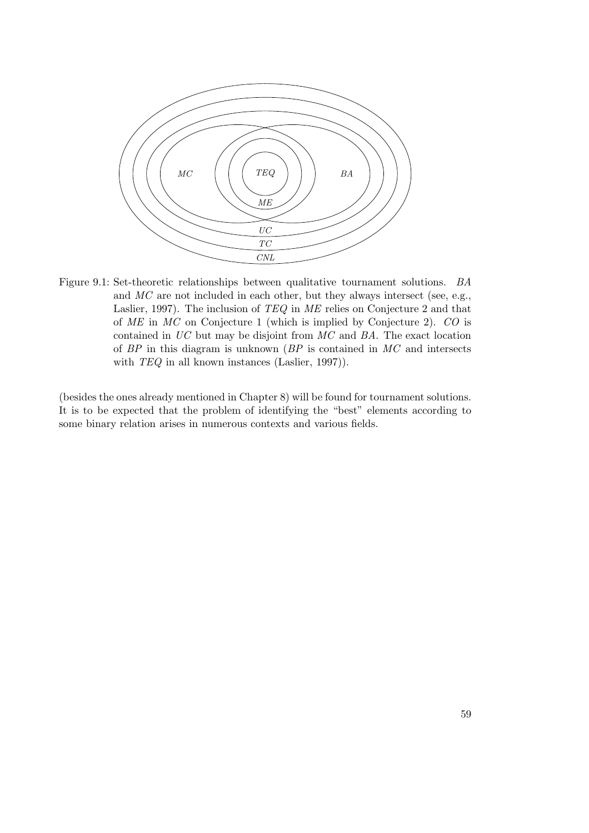

Figure 9.1: Set-theoretic relationships between qualitative tournament solutions. *BA* and *MC* are not included in each other, but they always intersect (see, e.g., Laslier, 1997). The inclusion of *TEQ* in *ME* relies on Conjecture 2 and that of *ME* in *MC* on Conjecture 1 (which is implied by Conjecture 2). *CO* is contained in *UC* but may be disjoint from *MC* and *BA*. The exact location of *BP* in this diagram is unknown (*BP* is contained in *MC* and intersects with *TEQ* in all known instances (Laslier, 1997)).

(besides the ones already mentioned in Chapter 8) will be found for tournament solutions. It is to be expected that the problem of identifying the "best" elements according to some binary relation arises in numerous contexts and various fields.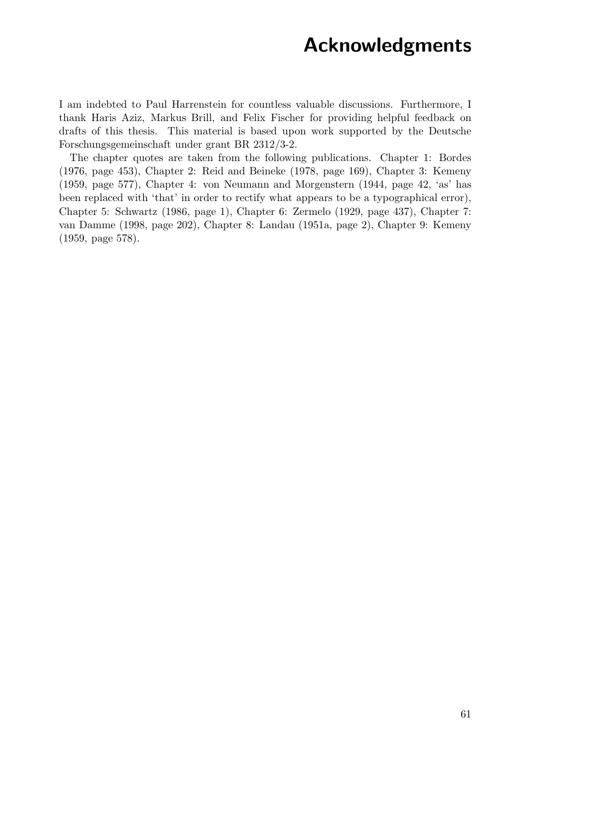## Acknowledgments

I am indebted to Paul Harrenstein for countless valuable discussions. Furthermore, I thank Haris Aziz, Markus Brill, and Felix Fischer for providing helpful feedback on drafts of this thesis. This material is based upon work supported by the Deutsche Forschungsgemeinschaft under grant BR 2312/3-2.

The chapter quotes are taken from the following publications. Chapter 1: Bordes (1976, page 453), Chapter 2: Reid and Beineke (1978, page 169), Chapter 3: Kemeny (1959, page 577), Chapter 4: von Neumann and Morgenstern (1944, page 42, 'as' has been replaced with 'that' in order to rectify what appears to be a typographical error), Chapter 5: Schwartz (1986, page 1), Chapter 6: Zermelo (1929, page 437), Chapter 7: van Damme (1998, page 202), Chapter 8: Landau (1951a, page 2), Chapter 9: Kemeny (1959, page 578).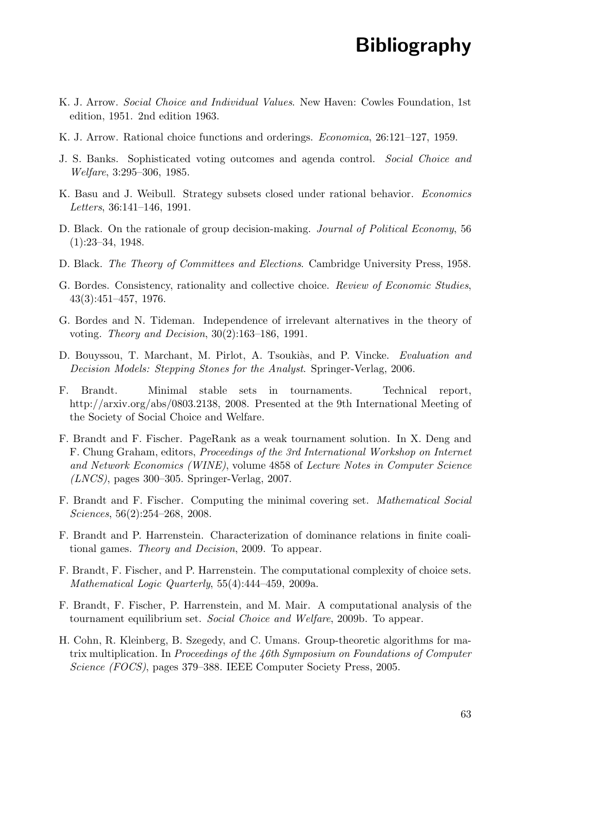## Bibliography

- K. J. Arrow. *Social Choice and Individual Values*. New Haven: Cowles Foundation, 1st edition, 1951. 2nd edition 1963.
- K. J. Arrow. Rational choice functions and orderings. *Economica*, 26:121–127, 1959.
- J. S. Banks. Sophisticated voting outcomes and agenda control. *Social Choice and Welfare*, 3:295–306, 1985.
- K. Basu and J. Weibull. Strategy subsets closed under rational behavior. *Economics Letters*, 36:141–146, 1991.
- D. Black. On the rationale of group decision-making. *Journal of Political Economy*, 56 (1):23–34, 1948.
- D. Black. *The Theory of Committees and Elections*. Cambridge University Press, 1958.
- G. Bordes. Consistency, rationality and collective choice. *Review of Economic Studies*, 43(3):451–457, 1976.
- G. Bordes and N. Tideman. Independence of irrelevant alternatives in the theory of voting. *Theory and Decision*, 30(2):163–186, 1991.
- D. Bouyssou, T. Marchant, M. Pirlot, A. Tsouki`as, and P. Vincke. *Evaluation and Decision Models: Stepping Stones for the Analyst*. Springer-Verlag, 2006.
- F. Brandt. Minimal stable sets in tournaments. Technical report, http://arxiv.org/abs/0803.2138, 2008. Presented at the 9th International Meeting of the Society of Social Choice and Welfare.
- F. Brandt and F. Fischer. PageRank as a weak tournament solution. In X. Deng and F. Chung Graham, editors, *Proceedings of the 3rd International Workshop on Internet and Network Economics (WINE)*, volume 4858 of *Lecture Notes in Computer Science (LNCS)*, pages 300–305. Springer-Verlag, 2007.
- F. Brandt and F. Fischer. Computing the minimal covering set. *Mathematical Social Sciences*, 56(2):254–268, 2008.
- F. Brandt and P. Harrenstein. Characterization of dominance relations in finite coalitional games. *Theory and Decision*, 2009. To appear.
- F. Brandt, F. Fischer, and P. Harrenstein. The computational complexity of choice sets. *Mathematical Logic Quarterly*, 55(4):444–459, 2009a.
- F. Brandt, F. Fischer, P. Harrenstein, and M. Mair. A computational analysis of the tournament equilibrium set. *Social Choice and Welfare*, 2009b. To appear.
- H. Cohn, R. Kleinberg, B. Szegedy, and C. Umans. Group-theoretic algorithms for matrix multiplication. In *Proceedings of the 46th Symposium on Foundations of Computer Science (FOCS)*, pages 379–388. IEEE Computer Society Press, 2005.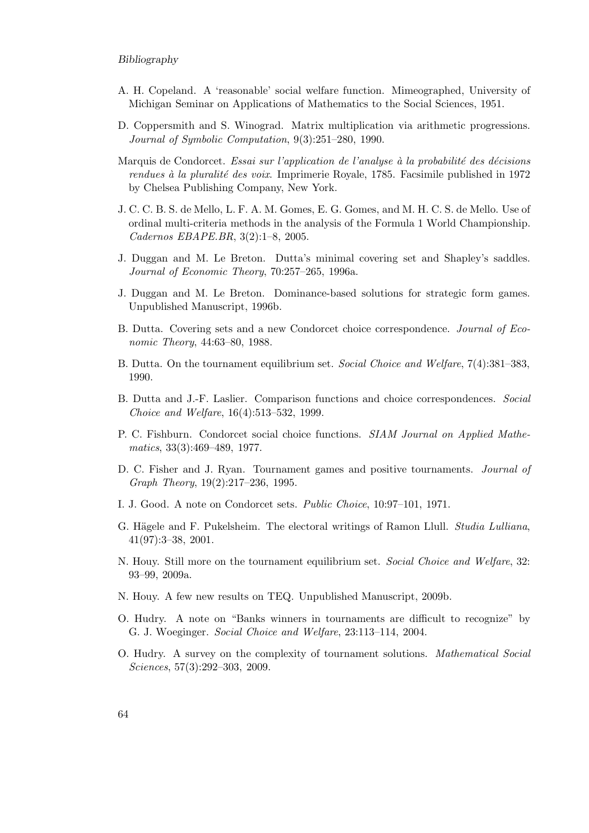#### Bibliography

- A. H. Copeland. A 'reasonable' social welfare function. Mimeographed, University of Michigan Seminar on Applications of Mathematics to the Social Sciences, 1951.
- D. Coppersmith and S. Winograd. Matrix multiplication via arithmetic progressions. *Journal of Symbolic Computation*, 9(3):251–280, 1990.
- Marquis de Condorcet. *Essai sur l'application de l'analyse `a la probabilit´e des d´ecisions rendues `a la pluralit´e des voix*. Imprimerie Royale, 1785. Facsimile published in 1972 by Chelsea Publishing Company, New York.
- J. C. C. B. S. de Mello, L. F. A. M. Gomes, E. G. Gomes, and M. H. C. S. de Mello. Use of ordinal multi-criteria methods in the analysis of the Formula 1 World Championship. *Cadernos EBAPE.BR*, 3(2):1–8, 2005.
- J. Duggan and M. Le Breton. Dutta's minimal covering set and Shapley's saddles. *Journal of Economic Theory*, 70:257–265, 1996a.
- J. Duggan and M. Le Breton. Dominance-based solutions for strategic form games. Unpublished Manuscript, 1996b.
- B. Dutta. Covering sets and a new Condorcet choice correspondence. *Journal of Economic Theory*, 44:63–80, 1988.
- B. Dutta. On the tournament equilibrium set. *Social Choice and Welfare*, 7(4):381–383, 1990.
- B. Dutta and J.-F. Laslier. Comparison functions and choice correspondences. *Social Choice and Welfare*, 16(4):513–532, 1999.
- P. C. Fishburn. Condorcet social choice functions. *SIAM Journal on Applied Mathematics*, 33(3):469–489, 1977.
- D. C. Fisher and J. Ryan. Tournament games and positive tournaments. *Journal of Graph Theory*, 19(2):217–236, 1995.
- I. J. Good. A note on Condorcet sets. *Public Choice*, 10:97–101, 1971.
- G. Hägele and F. Pukelsheim. The electoral writings of Ramon Llull. *Studia Lulliana*, 41(97):3–38, 2001.
- N. Houy. Still more on the tournament equilibrium set. *Social Choice and Welfare*, 32: 93–99, 2009a.
- N. Houy. A few new results on TEQ. Unpublished Manuscript, 2009b.
- O. Hudry. A note on "Banks winners in tournaments are difficult to recognize" by G. J. Woeginger. *Social Choice and Welfare*, 23:113–114, 2004.
- O. Hudry. A survey on the complexity of tournament solutions. *Mathematical Social Sciences*, 57(3):292–303, 2009.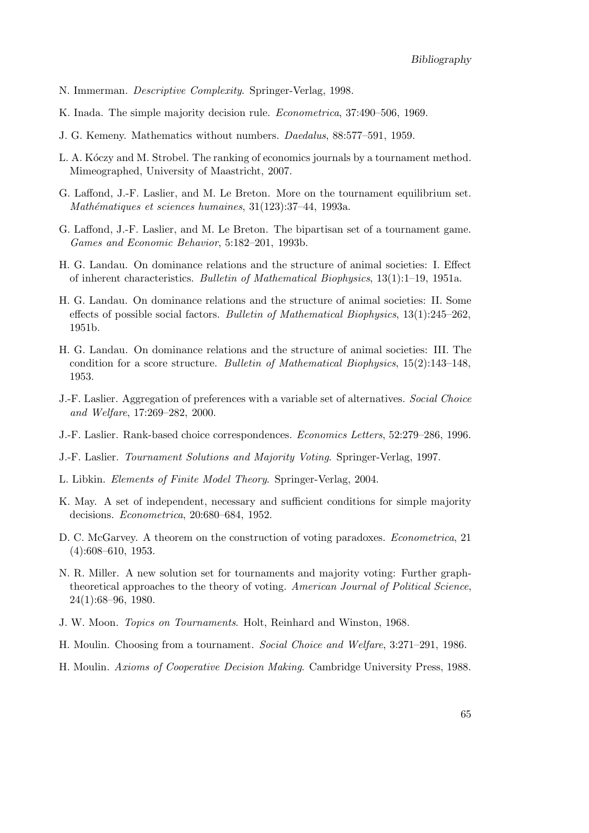- N. Immerman. *Descriptive Complexity*. Springer-Verlag, 1998.
- K. Inada. The simple majority decision rule. *Econometrica*, 37:490–506, 1969.
- J. G. Kemeny. Mathematics without numbers. *Daedalus*, 88:577–591, 1959.
- L. A. Kóczy and M. Strobel. The ranking of economics journals by a tournament method. Mimeographed, University of Maastricht, 2007.
- G. Laffond, J.-F. Laslier, and M. Le Breton. More on the tournament equilibrium set. *Math´ematiques et sciences humaines*, 31(123):37–44, 1993a.
- G. Laffond, J.-F. Laslier, and M. Le Breton. The bipartisan set of a tournament game. *Games and Economic Behavior*, 5:182–201, 1993b.
- H. G. Landau. On dominance relations and the structure of animal societies: I. Effect of inherent characteristics. *Bulletin of Mathematical Biophysics*, 13(1):1–19, 1951a.
- H. G. Landau. On dominance relations and the structure of animal societies: II. Some effects of possible social factors. *Bulletin of Mathematical Biophysics*, 13(1):245–262, 1951b.
- H. G. Landau. On dominance relations and the structure of animal societies: III. The condition for a score structure. *Bulletin of Mathematical Biophysics*, 15(2):143–148, 1953.
- J.-F. Laslier. Aggregation of preferences with a variable set of alternatives. *Social Choice and Welfare*, 17:269–282, 2000.
- J.-F. Laslier. Rank-based choice correspondences. *Economics Letters*, 52:279–286, 1996.
- J.-F. Laslier. *Tournament Solutions and Majority Voting*. Springer-Verlag, 1997.
- L. Libkin. *Elements of Finite Model Theory*. Springer-Verlag, 2004.
- K. May. A set of independent, necessary and sufficient conditions for simple majority decisions. *Econometrica*, 20:680–684, 1952.
- D. C. McGarvey. A theorem on the construction of voting paradoxes. *Econometrica*, 21 (4):608–610, 1953.
- N. R. Miller. A new solution set for tournaments and majority voting: Further graphtheoretical approaches to the theory of voting. *American Journal of Political Science*, 24(1):68–96, 1980.
- J. W. Moon. *Topics on Tournaments*. Holt, Reinhard and Winston, 1968.
- H. Moulin. Choosing from a tournament. *Social Choice and Welfare*, 3:271–291, 1986.
- H. Moulin. *Axioms of Cooperative Decision Making*. Cambridge University Press, 1988.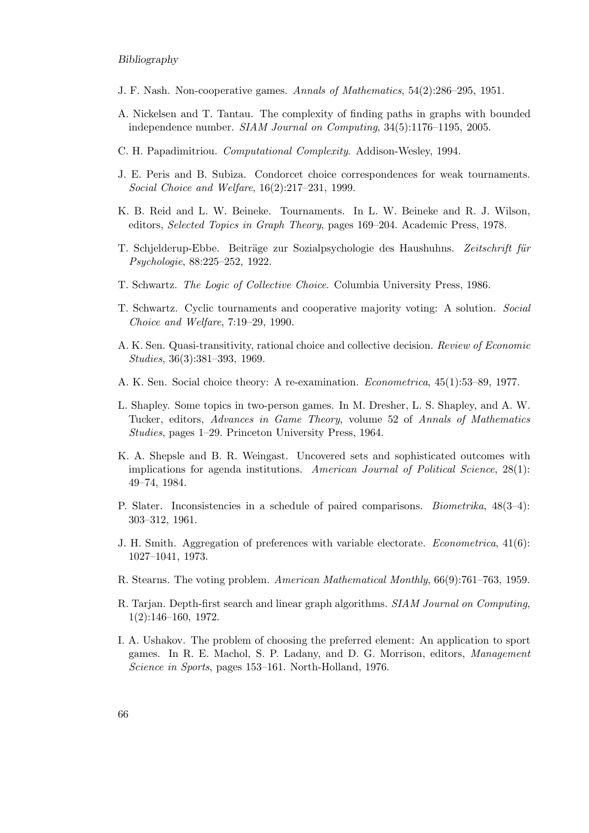#### Bibliography

- J. F. Nash. Non-cooperative games. *Annals of Mathematics*, 54(2):286–295, 1951.
- A. Nickelsen and T. Tantau. The complexity of finding paths in graphs with bounded independence number. *SIAM Journal on Computing*, 34(5):1176–1195, 2005.
- C. H. Papadimitriou. *Computational Complexity*. Addison-Wesley, 1994.
- J. E. Peris and B. Subiza. Condorcet choice correspondences for weak tournaments. *Social Choice and Welfare*, 16(2):217–231, 1999.
- K. B. Reid and L. W. Beineke. Tournaments. In L. W. Beineke and R. J. Wilson, editors, *Selected Topics in Graph Theory*, pages 169–204. Academic Press, 1978.
- T. Schjelderup-Ebbe. Beiträge zur Sozialpsychologie des Haushuhns. Zeitschrift für *Psychologie*, 88:225–252, 1922.
- T. Schwartz. *The Logic of Collective Choice*. Columbia University Press, 1986.
- T. Schwartz. Cyclic tournaments and cooperative majority voting: A solution. *Social Choice and Welfare*, 7:19–29, 1990.
- A. K. Sen. Quasi-transitivity, rational choice and collective decision. *Review of Economic Studies*, 36(3):381–393, 1969.
- A. K. Sen. Social choice theory: A re-examination. *Econometrica*, 45(1):53–89, 1977.
- L. Shapley. Some topics in two-person games. In M. Dresher, L. S. Shapley, and A. W. Tucker, editors, *Advances in Game Theory*, volume 52 of *Annals of Mathematics Studies*, pages 1–29. Princeton University Press, 1964.
- K. A. Shepsle and B. R. Weingast. Uncovered sets and sophisticated outcomes with implications for agenda institutions. *American Journal of Political Science*, 28(1): 49–74, 1984.
- P. Slater. Inconsistencies in a schedule of paired comparisons. *Biometrika*, 48(3–4): 303–312, 1961.
- J. H. Smith. Aggregation of preferences with variable electorate. *Econometrica*, 41(6): 1027–1041, 1973.
- R. Stearns. The voting problem. *American Mathematical Monthly*, 66(9):761–763, 1959.
- R. Tarjan. Depth-first search and linear graph algorithms. *SIAM Journal on Computing*, 1(2):146–160, 1972.
- I. A. Ushakov. The problem of choosing the preferred element: An application to sport games. In R. E. Machol, S. P. Ladany, and D. G. Morrison, editors, *Management Science in Sports*, pages 153–161. North-Holland, 1976.